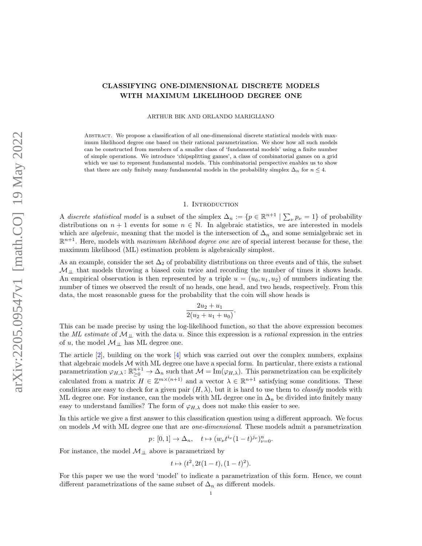# CLASSIFYING ONE-DIMENSIONAL DISCRETE MODELS WITH MAXIMUM LIKELIHOOD DEGREE ONE

ARTHUR BIK AND ORLANDO MARIGLIANO

Abstract. We propose a classification of all one-dimensional discrete statistical models with maximum likelihood degree one based on their rational parametrization. We show how all such models can be constructed from members of a smaller class of 'fundamental models' using a finite number of simple operations. We introduce 'chipsplitting games', a class of combinatorial games on a grid which we use to represent fundamental models. This combinatorial perspective enables us to show that there are only finitely many fundamental models in the probability simplex  $\Delta_n$  for  $n \leq 4$ .

#### 1. INTRODUCTION

A discrete statistical model is a subset of the simplex  $\Delta_n := \{p \in \mathbb{R}^{n+1} \mid \sum_{\nu} p_{\nu} = 1\}$  of probability distributions on  $n + 1$  events for some  $n \in \mathbb{N}$ . In algebraic statistics, we are interested in models which are *algebraic*, meaning that the model is the intersection of  $\Delta_n$  and some semialgebraic set in  $\mathbb{R}^{n+1}$ . Here, models with *maximum likelihood degree one* are of special interest because for these, the maximum likelihood (ML) estimation problem is algebraically simplest.

As an example, consider the set  $\Delta_2$  of probability distributions on three events and of this, the subset  $M_{\perp\perp}$  that models throwing a biased coin twice and recording the number of times it shows heads. An empirical observation is then represented by a triple  $u = (u_0, u_1, u_2)$  of numbers indicating the number of times we observed the result of no heads, one head, and two heads, respectively. From this data, the most reasonable guess for the probability that the coin will show heads is

$$
\frac{2u_2 + u_1}{2(u_2 + u_1 + u_0)}.
$$

This can be made precise by using the log-likelihood function, so that the above expression becomes the ML estimate of  $\mathcal{M}_{\perp\perp}$  with the data u. Since this expression is a rational expression in the entries of u, the model  $M_{\perp\perp}$  has ML degree one.

The article [\[2\]](#page-41-0), building on the work [\[4\]](#page-41-1) which was carried out over the complex numbers, explains that algebraic models  $M$  with ML degree one have a special form. In particular, there exists a rational parametrization  $\varphi_{H,\lambda} : \mathbb{R}^{n+1}_{\geq 0} \to \Delta_n$  such that  $\mathcal{M} = \text{Im}(\varphi_{H,\lambda})$ . This parametrization can be explicitely calculated from a matrix  $H \in \mathbb{Z}^{m \times (n+1)}$  and a vector  $\lambda \in \mathbb{R}^{n+1}$  satisfying some conditions. These conditions are easy to check for a given pair  $(H, \lambda)$ , but it is hard to use them to *classify* models with ML degree one. For instance, can the models with ML degree one in  $\Delta_n$  be divided into finitely many easy to understand families? The form of  $\varphi_{H,\lambda}$  does not make this easier to see.

In this article we give a first answer to this classification question using a different approach. We focus on models  $\mathcal M$  with ML degree one that are *one-dimensional*. These models admit a parametrization

$$
p: [0, 1] \to \Delta_n, \quad t \mapsto (w_{\nu} t^{i_{\nu}} (1-t)^{j_{\nu}})_{\nu=0}^n.
$$

For instance, the model  $\mathcal{M}_{\perp\!\!\perp}$  above is parametrized by

$$
t \mapsto (t^2, 2t(1-t), (1-t)^2).
$$

For this paper we use the word 'model' to indicate a parametrization of this form. Hence, we count different parametrizations of the same subset of  $\Delta_n$  as different models.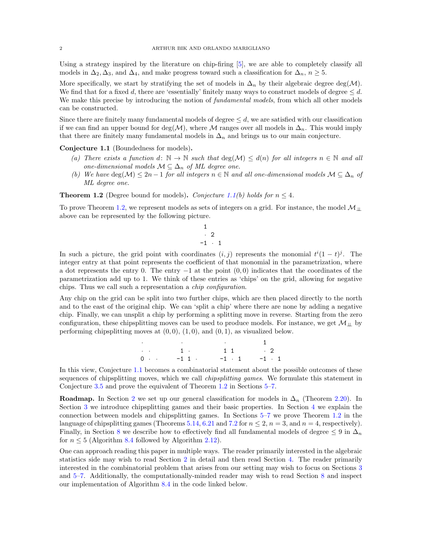Using a strategy inspired by the literature on chip-firing [\[5\]](#page-41-2), we are able to completely classify all models in  $\Delta_2$ ,  $\Delta_3$ , and  $\Delta_4$ , and make progress toward such a classification for  $\Delta_n$ ,  $n \geq 5$ .

More specifically, we start by stratifying the set of models in  $\Delta_n$  by their algebraic degree deg(M). We find that for a fixed d, there are 'essentially' finitely many ways to construct models of degree  $\leq d$ . We make this precise by introducing the notion of *fundamental models*, from which all other models can be constructed.

Since there are finitely many fundamental models of degree  $\leq d$ , we are satisfied with our classification if we can find an upper bound for deg( $\mathcal{M}$ ), where  $\mathcal M$  ranges over all models in  $\Delta_n$ . This would imply that there are finitely many fundamental models in  $\Delta_n$  and brings us to our main conjecture.

<span id="page-1-0"></span>Conjecture 1.1 (Boundedness for models).

- (a) There exists a function  $d: \mathbb{N} \to \mathbb{N}$  such that  $\deg(\mathcal{M}) \leq d(n)$  for all integers  $n \in \mathbb{N}$  and all one-dimensional models  $\mathcal{M} \subseteq \Delta_n$  of ML degree one.
- (b) We have  $\deg(\mathcal{M}) \leq 2n-1$  for all integers  $n \in \mathbb{N}$  and all one-dimensional models  $\mathcal{M} \subseteq \Delta_n$  of ML degree one.

<span id="page-1-1"></span>**Theorem 1.2** (Degree bound for models). Conjecture [1.1\(](#page-1-0)b) holds for  $n \leq 4$ .

To prove Theorem [1.2,](#page-1-1) we represent models as sets of integers on a grid. For instance, the model  $M_{\perp\perp}$ above can be represented by the following picture.

$$
\begin{array}{c} 1 \\ \cdot \\ -1 \end{array}
$$

In such a picture, the grid point with coordinates  $(i, j)$  represents the monomial  $t^{i}(1-t)^{j}$ . The integer entry at that point represents the coefficient of that monomial in the parametrization, where a dot represents the entry 0. The entry  $-1$  at the point  $(0,0)$  indicates that the coordinates of the parametrization add up to 1. We think of these entries as 'chips' on the grid, allowing for negative chips. Thus we call such a representation a chip configuration.

Any chip on the grid can be split into two further chips, which are then placed directly to the north and to the east of the original chip. We can 'split a chip' where there are none by adding a negative chip. Finally, we can unsplit a chip by performing a splitting move in reverse. Starting from the zero configuration, these chipsplitting moves can be used to produce models. For instance, we get  $\mathcal{M}_{\perp\perp}$  by performing chipsplitting moves at  $(0, 0)$ ,  $(1, 0)$ , and  $(0, 1)$ , as visualized below.

> · · · 1 · · 1 · 1 1 · 2  $0 \cdot \cdot \cdot = -1 \cdot 1 \cdot \cdot = -1 \cdot 1 \cdot -1 \cdot 1$

In this view, Conjecture [1.1](#page-1-0) becomes a combinatorial statement about the possible outcomes of these sequences of chipsplitting moves, which we call *chipsplitting games*. We formulate this statement in Conjecture [3.5](#page-11-0) and prove the equivalent of Theorem [1.2](#page-1-1) in Sections [5–](#page-21-0)[7.](#page-34-0)

**Roadmap.** In Section [2](#page-2-0) we set up our general classification for models in  $\Delta_n$  (Theorem [2.20\)](#page-7-0). In Section [3](#page-10-0) we introduce chipsplitting games and their basic properties. In Section [4](#page-19-0) we explain the connection between models and chipsplitting games. In Sections [5–](#page-21-0)[7](#page-34-0) we prove Theorem [1.2](#page-1-1) in the language of chipsplitting games (Theorems [5.14,](#page-25-0) [6.21](#page-34-1) and [7.2](#page-35-0) for  $n \leq 2$ ,  $n = 3$ , and  $n = 4$ , respectively). Finally, in Section [8](#page-39-0) we describe how to effectively find all fundamental models of degree  $\leq 9$  in  $\Delta_n$ for  $n \leq 5$  (Algorithm [8.4](#page-40-0) followed by Algorithm [2.12\)](#page-5-0).

One can approach reading this paper in multiple ways. The reader primarily interested in the algebraic statistics side may wish to read Section [2](#page-2-0) in detail and then read Section [4.](#page-19-0) The reader primarily interested in the combinatorial problem that arises from our setting may wish to focus on Sections [3](#page-10-0) and [5](#page-21-0)[–7.](#page-34-0) Additionally, the computationally-minded reader may wish to read Section [8](#page-39-0) and inspect our implementation of Algorithm [8.4](#page-40-0) in the code linked below.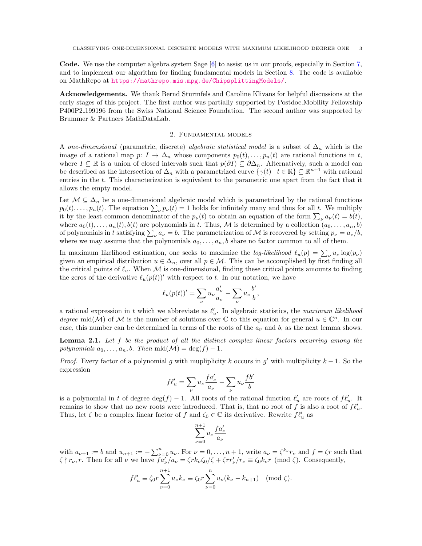Code. We use the computer algebra system Sage [\[6\]](#page-41-3) to assist us in our proofs, especially in Section [7,](#page-34-0) and to implement our algorithm for finding fundamental models in Section [8.](#page-39-0) The code is available on MathRepo at <https://mathrepo.mis.mpg.de/ChipsplittingModels/>.

Acknowledgements. We thank Bernd Sturmfels and Caroline Klivans for helpful discussions at the early stages of this project. The first author was partially supported by Postdoc.Mobility Fellowship P400P2 199196 from the Swiss National Science Foundation. The second author was supported by Brummer & Partners MathDataLab.

# 2. Fundamental models

<span id="page-2-0"></span>A one-dimensional (parametric, discrete) algebraic statistical model is a subset of  $\Delta_n$  which is the image of a rational map  $p: I \to \Delta_n$  whose components  $p_0(t), \ldots, p_n(t)$  are rational functions in t, where  $I \subseteq \mathbb{R}$  is a union of closed intervals such that  $p(\partial I) \subseteq \partial \Delta_n$ . Alternatively, such a model can be described as the intersection of  $\Delta_n$  with a parametrized curve  $\{\gamma(t) \mid t \in \mathbb{R}\}\subseteq \mathbb{R}^{n+1}$  with rational entries in the t. This characterization is equivalent to the parametric one apart from the fact that it allows the empty model.

Let  $M \subseteq \Delta_n$  be a one-dimensional algebraic model which is parametrized by the rational functions  $p_0(t), \ldots, p_n(t)$ . The equation  $\sum_{\nu} p_{\nu}(t) = 1$  holds for infinitely many and thus for all t. We multiply it by the least common denominator of the  $p_{\nu}(t)$  to obtain an equation of the form  $\sum_{\nu} a_{\nu}(t) = b(t)$ , where  $a_0(t), \ldots, a_n(t), b(t)$  are polynomials in t. Thus, M is determined by a collection  $(a_0, \ldots, a_n, b)$ of polynomials in t satisfying  $\sum_{\nu} a_{\nu} = b$ . The parametrization of M is recovered by setting  $p_{\nu} = a_{\nu}/b$ , where we may assume that the polynomials  $a_0, \ldots, a_n, b$  share no factor common to all of them.

In maximum likelihood estimation, one seeks to maximize the *log-likelihood*  $\ell_u(p) = \sum_{\nu} u_{\nu} \log(p_{\nu})$ given an empirical distribution  $u \in \Delta_n$ , over all  $p \in \mathcal{M}$ . This can be accomplished by first finding all the critical points of  $\ell_u$ . When M is one-dimensional, finding these critical points amounts to finding the zeros of the derivative  $\ell_u(p(t))'$  with respect to t. In our notation, we have

$$
\ell_u(p(t))'=\sum_{\nu}u_\nu\frac{a'_\nu}{a_\nu}-\sum_{\nu}u_\nu\frac{b'}{b},
$$

a rational expression in t which we abbreviate as  $\ell'_u$ . In algebraic statistics, the maximum likelihood degree mld(M) of M is the number of solutions over  $\mathbb C$  to this equation for general  $u \in \mathbb C^n$ . In our case, this number can be determined in terms of the roots of the  $a<sub>u</sub>$  and b, as the next lemma shows.

<span id="page-2-1"></span>**Lemma 2.1.** Let  $f$  be the product of all the distinct complex linear factors occurring among the polynomials  $a_0, \ldots, a_n, b$ . Then mld $(\mathcal{M}) = \deg(f) - 1$ .

*Proof.* Every factor of a polynomial g with mupliplicity k occurs in g' with multiplicity  $k - 1$ . So the expression

$$
f\ell'_u = \sum_{\nu} u_{\nu} \frac{f a'_{\nu}}{a_{\nu}} - \sum_{\nu} u_{\nu} \frac{f b'}{b}
$$

is a polynomial in t of degree  $\deg(f) - 1$ . All roots of the rational function  $\ell'_u$  are roots of  $f \ell'_u$ . It remains to show that no new roots were introduced. That is, that no root of f is also a root of  $f \ell'_u$ . Thus, let  $\zeta$  be a complex linear factor of f and  $\zeta_0 \in \mathbb{C}$  its derivative. Rewrite  $f \ell'_u$  as

$$
\sum_{\nu=0}^{n+1} u_{\nu} \frac{f a_{\nu}'}{a_{\nu}}
$$

with  $a_{\nu+1} := b$  and  $u_{n+1} := -\sum_{\nu=0}^n u_{\nu}$ . For  $\nu = 0, \ldots, n+1$ , write  $a_{\nu} = \zeta^{k_{\nu}} r_{\nu}$  and  $f = \zeta r$  such that  $\zeta \nmid r_{\nu}, r$ . Then for all  $\nu$  we have  $f a_{\nu}^{\prime}/a_{\nu} = \zeta r k_{\nu} \zeta_0/\zeta + \zeta r r_{\nu}^{\prime}/r_{\nu} \equiv \zeta_0 k_{\nu} r \pmod{\zeta}$ . Consequently,

$$
f\ell'_u \equiv \zeta_0 r \sum_{\nu=0}^{n+1} u_{\nu} k_{\nu} \equiv \zeta_0 r \sum_{\nu=0}^n u_{\nu} (k_{\nu} - k_{n+1}) \pmod{\zeta}.
$$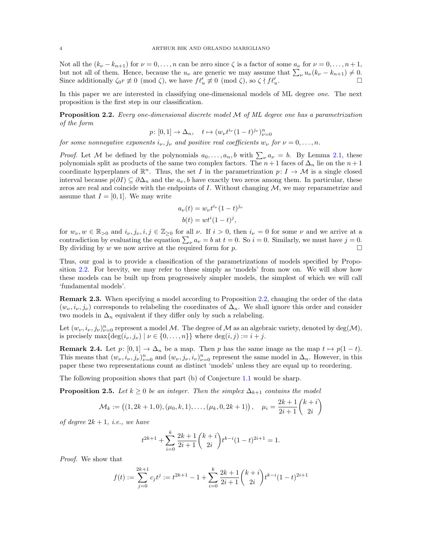Not all the  $(k_{\nu} - k_{n+1})$  for  $\nu = 0, \ldots, n$  can be zero since  $\zeta$  is a factor of some  $a_{\nu}$  for  $\nu = 0, \ldots, n+1$ , but not all of them. Hence, because the  $u_{\nu}$  are generic we may assume that  $\sum_{\nu} u_{\nu} (k_{\nu} - k_{n+1}) \neq 0$ . Since additionally  $\zeta_0 r \not\equiv 0 \pmod{\zeta}$ , we have  $f \ell'_u \not\equiv 0 \pmod{\zeta}$ , so  $\zeta \nmid f \ell'_u$ .

In this paper we are interested in classifying one-dimensional models of ML degree one. The next proposition is the first step in our classification.

<span id="page-3-0"></span>**Proposition 2.2.** Every one-dimensional discrete model  $M$  of  $ML$  degree one has a parametrization of the form

$$
p: [0, 1] \to \Delta_n, \quad t \mapsto (w_{\nu} t^{i_{\nu}} (1-t)^{j_{\nu}})_{\nu=0}^n
$$

for some nonnegative exponents  $i_{\nu}, j_{\nu}$  and positive real coefficients  $w_{\nu}$  for  $\nu = 0, \ldots, n$ .

*Proof.* Let M be defined by the polynomials  $a_0, \ldots, a_n, b$  with  $\sum_{\nu} a_{\nu} = b$ . By Lemma [2.1,](#page-2-1) these polynomials split as products of the same two complex factors. The  $n+1$  faces of  $\Delta_n$  lie on the  $n+1$ coordinate hyperplanes of  $\mathbb{R}^n$ . Thus, the set I in the parametrization  $p: I \to \mathcal{M}$  is a single closed interval because  $p(\partial I) \subseteq \partial \Delta_n$  and the  $a_{\nu}$ , b have exactly two zeros among them. In particular, these zeros are real and coincide with the endpoints of  $I$ . Without changing  $M$ , we may reparametrize and assume that  $I = [0, 1]$ . We may write

$$
a_{\nu}(t) = w_{\nu}t^{i_{\nu}}(1-t)^{j_{\nu}}
$$

$$
b(t) = wt^{i}(1-t)^{j},
$$

for  $w_{\nu}, w \in \mathbb{R}_{>0}$  and  $i_{\nu}, j_{\nu}, i, j \in \mathbb{Z}_{\geq 0}$  for all  $\nu$ . If  $i > 0$ , then  $i_{\nu} = 0$  for some  $\nu$  and we arrive at a contradiction by evaluating the equation  $\sum_{\nu} a_{\nu} = b$  at  $t = 0$ . So  $i = 0$ . Similarly, we must have  $j = 0$ . By dividing by w we now arrive at the required form for p.  $\Box$ 

Thus, our goal is to provide a classification of the parametrizations of models specified by Proposition [2.2.](#page-3-0) For brevity, we may refer to these simply as 'models' from now on. We will show how these models can be built up from progressively simpler models, the simplest of which we will call 'fundamental models'.

Remark 2.3. When specifying a model according to Proposition [2.2,](#page-3-0) changing the order of the data  $(w_{\nu}, i_{\nu}, j_{\nu})$  corresponds to relabeling the coordinates of  $\Delta_n$ . We shall ignore this order and consider two models in  $\Delta_n$  equivalent if they differ only by such a relabeling.

Let  $(w_\nu, i_\nu, j_\nu)_{\nu=0}^n$  represent a model M. The degree of M as an algebraic variety, denoted by  $\deg(M)$ , is precisely  $\max\{\deg(i_{\nu}, j_{\nu}) \mid \nu \in \{0, \ldots, n\}\}\$  where  $\deg(i, j) := i + j$ .

**Remark 2.4.** Let  $p: [0, 1] \to \Delta_n$  be a map. Then p has the same image as the map  $t \mapsto p(1 - t)$ . This means that  $(w_\nu, i_\nu, j_\nu)_{\nu=0}^n$  and  $(w_\nu, j_\nu, i_\nu)_{\nu=0}^n$  represent the same model in  $\Delta_n$ . However, in this paper these two representations count as distinct 'models' unless they are equal up to reordering.

The following proposition shows that part (b) of Conjecture [1.1](#page-1-0) would be sharp.

<span id="page-3-1"></span>**Proposition 2.5.** Let  $k \geq 0$  be an integer. Then the simplex  $\Delta_{k+1}$  contains the model

$$
\mathcal{M}_k := \big( (1, 2k+1, 0), (\mu_0, k, 1), \dots, (\mu_k, 0, 2k+1) \big), \quad \mu_i = \frac{2k+1}{2i+1} {k+i \choose 2i}
$$

of degree  $2k + 1$ , *i.e.*, we have

$$
t^{2k+1} + \sum_{i=0}^{k} \frac{2k+1}{2i+1} {k+i \choose 2i} t^{k-i} (1-t)^{2i+1} = 1.
$$

Proof. We show that

$$
f(t) := \sum_{j=0}^{2k+1} c_j t^j := t^{2k+1} - 1 + \sum_{i=0}^k \frac{2k+1}{2i+1} {k+i \choose 2i} t^{k-i} (1-t)^{2i+1}
$$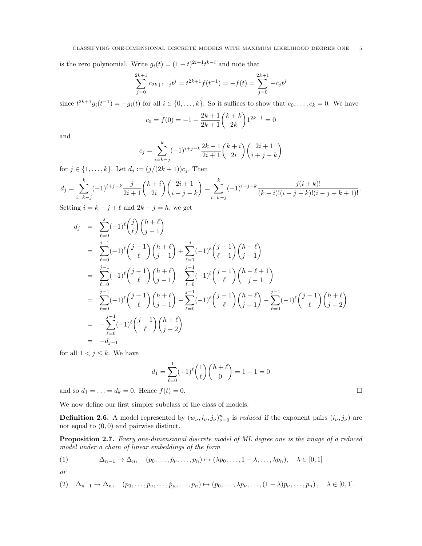is the zero polynomial. Write  $g_i(t) = (1-t)^{2i+1}t^{k-i}$  and note that

$$
\sum_{j=0}^{2k+1} c_{2k+1-j} t^j = t^{2k+1} f(t^{-1}) = -f(t) = \sum_{j=0}^{2k+1} -c_j t^j
$$

since  $t^{2k+1}g_i(t^{-1}) = -g_i(t)$  for all  $i \in \{0, \ldots, k\}$ . So it suffices to show that  $c_0, \ldots, c_k = 0$ . We have

$$
c_0 = f(0) = -1 + \frac{2k+1}{2k+1} {k+k \choose 2k} 1^{2k+1} = 0
$$

and

$$
c_j = \sum_{i=k-j}^{k} (-1)^{i+j-k} \frac{2k+1}{2i+1} {k+i \choose 2i} {2i+1 \choose i+j-k}
$$

for  $j\in\{1,\ldots,k\}.$  Let  $d_j:=(j/(2k+1))c_j.$  Then

$$
d_j = \sum_{i=k-j}^k (-1)^{i+j-k} \frac{j}{2i+1} {k+i \choose 2i} {2i+1 \choose i+j-k} = \sum_{i=k-j}^k (-1)^{i+j-k} \frac{j(i+k)!}{(k-i)!(i+j-k)!(i-j+k+1)!}.
$$

Setting  $i = k - j + \ell$  and  $2k - j = h$ , we get

$$
d_j = \sum_{\ell=0}^{j} (-1)^{\ell} {\binom{j}{\ell}} {\binom{h+\ell}{j-1}}
$$
  
\n
$$
= \sum_{\ell=0}^{j-1} (-1)^{\ell} {\binom{j-1}{\ell}} {\binom{h+\ell}{j-1}} + \sum_{\ell=1}^{j} (-1)^{\ell} {\binom{j-1}{\ell-1}} {\binom{h+\ell}{j-1}}
$$
  
\n
$$
= \sum_{\ell=0}^{j-1} (-1)^{\ell} {\binom{j-1}{\ell}} {\binom{h+\ell}{j-1}} - \sum_{\ell=0}^{j-1} (-1)^{\ell} {\binom{j-1}{\ell}} {\binom{h+\ell+1}{j-1}}
$$
  
\n
$$
= \sum_{\ell=0}^{j-1} (-1)^{\ell} {\binom{j-1}{\ell}} {\binom{h+\ell}{j-1}} - \sum_{\ell=0}^{j-1} (-1)^{\ell} {\binom{j-1}{\ell}} {\binom{h+\ell}{j-1}} - \sum_{\ell=0}^{j-1} (-1)^{\ell} {\binom{j-1}{\ell}} {\binom{h+\ell}{j-2}}
$$
  
\n
$$
= - \sum_{\ell=0}^{j-1} (-1)^{\ell} {\binom{j-1}{\ell}} {\binom{h+\ell}{j-2}}
$$
  
\n
$$
= -d_{j-1}
$$

for all  $1 < j \leq k$ . We have

$$
d_1 = \sum_{\ell=0}^{1} (-1)^{\ell} \binom{1}{\ell} \binom{h+\ell}{0} = 1 - 1 = 0
$$

and so  $d_1 = ... = d_k = 0$ . Hence  $f(t) = 0$ .

We now define our first simpler subclass of the class of models.

**Definition 2.6.** A model represented by  $(w_{\nu}, i_{\nu}, j_{\nu})_{\nu=0}^n$  is reduced if the exponent pairs  $(i_{\nu}, j_{\nu})$  are not equal to  $(0, 0)$  and pairwise distinct.

<span id="page-4-2"></span>Proposition 2.7. Every one-dimensional discrete model of ML degree one is the image of a reduced model under a chain of linear embeddings of the form

<span id="page-4-0"></span>(1) 
$$
\Delta_{n-1} \to \Delta_n, \quad (p_0, \ldots, \hat{p}_{\nu}, \ldots, p_n) \mapsto (\lambda p_0, \ldots, 1 - \lambda, \ldots, \lambda p_n), \quad \lambda \in [0, 1]
$$

$$
or
$$

<span id="page-4-1"></span>
$$
(2) \quad \Delta_{n-1} \to \Delta_n, \quad (p_0, \ldots, p_\nu, \ldots, \hat{p}_\mu, \ldots, p_n) \mapsto (p_0, \ldots, \lambda p_\nu, \ldots, (1 - \lambda) p_\nu, \ldots, p_n), \quad \lambda \in [0, 1].
$$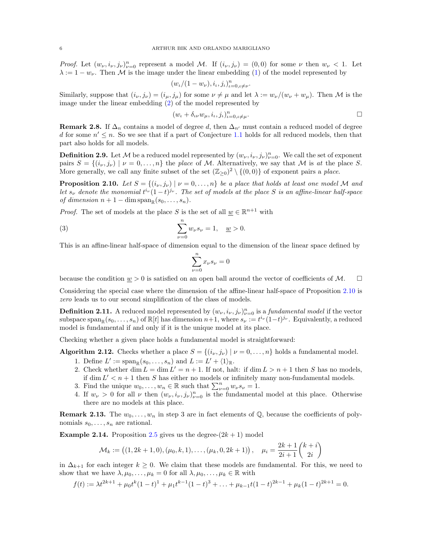*Proof.* Let  $(w_{\nu}, i_{\nu}, j_{\nu})_{\nu=0}^n$  represent a model M. If  $(i_{\nu}, j_{\nu}) = (0, 0)$  for some  $\nu$  then  $w_{\nu} < 1$ . Let  $\lambda := 1 - w_{\nu}$ . Then M is the image under the linear embedding [\(1\)](#page-4-0) of the model represented by

$$
(w_{\iota}/(1-w_{\nu}), i_{\iota}, j_{\iota})_{\iota=0, \iota\neq\nu}^n
$$

Similarly, suppose that  $(i_{\nu}, j_{\nu}) = (i_{\mu}, j_{\mu})$  for some  $\nu \neq \mu$  and let  $\lambda := w_{\nu}/(w_{\nu} + w_{\mu})$ . Then M is the image under the linear embedding [\(2\)](#page-4-1) of the model represented by

$$
(w_{\iota} + \delta_{\iota\nu} w_{\mu}, i_{\iota}, j_{\iota})_{\iota=0, \iota\neq\mu}^n.
$$

.

<span id="page-5-2"></span>**Remark 2.8.** If  $\Delta_n$  contains a model of degree d, then  $\Delta_{n'}$  must contain a reduced model of degree d for some  $n' \leq n$ . So we see that if a part of Conjecture [1.1](#page-1-0) holds for all reduced models, then that part also holds for all models.

**Definition 2.9.** Let M be a reduced model represented by  $(w_{\nu}, i_{\nu}, j_{\nu})_{\nu=0}^n$ . We call the set of exponent pairs  $S = \{(i_{\nu}, j_{\nu}) \mid \nu = 0, \ldots, n\}$  the place of M. Alternatively, we say that M is at the place S. More generally, we call any finite subset of the set  $(\mathbb{Z}_{\geq 0})^2 \setminus \{(0,0)\}$  of exponent pairs a place.

<span id="page-5-1"></span>**Proposition 2.10.** Let  $S = \{(i_{\nu}, j_{\nu}) | \nu = 0, \ldots, n\}$  be a place that holds at least one model M and let  $s_{\nu}$  denote the monomial  $t^{i_{\nu}}(1-t)^{j_{\nu}}$ . The set of models at the place S is an affine-linear half-space of dimension  $n + 1 - \dim \operatorname{span}_{\mathbb{R}}(s_0, \ldots, s_n)$ .

*Proof.* The set of models at the place S is the set of all  $\underline{w} \in \mathbb{R}^{n+1}$  with

(3) 
$$
\sum_{\nu=0}^{n} w_{\nu} s_{\nu} = 1, \quad \underline{w} > 0.
$$

This is an affine-linear half-space of dimension equal to the dimension of the linear space defined by

$$
\sum_{\nu=0}^n x_\nu s_\nu = 0
$$

because the condition  $w > 0$  is satisfied on an open ball around the vector of coefficients of M.  $\square$ 

Considering the special case where the dimension of the affine-linear half-space of Proposition [2.10](#page-5-1) is zero leads us to our second simplification of the class of models.

<span id="page-5-4"></span>**Definition 2.11.** A reduced model represented by  $(w_{\nu}, i_{\nu}, j_{\nu})_{\nu=0}^n$  is a *fundamental model* if the vector subspace  $\text{span}_{\mathbb{R}}(s_0,\ldots,s_n)$  of  $\mathbb{R}[t]$  has dimension  $n+1$ , where  $s_\nu := t^{i_\nu}(1-t)^{j_\nu}$ . Equivalently, a reduced model is fundamental if and only if it is the unique model at its place.

Checking whether a given place holds a fundamental model is straightforward:

<span id="page-5-0"></span>**Algorithm 2.12.** Checks whether a place  $S = \{(i_v, j_v) | v = 0, \ldots, n\}$  holds a fundamental model. 1. Define  $L' := \text{span}_{\mathbb{R}}(s_0, \ldots, s_n)$  and  $L := L' + \langle 1 \rangle_{\mathbb{R}}$ .

- 2. Check whether dim  $L = \dim L' = n + 1$ . If not, halt: if  $\dim L > n + 1$  then S has no models, if dim  $L' < n + 1$  then S has either no models or infinitely many non-fundamental models.
- 3. Find the unique  $w_0, \ldots, w_n \in \mathbb{R}$  such that  $\sum_{\nu=0}^n w_{\nu} s_{\nu} = 1$ .
- 4. If  $w_{\nu} > 0$  for all  $\nu$  then  $(w_{\nu}, i_{\nu}, j_{\nu})_{\nu=0}^n$  is the fundamental model at this place. Otherwise there are no models at this place.

<span id="page-5-3"></span>**Remark 2.13.** The  $w_0, \ldots, w_n$  in step 3 are in fact elements of Q, because the coefficients of polynomials  $s_0, \ldots, s_n$  are rational.

**Example 2.14.** Proposition [2.5](#page-3-1) gives us the degree- $(2k + 1)$  model

$$
\mathcal{M}_k := \left( (1, 2k+1, 0), (\mu_0, k, 1), \dots, (\mu_k, 0, 2k+1) \right), \quad \mu_i = \frac{2k+1}{2i+1} {k+i \choose 2i}
$$

in  $\Delta_{k+1}$  for each integer  $k \geq 0$ . We claim that these models are fundamental. For this, we need to show that we have  $\lambda, \mu_0, \ldots, \mu_k = 0$  for all  $\lambda, \mu_0, \ldots, \mu_k \in \mathbb{R}$  with

$$
f(t) := \lambda t^{2k+1} + \mu_0 t^k (1-t)^1 + \mu_1 t^{k-1} (1-t)^3 + \ldots + \mu_{k-1} t (1-t)^{2k-1} + \mu_k (1-t)^{2k+1} = 0.
$$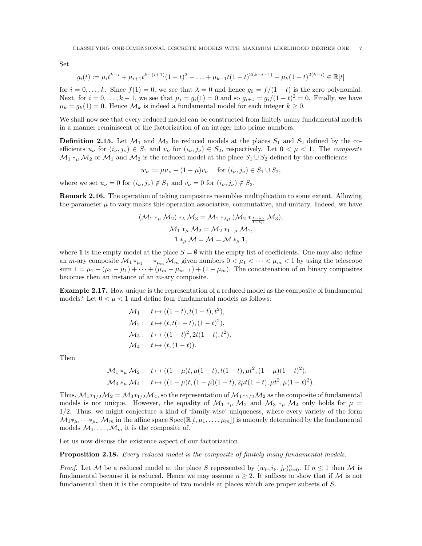Set

$$
g_i(t) := \mu_i t^{k-i} + \mu_{i+1} t^{k-(i+1)} (1-t)^2 + \ldots + \mu_{k-1} t (1-t)^{2(k-i-1)} + \mu_k (1-t)^{2(k-i)} \in \mathbb{R}[t]
$$

for  $i = 0, \ldots, k$ . Since  $f(1) = 0$ , we see that  $\lambda = 0$  and hence  $g_0 = f/(1-t)$  is the zero polynomial. Next, for  $i = 0, ..., k - 1$ , we see that  $\mu_i = g_i(1) = 0$  and so  $g_{i+1} = g_i/(1-t)^2 = 0$ . Finally, we have  $\mu_k = g_k(1) = 0$ . Hence  $\mathcal{M}_k$  is indeed a fundamental model for each integer  $k \geq 0$ .

We shall now see that every reduced model can be constructed from finitely many fundamental models in a manner reminiscent of the factorization of an integer into prime numbers.

<span id="page-6-1"></span>**Definition 2.15.** Let  $\mathcal{M}_1$  and  $\mathcal{M}_2$  be reduced models at the places  $S_1$  and  $S_2$  defined by the coefficients  $u_{\nu}$  for  $(i_{\nu}, j_{\nu}) \in S_1$  and  $v_{\nu}$  for  $(i_{\nu}, j_{\nu}) \in S_2$ , respectively. Let  $0 < \mu < 1$ . The composite  $\mathcal{M}_1 *_{\mu} \mathcal{M}_2$  of  $\mathcal{M}_1$  and  $\mathcal{M}_2$  is the reduced model at the place  $S_1 \cup S_2$  defined by the coefficients

$$
w_{\nu} := \mu u_{\nu} + (1 - \mu)v_{\nu}
$$
 for  $(i_{\nu}, j_{\nu}) \in S_1 \cup S_2$ ,

where we set  $u_{\nu} = 0$  for  $(i_{\nu}, j_{\nu}) \notin S_1$  and  $v_{\nu} = 0$  for  $(i_{\nu}, j_{\nu}) \notin S_2$ .

Remark 2.16. The operation of taking composites resembles multiplication to some extent. Allowing the parameter  $\mu$  to vary makes this operation associative, commutative, and unitary. Indeed, we have

$$
(\mathcal{M}_1 *_{\mu} \mathcal{M}_2) *_{\lambda} \mathcal{M}_3 = \mathcal{M}_1 *_{\lambda \mu} (\mathcal{M}_2 *_{\frac{\lambda - \lambda \mu}{1 - \lambda \mu}} \mathcal{M}_3),
$$
  

$$
\mathcal{M}_1 *_{\mu} \mathcal{M}_2 = \mathcal{M}_2 *_{1 - \mu} \mathcal{M}_1,
$$
  

$$
\mathbf{1} *_{\mu} \mathcal{M} = \mathcal{M} = \mathcal{M} *_{\mu} \mathbf{1},
$$

where 1 is the empty model at the place  $S = \emptyset$  with the empty list of coefficients. One may also define an m-ary composite  $\mathcal{M}_1 *_{\mu_1} \cdots *_{\mu_m} \mathcal{M}_m$  given numbers  $0 < \mu_1 < \cdots < \mu_m < 1$  by using the telescope sum  $1 = \mu_1 + (\mu_2 - \mu_1) + \cdots + (\mu_m - \mu_{m-1}) + (1 - \mu_m)$ . The concatenation of m binary composites becomes then an instance of an m-ary composite.

Example 2.17. How unique is the representation of a reduced model as the composite of fundamental models? Let  $0 < \mu < 1$  and define four fundamental models as follows:

$$
\mathcal{M}_1: \t t \mapsto ((1-t), t(1-t), t^2),\n\mathcal{M}_2: \t t \mapsto (t, t(1-t), (1-t)^2),\n\mathcal{M}_3: \t t \mapsto ((1-t)^2, 2t(1-t), t^2),\n\mathcal{M}_4: \t t \mapsto (t, (1-t)).
$$

Then

$$
\mathcal{M}_1 *_{\mu} \mathcal{M}_2: \quad t \mapsto ((1 - \mu)t, \mu(1 - t), t(1 - t), \mu t^2, (1 - \mu)(1 - t)^2),
$$
  

$$
\mathcal{M}_3 *_{\mu} \mathcal{M}_4: \quad t \mapsto ((1 - \mu)t, (1 - \mu)(1 - t), 2\mu t(1 - t), \mu t^2, \mu(1 - t)^2).
$$

Thus,  $M_1*_1/2M_2 = M_3*_1/2M_4$ , so the representation of  $M_1*_1/2M_2$  as the composite of fundamental models is not unique. However, the equality of  $\mathcal{M}_1 *_{\mu} \mathcal{M}_2$  and  $\mathcal{M}_3 *_{\mu} \mathcal{M}_4$  only holds for  $\mu =$ 1/2. Thus, we might conjecture a kind of 'family-wise' uniqueness, where every variety of the form  $\hat{\mathcal{M}}_1 *_{\mu_1} \cdots *_{\mu_m} \mathcal{M}_m$  in the affine space  ${\rm Spec}(\mathbb{R}[t,\mu_1,\ldots,\mu_m])$  is uniquely determined by the fundamental models  $\mathcal{M}_1, \ldots, \mathcal{M}_m$  it is the composite of.

Let us now discuss the existence aspect of our factorization.

<span id="page-6-0"></span>Proposition 2.18. Every reduced model is the composite of finitely many fundamental models.

*Proof.* Let M be a reduced model at the place S represented by  $(w_{\nu}, i_{\nu}, j_{\nu})_{\nu=0}^n$ . If  $n \leq 1$  then M is fundamental because it is reduced. Hence we may assume  $n \geq 2$ . It suffices to show that if M is not fundamental then it is the composite of two models at places which are proper subsets of S.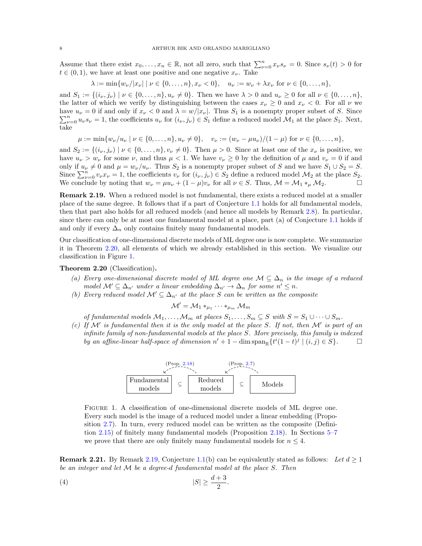Assume that there exist  $x_0, \ldots, x_n \in \mathbb{R}$ , not all zero, such that  $\sum_{\nu=0}^n x_{\nu} s_{\nu} = 0$ . Since  $s_{\nu}(t) > 0$  for  $t \in (0, 1)$ , we have at least one positive and one negative  $x_{\nu}$ . Take

$$
\lambda := \min \{ w_{\nu} / |x_{\nu}| \mid \nu \in \{0, \dots, n\}, x_{\nu} < 0 \}, \quad u_{\nu} := w_{\nu} + \lambda x_{\nu} \text{ for } \nu \in \{0, \dots, n\},
$$

and  $S_1 := \{(i_{\nu}, j_{\nu}) \mid \nu \in \{0, ..., n\}, u_{\nu} \neq 0\}$ . Then we have  $\lambda > 0$  and  $u_{\nu} \geq 0$  for all  $\nu \in \{0, ..., n\}$ , the latter of which we verify by distinguishing between the cases  $x_{\nu} \geq 0$  and  $x_{\nu} < 0$ . For all  $\nu$  we have  $u_{\nu} = 0$  if and only if  $x_{\nu} < 0$  and  $\lambda = w/|x_{\nu}|$ . Thus  $S_1$  is a nonempty proper subset of S. Since  $\sum_{\nu=0}^n u_{\nu} s_{\nu} = 1$ , the coefficients  $u_{\nu}$  for  $(i_{\nu}, j_{\nu}) \in S_1$  define a reduced model  $\mathcal{M}_1$  at the place  $S_1$ . Next, take

$$
\mu := \min \{ w_{\nu}/u_{\nu} \mid \nu \in \{0, \dots, n\}, u_{\nu} \neq 0 \}, \quad v_{\nu} := (w_{\nu} - \mu u_{\nu})/(1 - \mu) \text{ for } \nu \in \{0, \dots, n\},
$$

and  $S_2 := \{(i_{\nu}, j_{\nu}) \mid \nu \in \{0, \dots, n\}, v_{\nu} \neq 0\}$ . Then  $\mu > 0$ . Since at least one of the  $x_{\nu}$  is positive, we have  $u_{\nu} > w_{\nu}$  for some  $\nu$ , and thus  $\mu < 1$ . We have  $v_{\nu} \ge 0$  by the definition of  $\mu$  and  $v_{\nu} = 0$  if and only if  $u_{\nu} \neq 0$  and  $\mu = w_{\nu}/u_{\nu}$ . Thus  $S_2$  is a nonempty proper subset of S and we have  $S_1 \cup S_2 = S$ . Since  $\sum_{\nu=0}^{n} v_{\nu} x_{\nu} = 1$ , the coefficients  $v_{\nu}$  for  $(i_{\nu}, j_{\nu}) \in S_2$  define a reduced model  $\mathcal{M}_2$  at the place  $S_2$ . We conclude by noting that  $w_{\nu} = \mu u_{\nu} + (1 - \mu)v_{\nu}$  for all  $\nu \in S$ . Thus,  $\mathcal{M} = \mathcal{M}_1 *_{\mu} \mathcal{M}_2$ .

<span id="page-7-2"></span>Remark 2.19. When a reduced model is not fundamental, there exists a reduced model at a smaller place of the same degree. It follows that if a part of Conjecture [1.1](#page-1-0) holds for all fundamental models, then that part also holds for all reduced models (and hence all models by Remark [2.8\)](#page-5-2). In particular, since there can only be at most one fundamental model at a place, part (a) of Conjecture [1.1](#page-1-0) holds if and only if every  $\Delta_n$  only contains finitely many fundamental models.

Our classification of one-dimensional discrete models of ML degree one is now complete. We summarize it in Theorem [2.20,](#page-7-0) all elements of which we already established in this section. We visualize our classification in Figure [1.](#page-7-1)

<span id="page-7-0"></span>Theorem 2.20 (Classification).

- (a) Every one-dimensional discrete model of ML degree one  $\mathcal{M} \subseteq \Delta_n$  is the image of a reduced model  $\mathcal{M}' \subseteq \Delta_{n'}$  under a linear embedding  $\Delta_{n'} \to \Delta_n$  for some  $n' \leq n$ .
- (b) Every reduced model  $\mathcal{M}' \subseteq \Delta_{n'}$  at the place S can be written as the composite

 ${\mathcal M}'={\mathcal M}_1*_{\mu_1}\cdots*_{\mu_m}{\mathcal M}_m$ 

of fundamental models  $M_1, \ldots, M_m$  at places  $S_1, \ldots, S_m \subseteq S$  with  $S = S_1 \cup \cdots \cup S_m$ .

(c) If  $\mathcal{M}'$  is fundamental then it is the only model at the place S. If not, then  $\mathcal{M}'$  is part of an infinite family of non-fundamental models at the place S. More precisely, this family is indexed by an affine-linear half-space of dimension  $n' + 1 - \dim \text{span}_{\mathbb{R}} \{ t^i (1-t)^j \mid (i,j) \in S \}.$ 



<span id="page-7-3"></span><span id="page-7-1"></span>Figure 1. A classification of one-dimensional discrete models of ML degree one. Every such model is the image of a reduced model under a linear embedding (Proposition [2.7\)](#page-4-2). In turn, every reduced model can be written as the composite (Definition [2.15\)](#page-6-1) of finitely many fundamental models (Proposition [2.18\)](#page-6-0). In Sections [5–](#page-21-0)[7](#page-34-0) we prove that there are only finitely many fundamental models for  $n \leq 4$ .

<span id="page-7-4"></span>**Remark 2.21.** By Remark [2.19,](#page-7-2) Conjecture [1.1\(](#page-1-0)b) can be equivalently stated as follows: Let  $d \geq 1$ be an integer and let M be a degree-d fundamental model at the place S. Then

$$
(4) \t\t |S| \ge \frac{d+3}{2}.
$$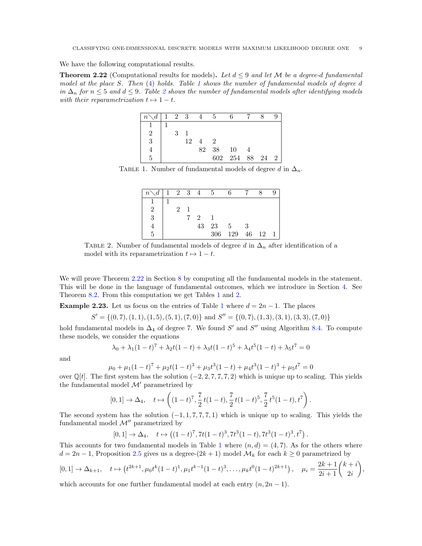We have the following computational results.

<span id="page-8-2"></span>**Theorem 2.22** (Computational results for models). Let  $d \leq 9$  and let M be a degree-d fundamental model at the place S. Then [\(4\)](#page-7-3) holds. Table [1](#page-8-0) shows the number of fundamental models of degree d in  $\Delta_n$  for  $n \leq 5$  and  $d \leq 9$ . Table [2](#page-8-1) shows the number of fundamental models after identifying models with their reparametrization  $t \mapsto 1-t$ .

| $n \setminus d \mid 1 \quad 2 \quad 3$ |   |    | 4              | - 5           |                 |  |  |
|----------------------------------------|---|----|----------------|---------------|-----------------|--|--|
|                                        |   |    |                |               |                 |  |  |
| $\overline{2}$                         | 3 |    |                |               |                 |  |  |
| 3                                      |   | 12 | $\overline{4}$ | $\mathcal{D}$ |                 |  |  |
|                                        |   |    | 82             | - 38          | 10              |  |  |
| 5                                      |   |    |                |               | 602 254 88 24 2 |  |  |

TABLE 1. Number of fundamental models of degree d in  $\Delta_n$ .

<span id="page-8-0"></span>

| $\left  n\right\rangle d$   1 2 3 4 |   |   |                             | -5   |     |       |  |
|-------------------------------------|---|---|-----------------------------|------|-----|-------|--|
|                                     |   |   |                             |      |     |       |  |
| 2                                   | 2 |   |                             |      |     |       |  |
| 3                                   |   | 7 | $\mathcal{D}_{\mathcal{L}}$ |      |     |       |  |
|                                     |   |   | 43                          | - 23 | -5  |       |  |
|                                     |   |   |                             | 306  | 129 | 46 12 |  |

<span id="page-8-1"></span>TABLE 2. Number of fundamental models of degree d in  $\Delta_n$  after identification of a model with its reparametrization  $t \mapsto 1 - t$ .

We will prove Theorem [2.22](#page-8-2) in Section [8](#page-39-0) by computing all the fundamental models in the statement. This will be done in the language of fundamental outcomes, which we introduce in Section [4.](#page-19-0) See Theorem [8.2.](#page-39-1) From this computation we get Tables [1](#page-8-0) and [2.](#page-8-1)

<span id="page-8-3"></span>**Example 2.23.** Let us focus on the entries of Table [1](#page-8-0) where  $d = 2n - 1$ . The places

 $S' = \{(0, 7), (1, 1), (1, 5), (5, 1), (7, 0)\}\$ and  $S'' = \{(0, 7), (1, 3), (3, 1), (3, 3), (7, 0)\}\$ 

hold fundamental models in  $\Delta_4$  of degree 7. We found S' and S'' using Algorithm [8.4.](#page-40-0) To compute these models, we consider the equations

$$
\lambda_0 + \lambda_1 (1 - t)^7 + \lambda_2 t (1 - t) + \lambda_3 t (1 - t)^5 + \lambda_4 t^5 (1 - t) + \lambda_5 t^7 = 0
$$

and

$$
\mu_0 + \mu_1 (1-t)^7 + \mu_2 t (1-t)^3 + \mu_3 t^3 (1-t) + \mu_4 t^3 (1-t)^3 + \mu_5 t^7 = 0
$$

over  $\mathbb{Q}[t]$ . The first system has the solution  $(-2, 2, 7, 7, 7, 2)$  which is unique up to scaling. This yields the fundamental model  $\mathcal{M}'$  parametrized by

$$
[0,1] \to \Delta_4, \quad t \mapsto \left( (1-t)^7, \frac{7}{2} t (1-t), \frac{7}{2} t (1-t)^5, \frac{7}{2} t^5 (1-t), t^7 \right).
$$

The second system has the solution  $(-1, 1, 7, 7, 7, 1)$  which is unique up to scaling. This yields the fundamental model  $\mathcal{M}''$  parametrized by

$$
[0,1] \to \Delta_4, \quad t \mapsto \left( (1-t)^7, 7t(1-t)^3, 7t^3(1-t), 7t^3(1-t)^3, t^7 \right).
$$

This accounts for two fundamental models in Table [1](#page-8-0) where  $(n, d) = (4, 7)$ . As for the others where  $d = 2n - 1$ , Proposition [2.5](#page-3-1) gives us a degree- $(2k + 1)$  model  $\mathcal{M}_k$  for each  $k \geq 0$  parametrized by

$$
[0,1] \to \Delta_{k+1}, \quad t \mapsto \left(t^{2k+1}, \mu_0 t^k (1-t)^1, \mu_1 t^{k-1} (1-t)^3, \dots, \mu_k t^0 (1-t)^{2k+1}\right), \quad \mu_i = \frac{2k+1}{2i+1} {k+i \choose 2i},
$$

which accounts for one further fundamental model at each entry  $(n, 2n - 1)$ .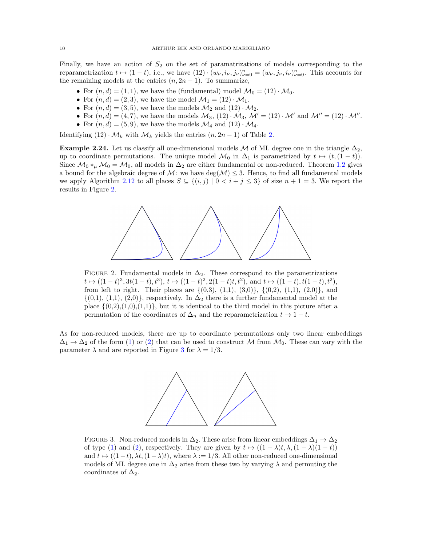Finally, we have an action of  $S_2$  on the set of paramatrizations of models corresponding to the reparametrization  $t \mapsto (1-t)$ , i.e., we have  $(12) \cdot (w_{\nu}, i_{\nu}, j_{\nu})_{\nu=0}^n = (w_{\nu}, j_{\nu}, i_{\nu})_{\nu=0}^n$ . This accounts for the remaining models at the entries  $(n, 2n - 1)$ . To summarize,

- For  $(n, d) = (1, 1)$ , we have the (fundamental) model  $\mathcal{M}_0 = (12) \cdot \mathcal{M}_0$ .
- For  $(n, d) = (2, 3)$ , we have the model  $\mathcal{M}_1 = (12) \cdot \mathcal{M}_1$ .
- For  $(n, d) = (3, 5)$ , we have the models  $\mathcal{M}_2$  and  $(12) \cdot \mathcal{M}_2$ .
- For  $(n, d) = (4, 7)$ , we have the models  $M_3$ ,  $(12) \cdot M_3$ ,  $M' = (12) \cdot M'$  and  $M'' = (12) \cdot M''$ .
- For  $(n, d) = (5, 9)$ , we have the models  $\mathcal{M}_4$  and  $(12) \cdot \mathcal{M}_4$ .

Identifying  $(12) \cdot M_k$  with  $M_k$  yields the entries  $(n, 2n - 1)$  of Table [2.](#page-8-1)

Example 2.24. Let us classify all one-dimensional models M of ML degree one in the triangle  $\Delta_2$ , up to coordinate permutations. The unique model  $\mathcal{M}_0$  in  $\Delta_1$  is parametrized by  $t \mapsto (t,(1-t))$ . Since  $\mathcal{M}_0 *_{\mu} \mathcal{M}_0 = \mathcal{M}_0$ , all models in  $\Delta_2$  are either fundamental or non-reduced. Theorem [1.2](#page-1-1) gives a bound for the algebraic degree of M: we have  $\deg(\mathcal{M}) \leq 3$ . Hence, to find all fundamental models we apply Algorithm [2.12](#page-5-0) to all places  $S \subseteq \{(i,j) | 0 < i+j \leq 3\}$  of size  $n+1=3$ . We report the results in Figure [2.](#page-9-0)



<span id="page-9-0"></span>FIGURE 2. Fundamental models in  $\Delta_2$ . These correspond to the parametrizations  $t \mapsto ((1-t)^3, 3t(1-t), t^3), t \mapsto ((1-t)^2, 2(1-t)t, t^2),$  and  $t \mapsto ((1-t), t(1-t), t^2),$ from left to right. Their places are  $\{(0,3), (1,1), (3,0)\}, \{(0,2), (1,1), (2,0)\},$  and  $\{(0,1), (1,1), (2,0)\}\$ , respectively. In  $\Delta_2$  there is a further fundamental model at the place  $\{(0,2),(1,0),(1,1)\}$ , but it is identical to the third model in this picture after a permutation of the coordinates of  $\Delta_n$  and the reparametrization  $t \mapsto 1-t$ .

As for non-reduced models, there are up to coordinate permutations only two linear embeddings  $\Delta_1 \rightarrow \Delta_2$  of the form [\(1\)](#page-4-0) or [\(2\)](#page-4-1) that can be used to construct M from  $\mathcal{M}_0$ . These can vary with the parameter  $\lambda$  and are reported in Figure [3](#page-9-1) for  $\lambda = 1/3$ .



<span id="page-9-1"></span>FIGURE 3. Non-reduced models in  $\Delta_2$ . These arise from linear embeddings  $\Delta_1 \rightarrow \Delta_2$ of type [\(1\)](#page-4-0) and [\(2\)](#page-4-1), respectively. They are given by  $t \mapsto ((1 - \lambda)t, \lambda, (1 - \lambda)(1 - t))$ and  $t \mapsto ((1-t), \lambda t, (1-\lambda)t)$ , where  $\lambda := 1/3$ . All other non-reduced one-dimensional models of ML degree one in  $\Delta_2$  arise from these two by varying  $\lambda$  and permuting the coordinates of  $\Delta_2$ .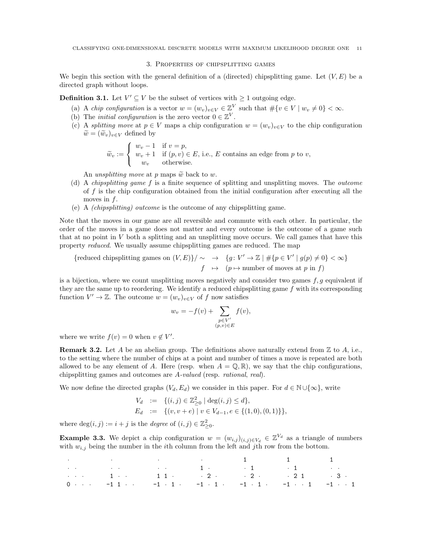# 3. Properties of chipsplitting games

<span id="page-10-0"></span>We begin this section with the general definition of a (directed) chipsplitting game. Let  $(V, E)$  be a directed graph without loops.

**Definition 3.1.** Let  $V' \subseteq V$  be the subset of vertices with  $\geq 1$  outgoing edge.

- (a) A *chip configuration* is a vector  $w = (w_v)_{v \in V} \in \mathbb{Z}^V$  such that  $\#\{v \in V \mid w_v \neq 0\} < \infty$ .
- (b) The *initial configuration* is the zero vector  $0 \in \mathbb{Z}^V$ .
- (c) A splitting move at  $p \in V$  maps a chip configuration  $w = (w_v)_{v \in V}$  to the chip configuration  $\widetilde{w} = (\widetilde{w}_v)_{v \in V}$  defined by

$$
\widetilde{w}_v := \begin{cases}\nw_v - 1 & \text{if } v = p, \\
w_v + 1 & \text{if } (p, v) \in E \text{, i.e., } E \text{ contains an edge from } p \text{ to } v, \\
w_v & \text{otherwise.} \n\end{cases}
$$

An unsplitting move at p maps  $\tilde{w}$  back to w.

- (d) A chipsplitting game f is a finite sequence of splitting and unsplitting moves. The outcome of  $f$  is the chip configuration obtained from the initial configuration after executing all the moves in  $f$ .
- (e) A (chipsplitting) outcome is the outcome of any chipsplitting game.

Note that the moves in our game are all reversible and commute with each other. In particular, the order of the moves in a game does not matter and every outcome is the outcome of a game such that at no point in  $V$  both a splitting and an unsplitting move occurs. We call games that have this property reduced. We usually assume chipsplitting games are reduced. The map

{reduced chipsplitting games on 
$$
(V, E)
$$
}/  $\sim$   $\rightarrow$  { $g: V' \rightarrow \mathbb{Z} \mid \# \{p \in V' \mid g(p) \neq 0\} < \infty$ }  
 $f \mapsto (p \mapsto \text{number of moves at } p \text{ in } f)$ 

is a bijection, where we count unsplitting moves negatively and consider two games  $f, g$  equivalent if they are the same up to reordering. We identify a reduced chipsplitting game  $f$  with its corresponding function  $V' \to \mathbb{Z}$ . The outcome  $w = (w_v)_{v \in V}$  of f now satisfies

$$
w_v = -f(v) + \sum_{\substack{p \in V' \\ (p,v) \in E}} f(v),
$$

where we write  $f(v) = 0$  when  $v \notin V'$ .

**Remark 3.2.** Let A be an abelian group. The definitions above naturally extend from  $\mathbb{Z}$  to A, i.e., to the setting where the number of chips at a point and number of times a move is repeated are both allowed to be any element of A. Here (resp. when  $A = \mathbb{Q}, \mathbb{R}$ ), we say that the chip configurations, chipsplitting games and outcomes are A-valued (resp. rational, real).

We now define the directed graphs  $(V_d, E_d)$  we consider in this paper. For  $d \in \mathbb{N} \cup \{\infty\}$ , write

$$
V_d := \{ (i, j) \in \mathbb{Z}_{\geq 0}^2 \mid \deg(i, j) \leq d \},
$$
  
\n
$$
E_d := \{ (v, v + e) \mid v \in V_{d-1}, e \in \{ (1, 0), (0, 1) \} \},
$$

where  $\deg(i, j) := i + j$  is the *degree* of  $(i, j) \in \mathbb{Z}_{\geq 0}^2$ .

**Example 3.3.** We depict a chip configuration  $w = (w_{i,j})_{(i,j)\in V_d} \in \mathbb{Z}^{V_d}$  as a triangle of numbers with  $w_{i,j}$  being the number in the *i*th column from the left and *j*th row from the bottom.

| where the contribution of the contribution of $\mathbf{1}$ , and the contribution of $\mathbf{1}$ , and the contribution of $\mathbf{1}$ |  |  |  |
|------------------------------------------------------------------------------------------------------------------------------------------|--|--|--|
|                                                                                                                                          |  |  |  |
|                                                                                                                                          |  |  |  |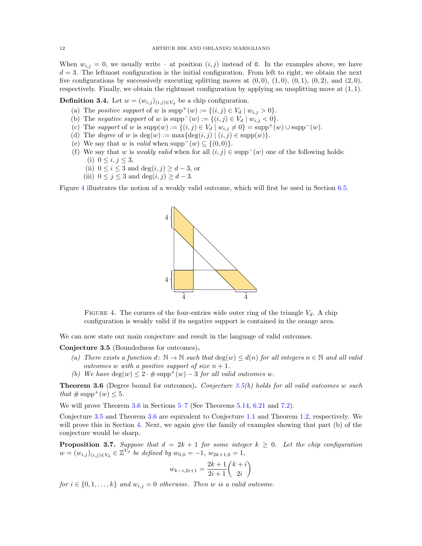When  $w_{i,j} = 0$ , we usually write  $\cdot$  at position  $(i,j)$  instead of 0. In the examples above, we have  $d = 3$ . The leftmost configuration is the initial configuration. From left to right, we obtain the next five configurations by successively executing splitting moves at  $(0, 0)$ ,  $(1, 0)$ ,  $(0, 1)$ ,  $(0, 2)$ , and  $(2, 0)$ , respectively. Finally, we obtain the rightmost configuration by applying an unsplitting move at (1, 1).

**Definition 3.4.** Let  $w = (w_{i,j})_{(i,j)\in V_d}$  be a chip configuration.

- (a) The *positive support* of w is  $supp^{+}(w) := \{(i, j) \in V_d \mid w_{i,j} > 0\}.$
- (b) The negative support of w is  $\text{supp}^-(w) := \{(i,j) \in V_d \mid w_{i,j} < 0\}.$
- (c) The support of w is  $supp(w) := \{(i, j) \in V_d \mid w_{i,j} \neq 0\} = supp^+(w) \cup supp^-(w)$ .
- (d) The *degree* of w is deg(w) :=  $\max{\{\deg(i, j) | (i, j) \in \text{supp}(w)\}}$ .
- (e) We say that w is valid when supp<sup>-</sup>(w)  $\subseteq \{(0,0)\}.$
- (f) We say that w is weakly valid when for all  $(i, j) \in \text{supp}^{-}(w)$  one of the following holds: (i)  $0 \le i, j \le 3$ ,
	- (ii)  $0 \leq i \leq 3$  and  $\deg(i, j) \geq d 3$ , or
	- (iii)  $0 \leq j \leq 3$  and  $\deg(i, j) \geq d 3$ .

Figure [4](#page-11-1) illustrates the notion of a weakly valid outcome, which will first be used in Section [6.5.](#page-29-0)



<span id="page-11-1"></span>FIGURE 4. The corners of the four-entries wide outer ring of the triangle  $V_d$ . A chip configuration is weakly valid if its negative support is contained in the orange area.

We can now state our main conjecture and result in the language of valid outcomes.

<span id="page-11-0"></span>Conjecture 3.5 (Boundedness for outcomes).

- (a) There exists a function d:  $\mathbb{N} \to \mathbb{N}$  such that  $\deg(w) \leq d(n)$  for all integers  $n \in \mathbb{N}$  and all valid outcomes w with a positive support of size  $n + 1$ .
- (b) We have  $deg(w) \leq 2 \cdot \# supp^+(w) 3$  for all valid outcomes w.

<span id="page-11-2"></span>**Theorem 3.6** (Degree bound for outcomes). Conjecture [3.5\(](#page-11-0)b) holds for all valid outcomes w such that  $\#\text{supp}^+(w) \leq 5$ .

We will prove Theorem [3.6](#page-11-2) in Sections [5–](#page-21-0)[7](#page-34-0) (See Theorems [5.14,](#page-25-0) [6.21](#page-34-1) and [7.2\)](#page-35-0).

Conjecture [3.5](#page-11-0) and Theorem [3.6](#page-11-2) are equivalent to Conjecture [1.1](#page-1-0) and Theorem [1.2,](#page-1-1) respectively. We will prove this in Section [4.](#page-19-0) Next, we again give the family of examples showing that part (b) of the conjecture would be sharp.

<span id="page-11-3"></span>**Proposition 3.7.** Suppose that  $d = 2k + 1$  for some integer  $k \ge 0$ . Let the chip configuration  $w = (w_{i,j})_{(i,j) \in V_d} \in \mathbb{Z}^{V_d}$  be defined by  $w_{0,0} = -1$ ,  $w_{2k+1,0} = 1$ ,

$$
w_{k-i,2i+1} = \frac{2k+1}{2i+1} \binom{k+i}{2i}
$$

for  $i \in \{0, 1, \ldots, k\}$  and  $w_{i,j} = 0$  otherwise. Then w is a valid outcome.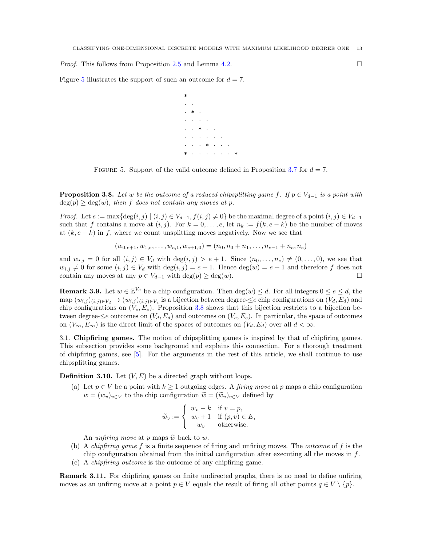*Proof.* This follows from Proposition [2.5](#page-3-1) and Lemma [4.2.](#page-19-1)  $\Box$ 

Figure [5](#page-12-0) illustrates the support of such an outcome for  $d = 7$ .

\* · ·  $\cdot$   $\ast$  $\cdot$   $\cdot$   $\cdot$   $\cdot$   $\cdot$  $\cdot$   $\cdot$  \*  $\cdot$   $\cdot$  $\cdot$   $\cdot$   $\cdot$   $\cdot$   $\cdot$   $\cdot$   $\cdot$  $\cdot$   $\cdot$   $\cdot$   $\cdot$   $\cdot$   $\cdot$   $\cdot$   $\cdot$ \* · · · · · · \*

<span id="page-12-0"></span>FIGURE 5. Support of the valid outcome defined in Proposition [3.7](#page-11-3) for  $d = 7$ .

<span id="page-12-1"></span>**Proposition 3.8.** Let w be the outcome of a reduced chipsplitting game f. If  $p \in V_{d-1}$  is a point with  $deg(p) > deg(w)$ , then f does not contain any moves at p.

*Proof.* Let  $e := \max\{\deg(i, j) \mid (i, j) \in V_{d-1}, f(i, j) \neq 0\}$  be the maximal degree of a point  $(i, j) \in V_{d-1}$ such that f contains a move at  $(i, j)$ . For  $k = 0, \ldots, e$ , let  $n_k := f(k, e - k)$  be the number of moves at  $(k, e - k)$  in f, where we count unsplitting moves negatively. Now we see that

$$
(w_{0,e+1}, w_{1,e}, \ldots, w_{e,1}, w_{e+1,0}) = (n_0, n_0 + n_1, \ldots, n_{e-1} + n_e, n_e)
$$

and  $w_{i,j} = 0$  for all  $(i,j) \in V_d$  with  $\deg(i,j) > e+1$ . Since  $(n_0, \ldots, n_e) \neq (0, \ldots, 0)$ , we see that  $w_{i,j} \neq 0$  for some  $(i, j) \in V_d$  with  $\deg(i, j) = e + 1$ . Hence  $\deg(w) = e + 1$  and therefore f does not contain any moves at any  $p \in V_{d-1}$  with  $\deg(p) \geq \deg(w)$ .

**Remark 3.9.** Let  $w \in \mathbb{Z}^{V_d}$  be a chip configuration. Then  $\deg(w) \leq d$ . For all integers  $0 \leq e \leq d$ , the map  $(w_{i,j})_{(i,j)\in V_d} \mapsto (w_{i,j})_{(i,j)\in V_e}$  is a bijection between degree- $\leq e$  chip configurations on  $(V_d, E_d)$  and chip configurations on  $(V_e, E_e)$ . Proposition [3.8](#page-12-1) shows that this bijection restricts to a bijection between degree- $\leq e$  outcomes on  $(V_d, E_d)$  and outcomes on  $(V_e, E_e)$ . In particular, the space of outcomes on  $(V_{\infty}, E_{\infty})$  is the direct limit of the spaces of outcomes on  $(V_d, E_d)$  over all  $d < \infty$ .

3.1. Chipfiring games. The notion of chipsplitting games is inspired by that of chipfiring games. This subsection provides some background and explains this connection. For a thorough treatment of chipfiring games, see [\[5\]](#page-41-2). For the arguments in the rest of this article, we shall continue to use chipsplitting games.

**Definition 3.10.** Let  $(V, E)$  be a directed graph without loops.

(a) Let  $p \in V$  be a point with  $k \geq 1$  outgoing edges. A *firing move* at p maps a chip configuration  $w = (w_v)_{v \in V}$  to the chip configuration  $\widetilde{w} = (\widetilde{w}_v)_{v \in V}$  defined by

$$
\widetilde{w}_v := \begin{cases}\nw_v - k & \text{if } v = p, \\
w_v + 1 & \text{if } (p, v) \in E, \\
w_v & \text{otherwise.} \n\end{cases}
$$

An unfiring move at p maps  $\tilde{w}$  back to w.

- (b) A *chipfiring game* f is a finite sequence of firing and unfiring moves. The *outcome* of f is the chip configuration obtained from the initial configuration after executing all the moves in  $f$ .
- (c) A chipfiring outcome is the outcome of any chipfiring game.

Remark 3.11. For chipfiring games on finite undirected graphs, there is no need to define unfiring moves as an unfiring move at a point  $p \in V$  equals the result of firing all other points  $q \in V \setminus \{p\}$ .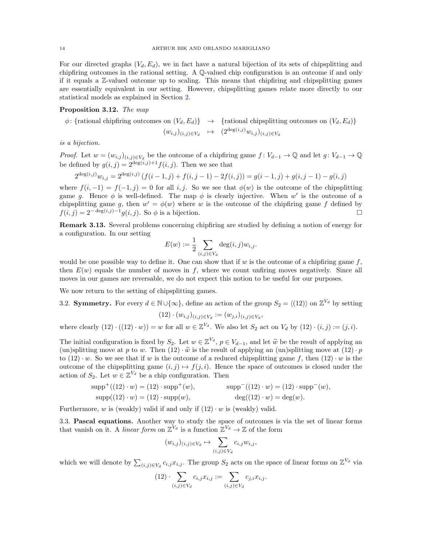For our directed graphs  $(V_d, E_d)$ , we in fact have a natural bijection of its sets of chipsplitting and chipfiring outcomes in the rational setting. A Q-valued chip configuration is an outcome if and only if it equals a Z-valued outcome up to scaling. This means that chipfiring and chipsplitting games are essentially equivalent in our setting. However, chipsplitting games relate more directly to our statistical models as explained in Section [2.](#page-2-0)

# Proposition 3.12. The map

 $\phi$ : {rational chipfiring outcomes on  $(V_d, E_d)$ }  $\rightarrow$  {rational chipsplitting outcomes on  $(V_d, E_d)$ }  $(w_{i,j})_{(i,j)\in V_d} \quad \mapsto \quad (2^{\deg(i,j)}w_{i,j})_{(i,j)\in V_d}$ 

is a bijection.

*Proof.* Let  $w = (w_{i,j})_{(i,j) \in V_d}$  be the outcome of a chipfiring game  $f: V_{d-1} \to \mathbb{Q}$  and let  $g: V_{d-1} \to \mathbb{Q}$ be defined by  $g(i, j) = 2^{\deg(i, j)+1} f(i, j)$ . Then we see that

$$
2^{\deg(i,j)}w_{i,j} = 2^{\deg(i,j)}\left(f(i-1,j) + f(i,j-1) - 2f(i,j)\right) = g(i-1,j) + g(i,j-1) - g(i,j)
$$

where  $f(i, -1) = f(-1, j) = 0$  for all i, j. So we see that  $\phi(w)$  is the outcome of the chipsplitting game g. Hence  $\phi$  is well-defined. The map  $\phi$  is clearly injective. When w' is the outcome of a chipsplitting game g, then  $w' = \phi(w)$  where w is the outcome of the chipfiring game f defined by  $f(i, j) = 2^{-\deg(i, j)-1} g(i, j)$ . So  $\phi$  is a bijection.

Remark 3.13. Several problems concerning chipfiring are studied by defining a notion of energy for a configuration. In our setting

$$
E(w) := \frac{1}{2} \sum_{(i,j) \in V_d} \deg(i,j) w_{i,j}.
$$

would be one possible way to define it. One can show that if w is the outcome of a chipfiring game  $f$ , then  $E(w)$  equals the number of moves in f, where we count unfiring moves negatively. Since all moves in our games are reversable, we do not expect this notion to be useful for our purposes.

We now return to the setting of chipsplitting games.

3.2. Symmetry. For every 
$$
d \in \mathbb{N} \cup \{\infty\}
$$
, define an action of the group  $S_2 = \langle (12) \rangle$  on  $\mathbb{Z}^{V_d}$  by setting

$$
(12) \cdot (w_{i,j})_{(i,j) \in V_d} := (w_{j,i})_{(i,j) \in V_d},
$$

where clearly  $(12) \cdot ((12) \cdot w) = w$  for all  $w \in \mathbb{Z}^{V_d}$ . We also let  $S_2$  act on  $V_d$  by  $(12) \cdot (i, j) := (j, i)$ .

The initial configuration is fixed by  $S_2$ . Let  $w \in \mathbb{Z}^{V_d}$ ,  $p \in V_{d-1}$ , and let  $\tilde{w}$  be the result of applying an  $\mu$  applying the fundamental  $(12)$  and  $(13)$ (un)splitting move at p to w. Then  $(12) \cdot \tilde{w}$  is the result of applying an (un)splitting move at  $(12) \cdot p$ to  $(12) \cdot w$ . So we see that if w is the outcome of a reduced chipsplitting game f, then  $(12) \cdot w$  is the outcome of the chipsplitting game  $(i, j) \mapsto f(j, i)$ . Hence the space of outcomes is closed under the action of  $S_2$ . Let  $w \in \mathbb{Z}^{V_d}$  be a chip configuration. Then

$$
supp^{+}((12) \cdot w) = (12) \cdot supp^{+}(w), \qquad supp^{-}((12) \cdot w) = (12) \cdot supp^{-}(w),
$$
  
\n
$$
supp((12) \cdot w) = (12) \cdot supp(w), \qquad deg((12) \cdot w) = deg(w).
$$

Furthermore, w is (weakly) valid if and only if  $(12) \cdot w$  is (weakly) valid.

3.3. Pascal equations. Another way to study the space of outcomes is via the set of linear forms that vanish on it. A *linear form* on  $\mathbb{Z}^{V_d}$  is a function  $\mathbb{Z}^{V_d} \to \mathbb{Z}$  of the form

$$
(w_{i,j})_{(i,j)\in V_d} \mapsto \sum_{(i,j)\in V_d} c_{i,j} w_{i,j},
$$

which we will denote by  $\sum_{(i,j)\in V_d} c_{i,j}x_{i,j}$ . The group  $S_2$  acts on the space of linear forms on  $\mathbb{Z}^{V_d}$  via

$$
(12) \cdot \sum_{(i,j)\in V_d} c_{i,j} x_{i,j} := \sum_{(i,j)\in V_d} c_{j,i} x_{i,j}.
$$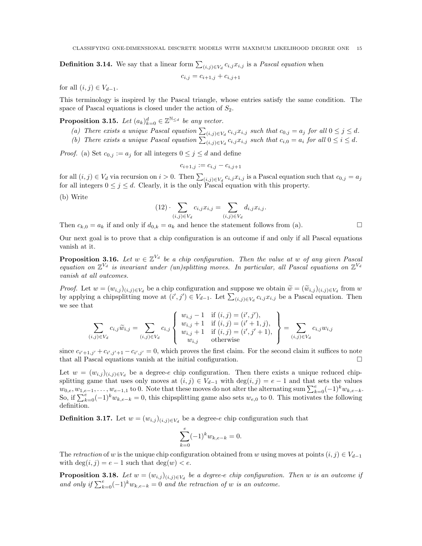**Definition 3.14.** We say that a linear form  $\sum_{(i,j)\in V_d} c_{i,j}x_{i,j}$  is a *Pascal equation* when

$$
c_{i,j}=c_{i+1,j}+c_{i,j+1}\,
$$

for all  $(i, j) \in V_{d-1}$ .

This terminology is inspired by the Pascal triangle, whose entries satisfy the same condition. The space of Pascal equations is closed under the action of  $S_2$ .

<span id="page-14-0"></span>**Proposition 3.15.** Let  $(a_k)_{k=0}^d \in \mathbb{Z}^{\mathbb{N} \leq d}$  be any vector.

- (a) There exists a unique Pascal equation  $\sum_{(i,j)\in V_d} c_{i,j}x_{i,j}$  such that  $c_{0,j} = a_j$  for all  $0 \le j \le d$ .
- (b) There exists a unique Pascal equation  $\sum_{(i,j)\in V_d} c_{i,j}x_{i,j}$  such that  $c_{i,0} = a_i$  for all  $0 \le i \le d$ .

*Proof.* (a) Set  $c_{0,j} := a_j$  for all integers  $0 \leq j \leq d$  and define

$$
c_{i+1,j} := c_{i,j} - c_{i,j+1}
$$

for all  $(i, j) \in V_d$  via recursion on  $i > 0$ . Then  $\sum_{(i,j) \in V_d} c_{i,j} x_{i,j}$  is a Pascal equation such that  $c_{0,j} = a_j$ for all integers  $0 \leq j \leq d$ . Clearly, it is the only Pascal equation with this property.

(b) Write

$$
(12) \cdot \sum_{(i,j)\in V_d} c_{i,j} x_{i,j} = \sum_{(i,j)\in V_d} d_{i,j} x_{i,j}.
$$

Then  $c_{k,0} = a_k$  if and only if  $d_{0,k} = a_k$  and hence the statement follows from (a).

Our next goal is to prove that a chip configuration is an outcome if and only if all Pascal equations vanish at it.

**Proposition 3.16.** Let  $w \in \mathbb{Z}^{V_d}$  be a chip configuration. Then the value at w of any given Pascal equation on  $\mathbb{Z}^{V_d}$  is invariant under (un)splitting moves. In particular, all Pascal equations on  $\mathbb{Z}^{V_d}$ vanish at all outcomes.

*Proof.* Let  $w = (w_{i,j})_{(i,j)\in V_d}$  be a chip configuration and suppose we obtain  $\widetilde{w} = (\widetilde{w}_{i,j})_{(i,j)\in V_d}$  from w<br>by applying a chipplitting move at  $(i', i') \in V_d$ . Let  $\sum_{i=1}^{\infty} a_i x_i$ , he a Pessal quation. Then by applying a chipsplitting move at  $(i',j') \in V_{d-1}$ . Let  $\sum_{(i,j) \in V_d} c_{i,j} x_{i,j}$  be a Pascal equation. Then we see that

$$
\sum_{(i,j)\in V_d} c_{i,j}\widetilde{w}_{i,j} = \sum_{(i,j)\in V_d} c_{i,j} \begin{cases} w_{i,j} - 1 & \text{if } (i,j) = (i',j'),\\ w_{i,j} + 1 & \text{if } (i,j) = (i'+1,j),\\ w_{i,j} + 1 & \text{if } (i,j) = (i',j'+1),\\ w_{i,j} & \text{otherwise} \end{cases} = \sum_{(i,j)\in V_d} c_{i,j}w_{i,j}
$$

since  $c_{i'+1,j'} + c_{i',j'+1} - c_{i',j'} = 0$ , which proves the first claim. For the second claim it suffices to note that all Pascal equations vanish at the initial configuration.  $\Box$ 

Let  $w = (w_{i,j})_{(i,j) \in V_d}$  be a degree-e chip configuration. Then there exists a unique reduced chipsplitting game that uses only moves at  $(i, j) \in V_{d-1}$  with  $\deg(i, j) = e - 1$  and that sets the values  $w_{0,e}, w_{1,e-1}, \ldots, w_{e-1,1}$  to 0. Note that these moves do not alter the alternating sum  $\sum_{k=0}^{e}(-1)^{k}w_{k,e-k}$ . So, if  $\sum_{k=0}^{e}(-1)^{k}w_{k,e-k}=0$ , this chipsplitting game also sets  $w_{e,0}$  to 0. This motivates the following definition.

**Definition 3.17.** Let  $w = (w_{i,j})_{(i,j) \in V_d}$  be a degree-e chip configuration such that

$$
\sum_{k=0}^{e} (-1)^k w_{k,e-k} = 0.
$$

The retraction of w is the unique chip configuration obtained from w using moves at points  $(i, j) \in V_{d-1}$ with  $\deg(i, j) = e - 1$  such that  $\deg(w) < e$ .

<span id="page-14-1"></span>**Proposition 3.18.** Let  $w = (w_{i,j})_{(i,j) \in V_d}$  be a degree-e chip configuration. Then w is an outcome if and only if  $\sum_{k=0}^{e}(-1)^{k}w_{k,e-k}=0$  and the retraction of w is an outcome.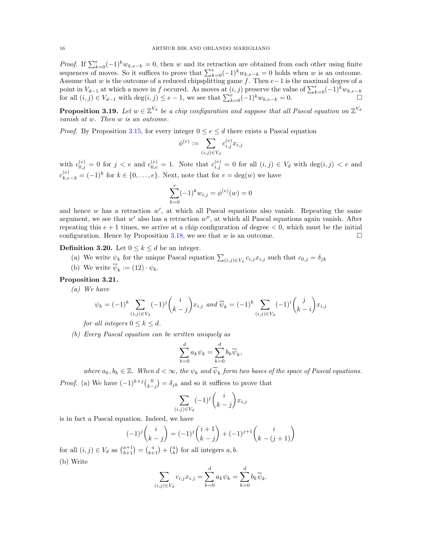*Proof.* If  $\sum_{k=0}^{e}(-1)^{k}w_{k,e-k}=0$ , then w and its retraction are obtained from each other using finite sequences of moves. So it suffices to prove that  $\sum_{k=0}^{e}(-1)^{k}w_{k,e-k}=0$  holds when w is an outcome. Assume that w is the outcome of a reduced chipsplitting game f. Then  $e-1$  is the maximal degree of a point in  $V_{d-1}$  at which a move in f occured. As moves at  $(i, j)$  preserve the value of  $\sum_{k=0}^{e}(-1)^{k}w_{k, e-k}$ for all  $(i, j) \in V_{d-1}$  with  $\deg(i, j) \leq e-1$ , we see that  $\sum_{k=0}^{e} (-1)^k w_{k,e-k} = 0$ .

**Proposition 3.19.** Let  $w \in \mathbb{Z}^{V_d}$  be a chip configuration and suppose that all Pascal equation on  $\mathbb{Z}^{V_d}$ vanish at w. Then w is an outcome.

*Proof.* By Proposition [3.15,](#page-14-0) for every integer  $0 \le e \le d$  there exists a Pascal equation

$$
\phi^{(e)} := \sum_{(i,j) \in V_d} c_{i,j}^{(e)} x_{i,j}
$$

with  $c_{0,j}^{(e)} = 0$  for  $j < e$  and  $c_{0,e}^{(e)} = 1$ . Note that  $c_{i,j}^{(e)} = 0$  for all  $(i,j) \in V_d$  with  $\deg(i,j) < e$  and  $c_{k,e-k}^{(e)} = (-1)^k$  for  $k \in \{0, \ldots, e\}$ . Next, note that for  $e = \deg(w)$  we have

$$
\sum_{k=0}^{e} (-1)^k w_{i,j} = \phi^{(e)}(w) = 0
$$

and hence  $w$  has a retraction  $w'$ , at which all Pascal equations also vanish. Repeating the same argument, we see that  $w'$  also has a retraction  $w''$ , at which all Pascal equations again vanish. After repeating this  $e + 1$  times, we arrive at a chip configuration of degree  $\lt 0$ , which must be the initial configuration. Hence by Proposition [3.18,](#page-14-1) we see that w is an outcome.  $\square$ 

**Definition 3.20.** Let  $0 \leq k \leq d$  be an integer.

- (a) We write  $\psi_k$  for the unique Pascal equation  $\sum_{(i,j)\in V_d} c_{i,j}x_{i,j}$  such that  $c_{0,j} = \delta_{jk}$
- (b) We write  $\overline{\psi}_k := (12) \cdot \psi_k$ .

# <span id="page-15-0"></span>Proposition 3.21.

(a) We have

$$
\psi_k = (-1)^k \sum_{(i,j) \in V_d} (-1)^j {i \choose k-j} x_{i,j} \text{ and } \overline{\psi}_k = (-1)^k \sum_{(i,j) \in V_d} (-1)^i {j \choose k-i} x_{i,j}
$$

for all integers  $0 \leq k \leq d$ .

(b) Every Pascal equation can be written uniquely as

$$
\sum_{k=0}^{d} a_k \psi_k = \sum_{k=0}^{d} b_k \overline{\psi}_k,
$$

where  $a_k, b_k \in \mathbb{Z}$ . When  $d < \infty$ , the  $\psi_k$  and  $\overline{\psi}_k$  form two bases of the space of Pascal equations.

*Proof.* (a) We have 
$$
(-1)^{k+j} {0 \choose k-j} = \delta_{jk}
$$
 and so it suffices to prove that

$$
\sum_{(i,j)\in V_d} (-1)^j \binom{i}{k-j} x_{i,j}
$$

is in fact a Pascal equation. Indeed, we have

$$
(-1)^j \binom{i}{k-j} = (-1)^j \binom{i+1}{k-j} + (-1)^{j+1} \binom{i}{k-(j+1)}
$$

for all  $(i, j) \in V_d$  as  $\binom{a+1}{b+1} = \binom{a}{b+1} + \binom{a}{b}$  for all integers  $a, b$ . (b) Write

$$
\sum_{(i,j)\in V_d} c_{i,j} x_{i,j} = \sum_{k=0}^d a_k \psi_k = \sum_{k=0}^d b_k \overline{\psi}_k.
$$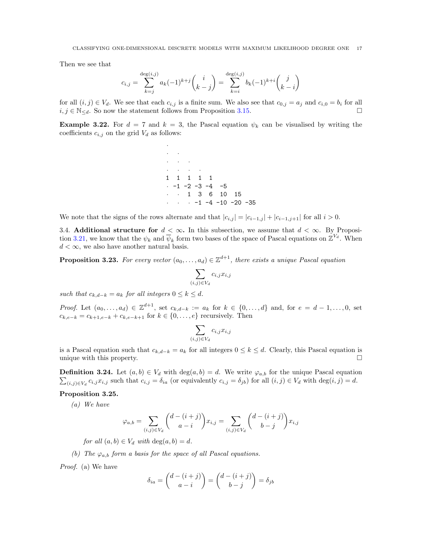Then we see that

$$
c_{i,j} = \sum_{k=j}^{\deg(i,j)} a_k (-1)^{k+j} {i \choose k-j} = \sum_{k=i}^{\deg(i,j)} b_k (-1)^{k+i} {j \choose k-i}
$$

for all  $(i, j) \in V_d$ . We see that each  $c_{i,j}$  is a finite sum. We also see that  $c_{0,i} = a_j$  and  $c_{i,0} = b_i$  for all  $i, j \in \mathbb{N}_{\le d}$ . So now the statement follows from Proposition [3.15.](#page-14-0)

**Example 3.22.** For  $d = 7$  and  $k = 3$ , the Pascal equation  $\psi_k$  can be visualised by writing the coefficients  $c_{i,j}$  on the grid  $V_d$  as follows:

> ·  $\cdot$   $\cdot$  $\cdot$   $\cdot$   $\cdot$   $\cdot$  $\cdot$   $\cdot$   $\cdot$   $\cdot$   $\cdot$   $\cdot$ 1 1 1 1 1 · -1 -2 -3 -4 -5 · · 1 3 6 10 15  $\cdot \cdot \cdot \cdot -1 -4 -10 -20 -35$

We note that the signs of the rows alternate and that  $|c_{i,j}| = |c_{i-1,j}| + |c_{i-1,j+1}|$  for all  $i > 0$ .

3.4. Additional structure for  $d < \infty$ . In this subsection, we assume that  $d < \infty$ . By Proposi-tion [3.21,](#page-15-0) we know that the  $\psi_k$  and  $\overline{\psi}_k$  form two bases of the space of Pascal equations on  $\mathbb{Z}^{V_d}$ . When  $d < \infty$ , we also have another natural basis.

**Proposition 3.23.** For every vector  $(a_0, \ldots, a_d) \in \mathbb{Z}^{d+1}$ , there exists a unique Pascal equation

$$
\sum_{(i,j)\in V_d} c_{i,j} x_{i,j}
$$

such that  $c_{k,d-k} = a_k$  for all integers  $0 \leq k \leq d$ .

*Proof.* Let  $(a_0, ..., a_d) \in \mathbb{Z}^{d+1}$ , set  $c_{k,d-k} := a_k$  for  $k \in \{0, ..., d\}$  and, for  $e = d-1, ..., 0$ , set  $c_{k,e-k} = c_{k+1,e-k} + c_{k,e-k+1}$  for  $k \in \{0, ..., e\}$  recursively. Then

$$
\sum_{(i,j)\in V_d} c_{i,j} x_{i,j}
$$

is a Pascal equation such that  $c_{k,d-k} = a_k$  for all integers  $0 \le k \le d$ . Clearly, this Pascal equation is unique with this property.

**Definition 3.24.** Let  $(a, b) \in V_d$  with  $\deg(a, b) = d$ . We write  $\varphi_{a,b}$  for the unique Pascal equation  $\sum_{(i,j)\in V_d} c_{i,j}x_{i,j}$  such that  $c_{i,j} = \delta_{ia}$  (or equivalently  $c_{i,j} = \delta_{jb}$ ) for all  $(i,j) \in V_d$  with  $\deg(i,j) = d$ .

## <span id="page-16-0"></span>Proposition 3.25.

(a) We have

$$
\varphi_{a,b} = \sum_{(i,j)\in V_d} \binom{d-(i+j)}{a-i} x_{i,j} = \sum_{(i,j)\in V_d} \binom{d-(i+j)}{b-j} x_{i,j}
$$

for all  $(a, b) \in V_d$  with  $deg(a, b) = d$ .

(b) The  $\varphi_{a,b}$  form a basis for the space of all Pascal equations.

Proof. (a) We have

$$
\delta_{ia} = \binom{d - (i + j)}{a - i} = \binom{d - (i + j)}{b - j} = \delta_{jb}
$$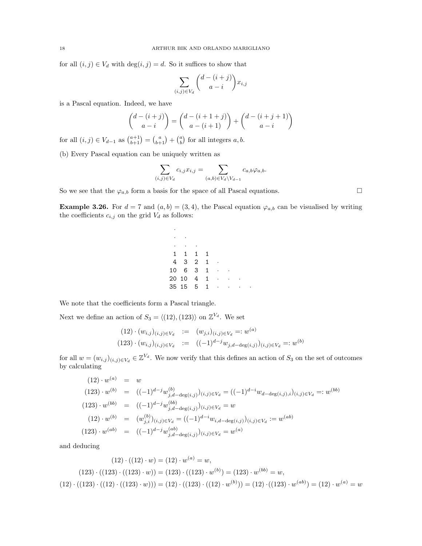for all  $(i, j) \in V_d$  with  $\deg(i, j) = d$ . So it suffices to show that

$$
\sum_{(i,j)\in V_d} \binom{d-(i+j)}{a-i} x_{i,j}
$$

is a Pascal equation. Indeed, we have

$$
\binom{d-(i+j)}{a-i} = \binom{d-(i+1+j)}{a-(i+1)} + \binom{d-(i+j+1)}{a-i}
$$

for all  $(i, j) \in V_{d-1}$  as  $\binom{a+1}{b+1} = \binom{a}{b+1} + \binom{a}{b}$  for all integers  $a, b$ .

(b) Every Pascal equation can be uniquely written as

$$
\sum_{(i,j)\in V_d} c_{i,j} x_{i,j} = \sum_{(a,b)\in V_d\backslash V_{d-1}} c_{a,b} \varphi_{a,b}.
$$

So we see that the  $\varphi_{a,b}$  form a basis for the space of all Pascal equations.

**Example 3.26.** For  $d = 7$  and  $(a, b) = (3, 4)$ , the Pascal equation  $\varphi_{a,b}$  can be visualised by writing the coefficients  $c_{i,j}$  on the grid  $V_d$  as follows:

> ·  $\cdot$   $\cdot$  $\cdot$   $\cdot$   $\cdot$   $\cdot$ 1 1 1 1 4 3 2 1 · 10 6 3 1 20 10 4 1 · · · 35 15 5 1 · · · ·

We note that the coefficients form a Pascal triangle.

Next we define an action of  $S_3 = \langle (12), (123) \rangle$  on  $\mathbb{Z}^{V_d}$ . We set

$$
(12) \cdot (w_{i,j})_{(i,j)\in V_d} := (w_{j,i})_{(i,j)\in V_d} =: w^{(a)}
$$
  

$$
(123) \cdot (w_{i,j})_{(i,j)\in V_d} := ((-1)^{d-j} w_{j,d-\deg(i,j)})_{(i,j)\in V_d} =: w^{(b)}
$$

for all  $w = (w_{i,j})_{(i,j)\in V_d} \in \mathbb{Z}^{V_d}$ . We now verify that this defines an action of  $S_3$  on the set of outcomes by calculating

$$
(12) \cdot w^{(a)} = w
$$
  
\n
$$
(123) \cdot w^{(b)} = ((-1)^{d-j} w_{j,d-\deg(i,j)}^{(b)})_{(i,j)\in V_d} = ((-1)^{d-i} w_{d-\deg(i,j),i})_{(i,j)\in V_d} =: w^{(bb)}
$$
  
\n
$$
(123) \cdot w^{(bb)} = ((-1)^{d-j} w_{j,d-\deg(i,j)}^{(bb)})_{(i,j)\in V_d} = w
$$
  
\n
$$
(12) \cdot w^{(b)} = (w_{j,i}^{(b)})_{(i,j)\in V_d} = ((-1)^{d-i} w_{i,d-\deg(i,j)})_{(i,j)\in V_d} := w^{(ab)}
$$
  
\n
$$
(123) \cdot w^{(ab)} = ((-1)^{d-j} w_{j,d-\deg(i,j)}^{(ab)})_{(i,j)\in V_d} = w^{(a)}
$$

and deducing

$$
(12) \cdot ((12) \cdot w) = (12) \cdot w^{(a)} = w,
$$
  
\n
$$
(123) \cdot ((123) \cdot ((123) \cdot w)) = (123) \cdot ((123) \cdot w^{(b)}) = (123) \cdot w^{(bb)} = w,
$$
  
\n
$$
(12) \cdot ((123) \cdot ((123) \cdot w))) = (12) \cdot ((123) \cdot ((12) \cdot w^{(b)})) = (12) \cdot ((123) \cdot w^{(ab)}) = (12) \cdot w^{(a)} = w
$$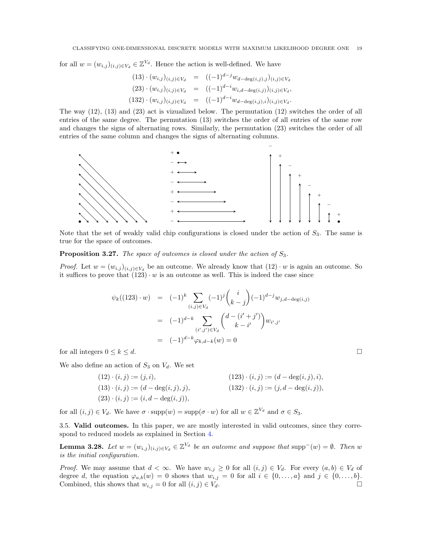for all  $w = (w_{i,j})_{(i,j)\in V_d} \in \mathbb{Z}^{V_d}$ . Hence the action is well-defined. We have

$$
(13) \cdot (w_{i,j})_{(i,j) \in V_d} = ((-1)^{d-j} w_{d-\deg(i,j),j})_{(i,j) \in V_d}
$$
  

$$
(23) \cdot (w_{i,j})_{(i,j) \in V_d} = ((-1)^{d-i} w_{i,d-\deg(i,j)})_{(i,j) \in V_d},
$$
  

$$
(132) \cdot (w_{i,j})_{(i,j) \in V_d} = ((-1)^{d-i} w_{d-\deg(i,j),i})_{(i,j) \in V_d}.
$$

The way (12), (13) and (23) act is vizualized below. The permutation (12) switches the order of all entries of the same degree. The permutation (13) switches the order of all entries of the same row and changes the signs of alternating rows. Similarly, the permutation (23) switches the order of all entries of the same column and changes the signs of alternating columns.



Note that the set of weakly valid chip configurations is closed under the action of  $S_3$ . The same is true for the space of outcomes.

# **Proposition 3.27.** The space of outcomes is closed under the action of  $S_3$ .

*Proof.* Let  $w = (w_{i,j})_{(i,j) \in V_d}$  be an outcome. We already know that  $(12) \cdot w$  is again an outcome. So it suffices to prove that  $(123) \cdot w$  is an outcome as well. This is indeed the case since

$$
\psi_k((123) \cdot w) = (-1)^k \sum_{(i,j) \in V_d} (-1)^j {i \choose k-j} (-1)^{d-j} w_{j,d-\deg(i,j)}
$$
  

$$
= (-1)^{d-k} \sum_{(i',j') \in V_d} {d-(i'+j') \choose k-i'} w_{i',j'}
$$
  

$$
= (-1)^{d-k} \varphi_{k,d-k}(w) = 0
$$

for all integers  $0 \leq k \leq d$ .

We also define an action of  $S_3$  on  $V_d$ . We set

(12) 
$$
\cdot (i, j) := (j, i),
$$
  
\n(13)  $\cdot (i, j) := (d - \deg(i, j), j),$   
\n(13)  $\cdot (i, j) := (d - \deg(i, j), j),$   
\n(132)  $\cdot (i, j) := (j, d - \deg(i, j)),$   
\n(133)  $\cdot (i, j) := (j, d - \deg(i, j)),$ 

for all  $(i, j) \in V_d$ . We have  $\sigma \cdot \text{supp}(w) = \text{supp}(\sigma \cdot w)$  for all  $w \in \mathbb{Z}^{V_d}$  and  $\sigma \in S_3$ .

3.5. Valid outcomes. In this paper, we are mostly interested in valid outcomes, since they correspond to reduced models as explained in Section [4.](#page-19-0)

<span id="page-18-0"></span>**Lemma 3.28.** Let  $w = (w_{i,j})_{(i,j)\in V_d} \in \mathbb{Z}^{V_d}$  be an outcome and suppose that supp<sup>-</sup>(w) =  $\emptyset$ . Then w is the initial configuration.

*Proof.* We may assume that  $d < \infty$ . We have  $w_{i,j} \geq 0$  for all  $(i,j) \in V_d$ . For every  $(a,b) \in V_d$  of degree d, the equation  $\varphi_{a,b}(w) = 0$  shows that  $w_{i,j} = 0$  for all  $i \in \{0, \ldots, a\}$  and  $j \in \{0, \ldots, b\}$ . Combined, this shows that  $w_{i,j} = 0$  for all  $(i, j) \in V_d$ .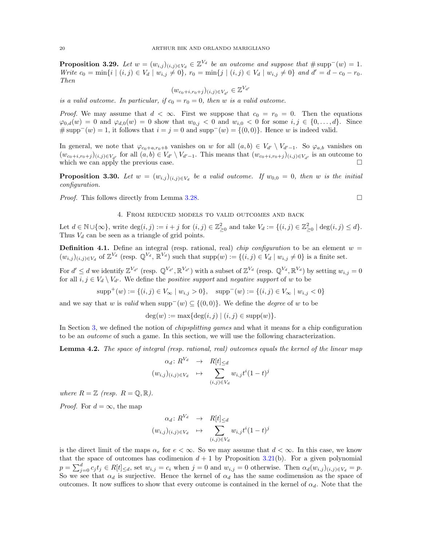**Proposition 3.29.** Let  $w = (w_{i,j})_{(i,j) \in V_d} \in \mathbb{Z}^{V_d}$  be an outcome and suppose that  $\# \text{supp}^-(w) = 1$ . Write  $c_0 = \min\{i \mid (i, j) \in V_d \mid w_{i,j} \neq 0\}$ ,  $r_0 = \min\{j \mid (i, j) \in V_d \mid w_{i,j} \neq 0\}$  and  $d' = d - c_0 - r_0$ . Then

$$
(w_{c_0+i,r_0+j})_{(i,j)\in V_{d'}}\in \mathbb{Z}^{V_{d'}}
$$

is a valid outcome. In particular, if  $c_0 = r_0 = 0$ , then w is a valid outcome.

*Proof.* We may assume that  $d < \infty$ . First we suppose that  $c_0 = r_0 = 0$ . Then the equations  $\varphi_{0,d}(w) = 0$  and  $\varphi_{d,0}(w) = 0$  show that  $w_{0,j} < 0$  and  $w_{i,0} < 0$  for some  $i, j \in \{0, \ldots, d\}$ . Since # supp<sup> $(v) = 1$ , it follows that  $i = j = 0$  and supp<sup> $(v) = \{(0, 0)\}\)$ . Hence w is indeed valid.</sup></sup>

In general, we note that  $\varphi_{c_0+a,r_0+b}$  vanishes on w for all  $(a, b) \in V_{d'} \setminus V_{d'-1}$ . So  $\varphi_{a,b}$  vanishes on  $(w_{c_0+i,r_0+j})_{(i,j)\in V_{d'}}$  for all  $(a,b)\in V_{d'}\setminus V_{d'-1}$ . This means that  $(w_{c_0+i,r_0+j})_{(i,j)\in V_{d'}}$  is an outcome to which we can apply the previous case.  $\Box$ 

**Proposition 3.30.** Let  $w = (w_{i,j})_{(i,j) \in V_d}$  be a valid outcome. If  $w_{0,0} = 0$ , then w is the initial configuration.

Proof. This follows directly from Lemma [3.28.](#page-18-0)

## 4. From reduced models to valid outcomes and back

<span id="page-19-0"></span>Let  $d \in \mathbb{N} \cup \{\infty\}$ , write  $\deg(i, j) := i + j$  for  $(i, j) \in \mathbb{Z}_{\geq 0}^2$  and take  $V_d := \{(i, j) \in \mathbb{Z}_{\geq 0}^2 \mid \deg(i, j) \leq d\}$ . Thus  $V_d$  can be seen as a triangle of grid points.

**Definition 4.1.** Define an integral (resp. rational, real) *chip configuration* to be an element  $w =$  $(w_{i,j})_{(i,j)\in V_d}$  of  $\mathbb{Z}^{V_d}$  (resp.  $\mathbb{Q}^{V_d}$ ,  $\mathbb{R}^{V_d}$ ) such that  $\text{supp}(w) := \{(i,j)\in V_d \mid w_{i,j}\neq 0\}$  is a finite set.

For  $d' \leq d$  we identify  $\mathbb{Z}^{V_{d'}}$  (resp.  $\mathbb{Q}^{V_{d'}}, \mathbb{R}^{V_{d'}}$ ) with a subset of  $\mathbb{Z}^{V_d}$  (resp.  $\mathbb{Q}^{V_d}, \mathbb{R}^{V_d}$ ) by setting  $w_{i,j} = 0$ for all  $i, j \in V_d \setminus V_{d'}$ . We define the *positive support* and *negative support* of w to be

 $\text{supp}^+(w) := \{(i, j) \in V_\infty \mid w_{i,j} > 0\}, \quad \text{supp}^-(w) := \{(i, j) \in V_\infty \mid w_{i,j} < 0\}$ 

and we say that w is valid when supp<sup> $-(w) \subseteq \{(0,0)\}\)$ . We define the *degree* of w to be</sup>

$$
\deg(w) := \max\{\deg(i,j) \mid (i,j) \in \text{supp}(w)\}.
$$

In Section [3,](#page-10-0) we defined the notion of *chipsplitting games* and what it means for a chip configuration to be an outcome of such a game. In this section, we will use the following characterization.

<span id="page-19-1"></span>Lemma 4.2. The space of integral (resp. rational, real) outcomes equals the kernel of the linear map

$$
\alpha_d: R^{V_d} \rightarrow R[t]_{\leq d}
$$
  

$$
(w_{i,j})_{(i,j)\in V_d} \rightarrow \sum_{(i,j)\in V_d} w_{i,j} t^i (1-t)^j
$$

where  $R = \mathbb{Z}$  (resp.  $R = \mathbb{Q}, \mathbb{R}$ ).

*Proof.* For  $d = \infty$ , the map

$$
\alpha_d: R^{V_d} \rightarrow R[t]_{\leq d}
$$
  

$$
(w_{i,j})_{(i,j)\in V_d} \rightarrow \sum_{(i,j)\in V_d} w_{i,j} t^i (1-t)^j
$$

is the direct limit of the maps  $\alpha_e$  for  $e < \infty$ . So we may assume that  $d < \infty$ . In this case, we know that the space of outcomes has codimenion  $d + 1$  by Proposition [3.21\(](#page-15-0)b). For a given polynomial  $p = \sum_{j=0}^d c_j t_j \in R[t] \leq d$ , set  $w_{i,j} = c_i$  when  $j = 0$  and  $w_{i,j} = 0$  otherwise. Then  $\alpha_d(w_{i,j})_{(i,j) \in V_d} = p$ . So we see that  $\alpha_d$  is surjective. Hence the kernel of  $\alpha_d$  has the same codimension as the space of outcomes. It now suffices to show that every outcome is contained in the kernel of  $\alpha_d$ . Note that the

$$
\Box
$$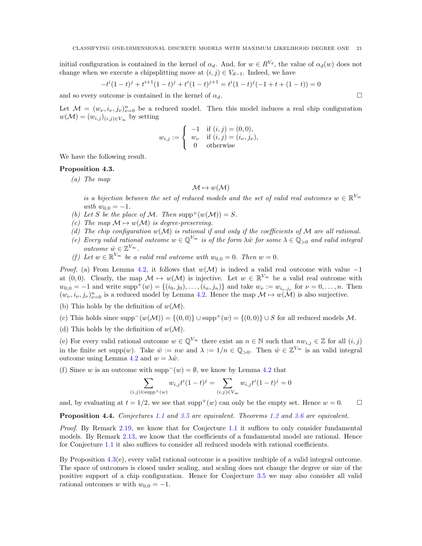initial configuration is contained in the kernel of  $\alpha_d$ . And, for  $w \in R^{V_d}$ , the value of  $\alpha_d(w)$  does not change when we execute a chipsplitting move at  $(i, j) \in V_{d-1}$ . Indeed, we have

$$
-t^{i}(1-t)^{j} + t^{i+1}(1-t)^{j} + t^{i}(1-t)^{j+1} = t^{i}(1-t)^{j}(-1+t+(1-t)) = 0
$$

and so every outcome is contained in the kernel of  $\alpha_d$ .

Let  $\mathcal{M} = (w_{\nu}, i_{\nu}, j_{\nu})_{\nu=0}^n$  be a reduced model. Then this model induces a real chip configuration  $w(\mathcal{M}) = (w_{i,j})_{(i,j)\in V_{\infty}}$  by setting

$$
w_{i,j} := \begin{cases} -1 & \text{if } (i,j) = (0,0), \\ w_{\nu} & \text{if } (i,j) = (i_{\nu}, j_{\nu}), \\ 0 & \text{otherwise} \end{cases}
$$

We have the following result.

#### <span id="page-20-0"></span>Proposition 4.3.

(a) The map

# $\mathcal{M} \mapsto w(\mathcal{M})$

is a bijection between the set of reduced models and the set of valid real outcomes  $w \in \mathbb{R}^{V_{\infty}}$ with  $w_{0,0} = -1$ .

- (b) Let S be the place of M. Then supp<sup>+</sup>(w(M)) = S.
- (c) The map  $\mathcal{M} \mapsto w(\mathcal{M})$  is degree-preserving.
- (d) The chip configuration  $w(\mathcal{M})$  is rational if and only if the coefficients of  $\mathcal M$  are all rational.
- (e) Every valid rational outcome  $w \in \mathbb{Q}^{V_{\infty}}$  is of the form  $\lambda \hat{w}$  for some  $\lambda \in \mathbb{Q}_{>0}$  and valid integral outcome  $\hat{w} \in \mathbb{Z}^{V_{\infty}}$ .
- (f) Let  $w \in \mathbb{R}^{V_{\infty}}$  be a valid real outcome with  $w_{0,0} = 0$ . Then  $w = 0$ .

*Proof.* (a) From Lemma [4.2,](#page-19-1) it follows that  $w(\mathcal{M})$  is indeed a valid real outcome with value -1 at (0,0). Clearly, the map  $\mathcal{M} \mapsto w(\mathcal{M})$  is injective. Let  $w \in \mathbb{R}^{V_{\infty}}$  be a valid real outcome with  $w_{0,0} = -1$  and write  $\text{supp}^+(w) = \{(i_0, j_0), \dots, (i_n, j_n)\}\$ and take  $w_{\nu} := w_{i_{\nu},j_{\nu}}$  for  $\nu = 0, \dots, n$ . Then  $(w_{\nu}, i_{\nu}, j_{\nu})_{\nu=0}^n$  is a reduced model by Lemma [4.2.](#page-19-1) Hence the map  $\mathcal{M} \mapsto w(\mathcal{M})$  is also surjective.

- (b) This holds by the definition of  $w(\mathcal{M})$ .
- (c) This holds since  $supp^{-}(w(\mathcal{M})) = \{(0,0)\} \cup supp^{+}(w) = \{(0,0)\} \cup S$  for all reduced models M.
- (d) This holds by the definition of  $w(\mathcal{M})$ .

(e) For every valid rational outcome  $w \in \mathbb{Q}^{V_\infty}$  there exist an  $n \in \mathbb{N}$  such that  $nw_{i,j} \in \mathbb{Z}$  for all  $(i, j)$ in the finite set supp $(w)$ . Take  $\hat{w} := nw$  and  $\lambda := 1/n \in \mathbb{Q}_{>0}$ . Then  $\hat{w} \in \mathbb{Z}^{V_{\infty}}$  is an valid integral outcome using Lemma [4.2](#page-19-1) and  $w = \lambda \hat{w}$ .

(f) Since w is an outcome with supp<sup>-</sup>(w) =  $\emptyset$ , we know by Lemma [4.2](#page-19-1) that

$$
\sum_{(i,j)\in \text{supp}^+(w)} w_{i,j}t^i(1-t)^j = \sum_{(i,j)\in V_\infty} w_{i,j}t^i(1-t)^j = 0
$$

and, by evaluating at  $t = 1/2$ , we see that supp<sup>+</sup>(w) can only be the empty set. Hence  $w = 0$ .

Proposition 4.4. Conjectures [1.1](#page-1-0) and [3.5](#page-11-0) are equivalent. Theorems [1.2](#page-1-1) and [3.6](#page-11-2) are equivalent.

Proof. By Remark [2.19,](#page-7-2) we know that for Conjecture [1.1](#page-1-0) it suffices to only consider fundamental models. By Remark [2.13,](#page-5-3) we know that the coefficients of a fundamental model are rational. Hence for Conjecture [1.1](#page-1-0) it also suffices to consider all reduced models with rational coefficients.

By Proposition [4.3\(](#page-20-0)e), every valid rational outcome is a positive multiple of a valid integral outcome. The space of outcomes is closed under scaling, and scaling does not change the degree or size of the positive support of a chip configuration. Hence for Conjecture [3.5](#page-11-0) we may also consider all valid rational outcomes w with  $w_{0,0} = -1$ .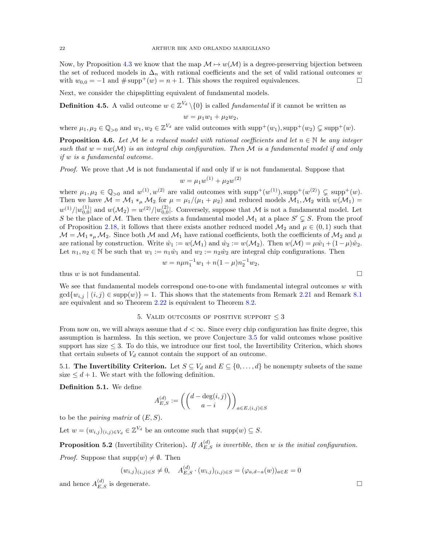Now, by Proposition [4.3](#page-20-0) we know that the map  $\mathcal{M} \mapsto w(\mathcal{M})$  is a degree-preserving bijection between the set of reduced models in  $\Delta_n$  with rational coefficients and the set of valid rational outcomes w with  $w_{0,0} = -1$  and  $\# \text{supp}^+(w) = n+1$ . This shows the required equivalences.

Next, we consider the chipsplitting equivalent of fundamental models.

<span id="page-21-1"></span>**Definition 4.5.** A valid outcome  $w \in \mathbb{Z}^{V_d} \setminus \{0\}$  is called *fundamental* if it cannot be written as

$$
w=\mu_1w_1+\mu_2w_2,
$$

where  $\mu_1, \mu_2 \in \mathbb{Q}_{>0}$  and  $w_1, w_2 \in \mathbb{Z}^{V_d}$  are valid outcomes with  $\text{supp}^+(w_1), \text{supp}^+(w_2) \subsetneq \text{supp}^+(w)$ .

<span id="page-21-2"></span>**Proposition 4.6.** Let M be a reduced model with rational coefficients and let  $n \in \mathbb{N}$  be any integer such that  $w = nw(\mathcal{M})$  is an integral chip configuration. Then M is a fundamental model if and only if w is a fundamental outcome.

*Proof.* We prove that  $M$  is not fundamental if and only if w is not fundamental. Suppose that

$$
w = \mu_1 w^{(1)} + \mu_2 w^{(2)}
$$

where  $\mu_1, \mu_2 \in \mathbb{Q}_{>0}$  and  $w^{(1)}, w^{(2)}$  are valid outcomes with  $\text{supp}^+(w^{(1)}), \text{supp}^+(w^{(2)}) \subsetneq \text{supp}^+(w)$ . Then we have  $\mathcal{M} = \mathcal{M}_1 *_{\mu} \mathcal{M}_2$  for  $\mu = \mu_1/(\mu_1 + \mu_2)$  and reduced models  $\mathcal{M}_1, \mathcal{M}_2$  with  $w(\mathcal{M}_1) =$  $w^{(1)}/|w_{0,0}^{(1)}|$  and  $w(\mathcal{M}_2) = w^{(2)}/|w_{0,0}^{(2)}|$ . Conversely, suppose that M is not a fundamental model. Let S be the place of M. Then there exists a fundamental model  $\mathcal{M}_1$  at a place  $S' \subsetneq S$ . From the proof of Proposition [2.18,](#page-6-0) it follows that there exists another reduced model  $\mathcal{M}_2$  and  $\mu \in (0,1)$  such that  $\mathcal{M} = \mathcal{M}_1 *_{\mu} \mathcal{M}_2$ . Since both  $\mathcal{M}$  and  $\mathcal{M}_1$  have rational coefficients, both the coefficients of  $\mathcal{M}_2$  and  $\mu$ are rational by construction. Write  $\hat{w}_1 := w(\mathcal{M}_1)$  and  $\hat{w}_2 := w(\mathcal{M}_2)$ . Then  $w(\mathcal{M}) = \mu \hat{w}_1 + (1-\mu)\hat{w}_2$ . Let  $n_1, n_2 \in \mathbb{N}$  be such that  $w_1 := n_1 \hat{w}_1$  and  $w_2 := n_2 \hat{w}_2$  are integral chip configurations. Then

$$
w = n\mu n_1^{-1}w_1 + n(1 - \mu)n_2^{-1}w_2,
$$

thus w is not fundamental.

We see that fundamental models correspond one-to-one with fundamental integral outcomes  $w$  with  $\gcd\{w_{i,j} \mid (i,j) \in \text{supp}(w)\} = 1$ . This shows that the statements from Remark [2.21](#page-7-4) and Remark [8.1](#page-39-2) are equivalent and so Theorem [2.22](#page-8-2) is equivalent to Theorem [8.2.](#page-39-1)

#### 5. VALID OUTCOMES OF POSITIVE SUPPORT  $\leq$  3

<span id="page-21-0"></span>From now on, we will always assume that  $d < \infty$ . Since every chip configuration has finite degree, this assumption is harmless. In this section, we prove Conjecture [3.5](#page-11-0) for valid outcomes whose positive support has size  $\leq$  3. To do this, we introduce our first tool, the Invertibility Criterion, which shows that certain subsets of  $V_d$  cannot contain the support of an outcome.

5.1. The Invertibility Criterion. Let  $S \subseteq V_d$  and  $E \subseteq \{0, \ldots, d\}$  be nonempty subsets of the same size  $\leq d+1$ . We start with the following definition.

Definition 5.1. We define

$$
A_{E,S}^{(d)} := \left( \binom{d - \deg(i,j)}{a-i} \right)_{a \in E, (i,j) \in S}
$$

to be the *pairing matrix* of  $(E, S)$ .

Let  $w = (w_{i,j})_{(i,j) \in V_d} \in \mathbb{Z}^{V_d}$  be an outcome such that supp $(w) \subseteq S$ .

**Proposition 5.2** (Invertibility Criterion). If  $A_{E,S}^{(d)}$  is invertible, then w is the initial configuration.

*Proof.* Suppose that  $supp(w) \neq \emptyset$ . Then

$$
(w_{i,j})_{(i,j)\in S} \neq 0, \quad A_{E,S}^{(d)} \cdot (w_{i,j})_{(i,j)\in S} = (\varphi_{a,d-a}(w))_{a\in E} = 0
$$

and hence  $A_{E,S}^{(d)}$  is degenerate.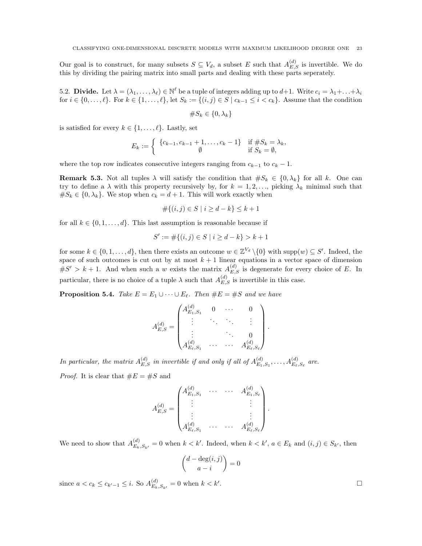Our goal is to construct, for many subsets  $S \subseteq V_d$ , a subset E such that  $A_{E,S}^{(d)}$  is invertible. We do this by dividing the pairing matrix into small parts and dealing with these parts seperately.

5.2. **Divide.** Let  $\lambda = (\lambda_1, \ldots, \lambda_\ell) \in \mathbb{N}^\ell$  be a tuple of integers adding up to  $d+1$ . Write  $c_i = \lambda_1 + \ldots + \lambda_i$ for  $i \in \{0, \ldots, \ell\}$ . For  $k \in \{1, \ldots, \ell\}$ , let  $S_k := \{ (i, j) \in S \mid c_{k-1} \leq i < c_k \}$ . Assume that the condition

$$
\#S_k \in \{0, \lambda_k\}
$$

is satisfied for every  $k \in \{1, \ldots, \ell\}$ . Lastly, set

$$
E_k := \begin{cases} \{c_{k-1}, c_{k-1} + 1, \dots, c_k - 1\} & \text{if } \# S_k = \lambda_k, \\ \emptyset & \text{if } S_k = \emptyset, \end{cases}
$$

where the top row indicates consecutive integers ranging from  $c_{k-1}$  to  $c_k - 1$ .

<span id="page-22-0"></span>**Remark 5.3.** Not all tuples  $\lambda$  will satisfy the condition that  $\#S_k \in \{0, \lambda_k\}$  for all k. One can try to define a  $\lambda$  with this property recursively by, for  $k = 1, 2, \ldots$ , picking  $\lambda_k$  minimal such that  $#S_k \in \{0, \lambda_k\}.$  We stop when  $c_k = d + 1$ . This will work exactly when

$$
\#\{(i,j)\in S \mid i\geq d-k\} \leq k+1
$$

for all  $k \in \{0, 1, \ldots, d\}$ . This last assumption is reasonable because if

$$
S' := \#\{(i, j) \in S \mid i \ge d - k\} > k + 1
$$

for some  $k \in \{0, 1, ..., d\}$ , then there exists an outcome  $w \in \mathbb{Z}^{V_d} \setminus \{0\}$  with  $\text{supp}(w) \subseteq S'$ . Indeed, the space of such outcomes is cut out by at most  $k + 1$  linear equations in a vector space of dimension  $\#S' > k+1$ . And when such a w exists the matrix  $A_{E,S}^{(d)}$  is degenerate for every choice of E. In particular, there is no choice of a tuple  $\lambda$  such that  $A_{E,S}^{(d)}$  is invertible in this case.

<span id="page-22-1"></span>**Proposition 5.4.** Take  $E = E_1 \cup \cdots \cup E_{\ell}$ . Then  $\#E = \#S$  and we have

$$
A_{E,S}^{(d)} = \begin{pmatrix} A_{E_1,S_1}^{(d)} & 0 & \cdots & 0 \\ \vdots & \ddots & \ddots & \vdots \\ \vdots & & \ddots & 0 \\ A_{E_{\ell},S_1}^{(d)} & \cdots & \cdots & A_{E_{\ell},S_{\ell}}^{(d)} \end{pmatrix}
$$

.

.

In particular, the matrix  $A_{E,S}^{(d)}$  in invertible if and only if all of  $A_{E_1}^{(d)}$  $E_{1,S_1}, \ldots, A_{E_{\ell},S_{\ell}}^{(d)}$  are. *Proof.* It is clear that  $\#E = \#S$  and

$$
A_{E,S}^{(d)} = \begin{pmatrix} A_{E_1,S_1}^{(d)} & \cdots & \cdots & A_{E_1,S_\ell}^{(d)} \\ \vdots & & & \vdots \\ \vdots & & & \vdots \\ A_{E_\ell,S_1}^{(d)} & \cdots & \cdots & A_{E_\ell,S_\ell}^{(d)} \end{pmatrix}
$$

We need to show that  $A_{E_k,S_{k'}}^{(d)} = 0$  when  $k < k'$ . Indeed, when  $k < k'$ ,  $a \in E_k$  and  $(i, j) \in S_{k'}$ , then

$$
\binom{d - \deg(i, j)}{a - i} = 0
$$

since  $a < c_k \le c_{k'-1} \le i$ . So  $A_{E_k,S_{k'}}^{(d)} = 0$  when  $k < k'$ 

.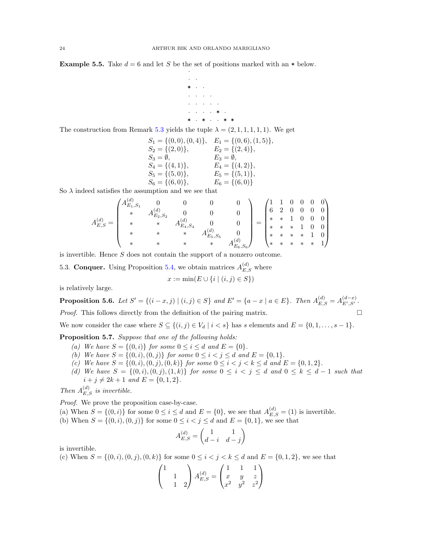**Example 5.5.** Take  $d = 6$  and let S be the set of positions marked with an  $*$  below. ·

> · ·  $* \cdot \cdot$  $\cdot$   $\cdot$   $\cdot$   $\cdot$   $\cdot$  $\cdot$   $\cdot$   $\cdot$   $\cdot$   $\cdot$   $\cdot$  $\cdot$   $\cdot$   $\cdot$   $\cdot$   $\ast$   $\cdot$  $\cdot$  \*  $\cdot$

The construction from Remark [5.3](#page-22-0) yields the tuple  $\lambda = (2, 1, 1, 1, 1, 1)$ . We get

$$
S_1 = \{(0,0), (0,4)\}, E_1 = \{(0,6), (1,5)\},
$$
  
\n
$$
S_2 = \{(2,0)\}, E_2 = \{(2,4)\},
$$
  
\n
$$
S_3 = \emptyset, E_3 = \emptyset,
$$
  
\n
$$
S_4 = \{(4,1)\}, E_4 = \{(4,2)\},
$$
  
\n
$$
S_5 = \{(5,0)\}, E_5 = \{(5,1)\},
$$
  
\n
$$
S_6 = \{(6,0)\}, E_6 = \{(6,0)\}
$$

So  $\lambda$  indeed satisfies the assumption and we see that

$$
A_{E,S}^{(d)} = \begin{pmatrix} A_{E_1,S_1}^{(d)} & 0 & 0 & 0 & 0 \\ * & A_{E_2,S_2}^{(d)} & 0 & 0 & 0 \\ * & * & * & A_{E_4,S_4}^{(d)} & 0 \\ * & * & * & * & A_{E_5,S_5}^{(d)} & 0 \\ * & * & * & * & * & A_{E_6,S_6}^{(d)} \end{pmatrix} = \begin{pmatrix} 1 & 1 & 0 & 0 & 0 & 0 \\ 6 & 2 & 0 & 0 & 0 & 0 \\ * & * & 1 & 0 & 0 & 0 \\ * & * & * & 1 & 0 & 0 \\ * & * & * & * & 1 & 0 \\ * & * & * & * & * & 1 \end{pmatrix}
$$

is invertible. Hence S does not contain the support of a nonzero outcome.

5.3. **Conquer.** Using Proposition [5.4,](#page-22-1) we obtain matrices  $A_{E,S}^{(d)}$  where

$$
x := \min(E \cup \{i \mid (i, j) \in S\})
$$

is relatively large.

<span id="page-23-0"></span>**Proposition 5.6.** Let  $S' = \{(i - x, j) | (i, j) \in S\}$  and  $E' = \{a - x | a \in E\}$ . Then  $A_{E,S}^{(d)} = A_{E',S'}^{(d-x)}$ . *Proof.* This follows directly from the definition of the pairing matrix.  $\Box$ 

We now consider the case where  $S \subseteq \{(i,j) \in V_d \mid i < s\}$  has s elements and  $E = \{0, 1, \ldots, s-1\}$ .

<span id="page-23-1"></span>Proposition 5.7. Suppose that one of the following holds:

- (a) We have  $S = \{(0, i)\}\$  for some  $0 \le i \le d$  and  $E = \{0\}.$
- (b) We have  $S = \{(0, i), (0, j)\}$  for some  $0 \le i < j \le d$  and  $E = \{0, 1\}.$
- (c) We have  $S = \{(0, i), (0, j), (0, k)\}$  for some  $0 \le i < j < k \le d$  and  $E = \{0, 1, 2\}.$
- (d) We have  $S = \{(0, i), (0, j), (1, k)\}\$  for some  $0 \le i \le j \le d$  and  $0 \le k \le d 1$  such that  $i + j \neq 2k + 1$  and  $E = \{0, 1, 2\}.$

Then  $A_{E,S}^{(d)}$  is invertible.

Proof. We prove the proposition case-by-case.

- (a) When  $S = \{(0, i)\}\)$  for some  $0 \leq i \leq d$  and  $E = \{0\}$ , we see that  $A_{E,S}^{(d)} = (1)$  is invertible.
- (b) When  $S = \{(0, i), (0, j)\}\)$  for some  $0 \leq i < j \leq d$  and  $E = \{0, 1\}$ , we see that

$$
A_{E,S}^{(d)} = \begin{pmatrix} 1 & 1\\ d-i & d-j \end{pmatrix}
$$

is invertible.

(c) When 
$$
S = \{(0, i), (0, j), (0, k)\}
$$
 for some  $0 \le i < j < k \le d$  and  $E = \{0, 1, 2\}$ , we see that

$$
\begin{pmatrix} 1 & & \\ & 1 & \\ & & 1 & 2 \end{pmatrix} A_{E,S}^{(d)} = \begin{pmatrix} 1 & 1 & 1 \\ x & y & z \\ x^2 & y^2 & z^2 \end{pmatrix}
$$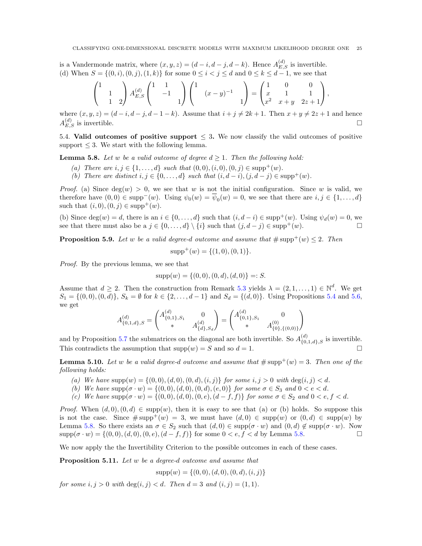is a Vandermonde matrix, where  $(x, y, z) = (d - i, d - j, d - k)$ . Hence  $A_{E,S}^{(d)}$  is invertible. (d) When  $S = \{(0, i), (0, j), (1, k)\}\$  for some  $0 \le i < j \le d$  and  $0 \le k \le d - 1$ , we see that

$$
\begin{pmatrix} 1 & & \\ & 1 & \\ & & 1 & 2 \end{pmatrix} A_{E,S}^{(d)} \begin{pmatrix} 1 & 1 & \\ & -1 & \\ & & 1 \end{pmatrix} \begin{pmatrix} 1 & & \\ & (x-y)^{-1} & \\ & & 1 \end{pmatrix} = \begin{pmatrix} 1 & 0 & 0 \\ x & 1 & 1 \\ x^2 & x+y & 2z+1 \end{pmatrix},
$$

where  $(x, y, z) = (d - i, d - j, d - 1 - k)$ . Assume that  $i + j \neq 2k + 1$ . Then  $x + y \neq 2z + 1$  and hence  $A_{E,S}^{(d)}$  is invertible.

5.4. Valid outcomes of positive support  $\leq$  3. We now classify the valid outcomes of positive support  $\leq$  3. We start with the following lemma.

<span id="page-24-0"></span>**Lemma 5.8.** Let w be a valid outcome of degree  $d \geq 1$ . Then the following hold:

- (a) There are  $i, j \in \{1, ..., d\}$  such that  $(0, 0), (i, 0), (0, j) \in \text{supp}^{+}(w)$ .
- (b) There are distinct  $i, j \in \{0, \ldots, d\}$  such that  $(i, d i), (j, d j) \in \text{supp}^{+}(w)$ .

*Proof.* (a) Since  $deg(w) > 0$ , we see that w is not the initial configuration. Since w is valid, we therefore have  $(0,0) \in \text{supp}^-(w)$ . Using  $\psi_0(w) = \overline{\psi}_0(w) = 0$ , we see that there are  $i, j \in \{1, ..., d\}$ such that  $(i, 0), (0, i) \in \text{supp}^{+}(w)$ .

(b) Since  $\deg(w) = d$ , there is an  $i \in \{0, \ldots, d\}$  such that  $(i, d - i) \in \text{supp}^{+}(w)$ . Using  $\psi_d(w) = 0$ , we see that there must also be a  $j \in \{0, ..., d\} \setminus \{i\}$  such that  $(j, d - j) \in \text{supp}^{+}(w)$ .

**Proposition 5.9.** Let w be a valid degree-d outcome and assume that  $\#\text{supp}^+(w) \leq 2$ . Then

$$
supp^{+}(w) = \{(1,0), (0,1)\}.
$$

Proof. By the previous lemma, we see that

$$
supp(w) = \{(0,0), (0,d), (d,0)\} =: S.
$$

Assume that  $d \geq 2$ . Then the construction from Remark [5.3](#page-22-0) yields  $\lambda = (2, 1, ..., 1) \in \mathbb{N}^d$ . We get  $S_1 = \{(0, 0), (0, d)\}, S_k = \emptyset$  for  $k \in \{2, ..., d-1\}$  and  $S_d = \{(d, 0)\}.$  Using Propositions [5.4](#page-22-1) and [5.6,](#page-23-0) we get

$$
A_{\{0,1,d\},S}^{(d)} = \begin{pmatrix} A_{\{0,1\},S_1}^{(d)} & 0 \\ * & A_{\{d\},S_d}^{(d)} \end{pmatrix} = \begin{pmatrix} A_{\{0,1\},S_1}^{(d)} & 0 \\ * & A_{\{0\},\{(0,0)\}}^{(0)} \end{pmatrix}
$$

and by Proposition [5.7](#page-23-1) the submatrices on the diagonal are both invertible. So  $A_{\{0,1,d\},S}^{(d)}$  is invertible. This contradicts the assumption that  $supp(w) = S$  and so  $d = 1$ .

**Lemma 5.10.** Let w be a valid degree-d outcome and assume that  $\#\text{supp}^{+}(w) = 3$ . Then one of the following holds:

- (a) We have  $supp(w) = \{(0, 0), (d, 0), (0, d), (i, j)\}\$ for some  $i, j > 0$  with  $deg(i, j) < d$ .
- (b) We have  $\text{supp}(\sigma \cdot w) = \{(0,0), (d, 0), (0, d), (e, 0)\}$  for some  $\sigma \in S_3$  and  $0 < e < d$ .
- (c) We have  $\text{supp}(\sigma \cdot w) = \{(0, 0), (d, 0), (0, e), (d f, f)\}\$  for some  $\sigma \in S_2$  and  $0 < \epsilon, f < d$ .

*Proof.* When  $(d, 0), (0, d) \in \text{supp}(w)$ , then it is easy to see that (a) or (b) holds. So suppose this is not the case. Since  $\#\text{supp}^+(w) = 3$ , we must have  $(d, 0) \in \text{supp}(w)$  or  $(0, d) \in \text{supp}(w)$  by Lemma [5.8.](#page-24-0) So there exists an  $\sigma \in S_2$  such that  $(d, 0) \in \text{supp}(\sigma \cdot w)$  and  $(0, d) \notin \text{supp}(\sigma \cdot w)$ . Now  $\text{supp}(\sigma \cdot w) = \{(0, 0), (d, 0), (0, e), (d - f, f)\}\$ for some  $0 < e, f < d$  by Lemma [5.8.](#page-24-0)

We now apply the the Invertibility Criterion to the possible outcomes in each of these cases.

Proposition 5.11. Let w be a degree-d outcome and assume that

 $supp(w) = \{(0, 0), (d, 0), (0, d), (i, j)\}\$ 

for some  $i, j > 0$  with  $deg(i, j) < d$ . Then  $d = 3$  and  $(i, j) = (1, 1)$ .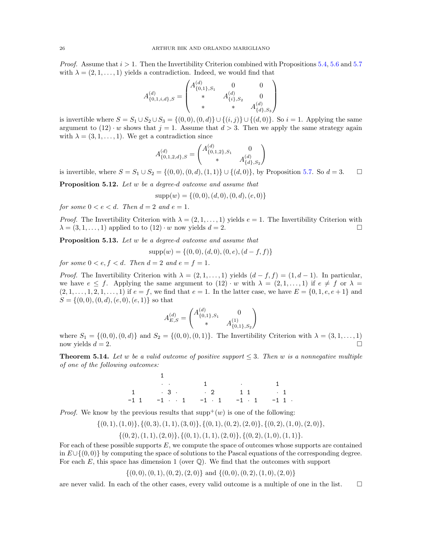*Proof.* Assume that  $i > 1$ . Then the Invertibility Criterion combined with Propositions [5.4,](#page-22-1) [5.6](#page-23-0) and [5.7](#page-23-1) with  $\lambda = (2, 1, \ldots, 1)$  yields a contradiction. Indeed, we would find that

$$
A_{\{0,1,i,d\},S}^{(d)} = \begin{pmatrix} A_{\{0,1\},S_1}^{(d)} & 0 & 0 \\ * & A_{\{i\},S_2}^{(d)} & 0 \\ * & * & A_{\{d\},S_3}^{(d)} \end{pmatrix}
$$

is invertible where  $S = S_1 \cup S_2 \cup S_3 = \{(0,0), (0, d)\} \cup \{(i, j)\} \cup \{(d, 0)\}.$  So  $i = 1$ . Applying the same argument to  $(12) \cdot w$  shows that  $j = 1$ . Assume that  $d > 3$ . Then we apply the same strategy again with  $\lambda = (3, 1, \ldots, 1)$ . We get a contradiction since

$$
A_{\{0,1,2,d\},S}^{(d)} = \begin{pmatrix} A_{\{0,1,2\},S_1}^{(d)} & 0 \\ * & A_{\{d\},S_2}^{(d)} \end{pmatrix}
$$

is invertible, where  $S = S_1 \cup S_2 = \{(0, 0), (0, d), (1, 1)\} \cup \{(d, 0)\}\)$ , by Proposition [5.7.](#page-23-1) So  $d = 3$ .

Proposition 5.12. Let w be a degree-d outcome and assume that

$$
supp(w) = \{(0,0), (d,0), (0,d), (e,0)\}
$$

for some  $0 < e < d$ . Then  $d = 2$  and  $e = 1$ .

*Proof.* The Invertibility Criterion with  $\lambda = (2, 1, \dots, 1)$  yields  $e = 1$ . The Invertibility Criterion with  $\lambda = (3, 1, \ldots, 1)$  applied to to  $(12) \cdot w$  now yields  $d = 2$ .

Proposition 5.13. Let w be a degree-d outcome and assume that

$$
supp(w) = \{(0,0), (d,0), (0,e), (d-f,f)\}
$$

for some  $0 < e, f < d$ . Then  $d = 2$  and  $e = f = 1$ .

*Proof.* The Invertibility Criterion with  $\lambda = (2, 1, \ldots, 1)$  yields  $(d - f, f) = (1, d - 1)$ . In particular, we have  $e \leq f$ . Applying the same argument to  $(12) \cdot w$  with  $\lambda = (2, 1, \ldots, 1)$  if  $e \neq f$  or  $\lambda =$  $(2, 1, \ldots, 1, 2, 1, \ldots, 1)$  if  $e = f$ , we find that  $e = 1$ . In the latter case, we have  $E = \{0, 1, e, e + 1\}$  and  $S = \{(0, 0), (0, d), (e, 0), (e, 1)\}\$ so that

$$
A_{E,S}^{(d)} = \begin{pmatrix} A_{\{0,1\},S_1}^{(d)} & 0 \\ * & A_{\{0,1\},S_2}^{(1)} \end{pmatrix}
$$

where  $S_1 = \{(0, 0), (0, d)\}\$  and  $S_2 = \{(0, 0), (0, 1)\}\$ . The Invertibility Criterion with  $\lambda = (3, 1, ..., 1)$ now yields  $d = 2$ .

<span id="page-25-0"></span>**Theorem 5.14.** Let w be a valid outcome of positive support  $\leq 3$ . Then w is a nonnegative multiple of one of the following outcomes:

> 1  $\cdot$   $\cdot$   $\cdot$  1  $\cdot$   $\cdot$   $\cdot$  1  $1 \qquad \qquad 3 \qquad \qquad 2 \qquad \qquad 1 \qquad \qquad 1$ -1 1 -1 · · 1 -1 · 1 -1 · 1 -1 1 ·

*Proof.* We know by the previous results that  $\text{supp}^{+}(w)$  is one of the following:

 $\{(0, 1), (1, 0)\}, \{(0, 3), (1, 1), (3, 0)\}, \{(0, 1), (0, 2), (2, 0)\}, \{(0, 2), (1, 0), (2, 0)\},$ 

 $\{(0, 2), (1, 1), (2, 0)\}, \{(0, 1), (1, 1), (2, 0)\}, \{(0, 2), (1, 0), (1, 1)\}.$ 

For each of these possible supports E, we compute the space of outcomes whose supports are contained in  $E\cup\{(0,0)\}$  by computing the space of solutions to the Pascal equations of the corresponding degree. For each E, this space has dimension 1 (over  $\mathbb{Q}$ ). We find that the outcomes with support

 $\{(0,0), (0,1), (0, 2), (2, 0)\}\$ and  $\{(0, 0), (0, 2), (1, 0), (2, 0)\}\$ 

are never valid. In each of the other cases, every valid outcome is a multiple of one in the list.  $\square$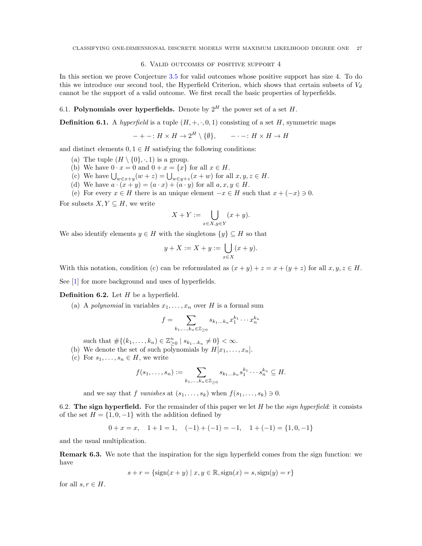## 6. Valid outcomes of positive support 4

In this section we prove Conjecture [3.5](#page-11-0) for valid outcomes whose positive support has size 4. To do this we introduce our second tool, the Hyperfield Criterion, which shows that certain subsets of  $V_d$ cannot be the support of a valid outcome. We first recall the basic properties of hyperfields.

# 6.1. Polynomials over hyperfields. Denote by  $2^H$  the power set of a set H.

**Definition 6.1.** A hyperfield is a tuple  $(H, +, \cdot, 0, 1)$  consisting of a set H, symmetric maps

$$
-+-: H\times H\to 2^H\setminus\{\emptyset\}, \qquad ---: H\times H\to H
$$

and distinct elements  $0, 1 \in H$  satisfying the following conditions:

- (a) The tuple  $(H \setminus \{0\}, \cdot, 1)$  is a group.
- (b) We have  $0 \cdot x = 0$  and  $0 + x = \{x\}$  for all  $x \in H$ .
- (c) We have  $\bigcup_{w\in x+y}(w+z) = \bigcup_{w\in y+z}(x+w)$  for all  $x, y, z \in H$ .
- (d) We have  $a \cdot (x + y) = (a \cdot x) + (a \cdot y)$  for all  $a, x, y \in H$ .

(e) For every  $x \in H$  there is an unique element  $-x \in H$  such that  $x + (-x) \ni 0$ .

For subsets  $X, Y \subseteq H$ , we write

$$
X + Y := \bigcup_{x \in X, y \in Y} (x + y).
$$

We also identify elements  $y \in H$  with the singletons  $\{y\} \subseteq H$  so that

$$
y + X := X + y := \bigcup_{x \in X} (x + y).
$$

With this notation, condition (c) can be reformulated as  $(x + y) + z = x + (y + z)$  for all  $x, y, z \in H$ .

See [\[1\]](#page-41-4) for more background and uses of hyperfields.

**Definition 6.2.** Let  $H$  be a hyperfield.

(a) A polynomial in variables  $x_1, \ldots, x_n$  over H is a formal sum

$$
f = \sum_{k_1,\dots,k_n \in \mathbb{Z}_{\geq 0}} s_{k_1\dots k_n} x_1^{k_1} \cdots x_n^{k_n}
$$

such that  $\#\{(k_1,\ldots,k_n) \in \mathbb{Z}_{\geq 0}^n \mid s_{k_1...k_n} \neq 0\} < \infty$ .

(b) We denote the set of such polynomials by  $H[x_1, \ldots, x_n]$ .

(c) For  $s_1, \ldots, s_n \in H$ , we write

$$
f(s_1,\ldots,s_n):=\sum_{k_1,\ldots,k_n\in\mathbb{Z}_{\geq 0}}s_{k_1\ldots k_n}s_1^{k_1}\cdots s_n^{k_n}\subseteq H.
$$

and we say that f vanishes at  $(s_1, \ldots, s_k)$  when  $f(s_1, \ldots, s_k) \ni 0$ .

6.2. The sign hyperfield. For the remainder of this paper we let  $H$  be the *sign hyperfield*: it consists of the set  $H = \{1, 0, -1\}$  with the addition defined by

$$
0 + x = x, \quad 1 + 1 = 1, \quad (-1) + (-1) = -1, \quad 1 + (-1) = \{1, 0, -1\}
$$

and the usual multiplication.

Remark 6.3. We note that the inspiration for the sign hyperfield comes from the sign function: we have

$$
s + r = {sign(x + y) | x, y \in \mathbb{R}, sign(x) = s, sign(y) = r}
$$

for all  $s, r \in H$ .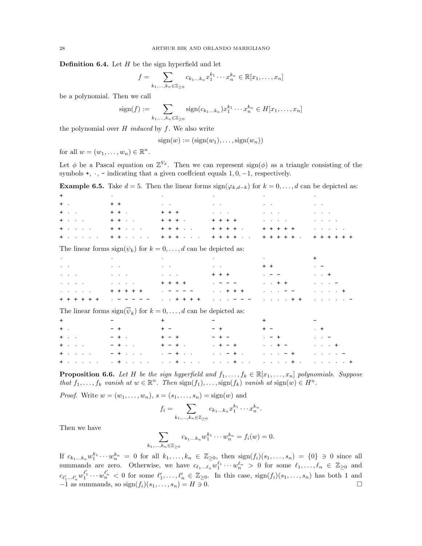**Definition 6.4.** Let  $H$  be the sign hyperfield and let

$$
f = \sum_{k_1,\ldots,k_n \in \mathbb{Z}_{\geq 0}} c_{k_1\ldots k_n} x_1^{k_1} \cdots x_n^{k_n} \in \mathbb{R}[x_1,\ldots,x_n]
$$

be a polynomial. Then we call

$$
sign(f) := \sum_{k_1, ..., k_n \in \mathbb{Z}_{\geq 0}} sign(c_{k_1...k_n}) x_1^{k_1} \cdots x_n^{k_n} \in H[x_1, ..., x_n]
$$

the polynomial over  $H$  induced by  $f$ . We also write

 $sign(w) := (sign(w_1), \ldots, sign(w_n))$ 

for all  $w = (w_1, \ldots, w_n) \in \mathbb{R}^n$ .

Let  $\phi$  be a Pascal equation on  $\mathbb{Z}^{V_d}$ . Then we can represent sign( $\phi$ ) as a triangle consisting of the symbols +,  $\cdot$ , - indicating that a given coeffcient equals 1, 0, -1, respectively.

**Example 6.5.** Take  $d = 5$ . Then the linear forms  $sign(\varphi_{k,d-k})$  for  $k = 0, \ldots, d$  can be depicted as:

| $+$                                                                                                                                                                                                                           |                                                      | $\mathcal{L}(\mathcal{L}(\mathcal{L}(\mathcal{L}(\mathcal{L}(\mathcal{L}(\mathcal{L}(\mathcal{L}(\mathcal{L}(\mathcal{L}(\mathcal{L}(\mathcal{L}(\mathcal{L}(\mathcal{L}(\mathcal{L}(\mathcal{L}(\mathcal{L}(\mathcal{L}(\mathcal{L}(\mathcal{L}(\mathcal{L}(\mathcal{L}(\mathcal{L}(\mathcal{L}(\mathcal{L}(\mathcal{L}(\mathcal{L}(\mathcal{L}(\mathcal{L}(\mathcal{L}(\mathcal{L}(\mathcal{L}(\mathcal{L}(\mathcal{L}(\mathcal{L}(\mathcal{L}(\mathcal{$ |                                                                                                                                                                                                                                                                                                                                                                                                                                                                                                                                                                                                                                         | $\mathcal{L}(\mathbf{r},\mathbf{r})$ and $\mathcal{L}(\mathbf{r},\mathbf{r})$ and $\mathcal{L}(\mathbf{r},\mathbf{r})$                                                                                                        | $\bullet$ - $\bullet$ - $\bullet$ - $\bullet$ - $\bullet$ - $\bullet$                                                                          |
|-------------------------------------------------------------------------------------------------------------------------------------------------------------------------------------------------------------------------------|------------------------------------------------------|-------------------------------------------------------------------------------------------------------------------------------------------------------------------------------------------------------------------------------------------------------------------------------------------------------------------------------------------------------------------------------------------------------------------------------------------------------------|-----------------------------------------------------------------------------------------------------------------------------------------------------------------------------------------------------------------------------------------------------------------------------------------------------------------------------------------------------------------------------------------------------------------------------------------------------------------------------------------------------------------------------------------------------------------------------------------------------------------------------------------|-------------------------------------------------------------------------------------------------------------------------------------------------------------------------------------------------------------------------------|------------------------------------------------------------------------------------------------------------------------------------------------|
|                                                                                                                                                                                                                               |                                                      | チャンパン アーキチェン アール・エンジン しょうこうしょう しょうこうしょう しょうこう                                                                                                                                                                                                                                                                                                                                                                                                               |                                                                                                                                                                                                                                                                                                                                                                                                                                                                                                                                                                                                                                         |                                                                                                                                                                                                                               |                                                                                                                                                |
|                                                                                                                                                                                                                               |                                                      |                                                                                                                                                                                                                                                                                                                                                                                                                                                             | $\bullet \textcolor{red}{\bullet} \textcolor{red}{\bullet} \textcolor{red}{\bullet} \textcolor{red}{\bullet} \textcolor{red}{\bullet} \textcolor{red}{\bullet} \textcolor{red}{\bullet} \textcolor{red}{\bullet} \textcolor{red}{\bullet} \textcolor{red}{\bullet} \textcolor{red}{\bullet} \textcolor{red}{\bullet} \textcolor{red}{\bullet} \textcolor{red}{\bullet} \textcolor{red}{\bullet} \textcolor{red}{\bullet} \textcolor{red}{\bullet} \textcolor{red}{\bullet} \textcolor{red}{\bullet} \textcolor{red}{\bullet} \textcolor{red}{\bullet} \textcolor{red}{\bullet} \textcolor{red}{\bullet} \textcolor{red}{\bullet} \text$ |                                                                                                                                                                                                                               |                                                                                                                                                |
|                                                                                                                                                                                                                               |                                                      |                                                                                                                                                                                                                                                                                                                                                                                                                                                             |                                                                                                                                                                                                                                                                                                                                                                                                                                                                                                                                                                                                                                         |                                                                                                                                                                                                                               |                                                                                                                                                |
|                                                                                                                                                                                                                               | $+$ , , , , , , $+$ + , , , , , ,                    | $+ + + +$                                                                                                                                                                                                                                                                                                                                                                                                                                                   | $+ + + + +$                                                                                                                                                                                                                                                                                                                                                                                                                                                                                                                                                                                                                             | $+ + + + +$                                                                                                                                                                                                                   |                                                                                                                                                |
| $+$                                                                                                                                                                                                                           | $+ + \cdot \cdot \cdot \cdot$                        | $+ + + \cdot \cdot \cdot$                                                                                                                                                                                                                                                                                                                                                                                                                                   |                                                                                                                                                                                                                                                                                                                                                                                                                                                                                                                                                                                                                                         | + + + + + + + + +                                                                                                                                                                                                             | $+ + + + + + +$                                                                                                                                |
|                                                                                                                                                                                                                               |                                                      | The linear forms $sign(\psi_k)$ for $k = 0, , d$ can be depicted as:                                                                                                                                                                                                                                                                                                                                                                                        |                                                                                                                                                                                                                                                                                                                                                                                                                                                                                                                                                                                                                                         |                                                                                                                                                                                                                               |                                                                                                                                                |
|                                                                                                                                                                                                                               |                                                      | denotes the control of the control of the control of the control of the control of the control of the control of                                                                                                                                                                                                                                                                                                                                            |                                                                                                                                                                                                                                                                                                                                                                                                                                                                                                                                                                                                                                         |                                                                                                                                                                                                                               | $+$ $-$                                                                                                                                        |
|                                                                                                                                                                                                                               |                                                      | and the control of the control of the control of the control of the control of                                                                                                                                                                                                                                                                                                                                                                              |                                                                                                                                                                                                                                                                                                                                                                                                                                                                                                                                                                                                                                         | $+$ $+$ $   -$                                                                                                                                                                                                                | $\omega_{\rm{eff}}=0.01$ and $\omega_{\rm{eff}}$                                                                                               |
|                                                                                                                                                                                                                               |                                                      | and a series of the contract of the contract of the contract of the contract of                                                                                                                                                                                                                                                                                                                                                                             | $+ + +$                                                                                                                                                                                                                                                                                                                                                                                                                                                                                                                                                                                                                                 | $\mathbf{r} = \mathbf{r}$ and $\mathbf{r} = \mathbf{r}$                                                                                                                                                                       | $\cdots$ +                                                                                                                                     |
|                                                                                                                                                                                                                               | and the control of the control of the control of the | $++++++$ $---$                                                                                                                                                                                                                                                                                                                                                                                                                                              |                                                                                                                                                                                                                                                                                                                                                                                                                                                                                                                                                                                                                                         | $\cdot$ $\cdot$ + +                                                                                                                                                                                                           | $\label{eq:2.1} \begin{array}{cccccccccc} \bullet & \bullet & \bullet & \bullet & \bullet & \bullet & \bullet & \bullet & \bullet \end{array}$ |
|                                                                                                                                                                                                                               |                                                      |                                                                                                                                                                                                                                                                                                                                                                                                                                                             | $\cdots$ $\cdots$ + + +                                                                                                                                                                                                                                                                                                                                                                                                                                                                                                                                                                                                                 | $1 - 1 - 1 = -$                                                                                                                                                                                                               | $\cdots$ $\cdots$ +                                                                                                                            |
|                                                                                                                                                                                                                               |                                                      | $\cdots$ + + + +                                                                                                                                                                                                                                                                                                                                                                                                                                            | $\mathbf{1} \quad \mathbf{1} \quad \mathbf{1} \quad \mathbf{1} \quad \mathbf{1} \quad \mathbf{1} \quad \mathbf{1} \quad \mathbf{1} \quad \mathbf{1} \quad \mathbf{1} \quad \mathbf{1} \quad \mathbf{1} \quad \mathbf{1} \quad \mathbf{1} \quad \mathbf{1} \quad \mathbf{1} \quad \mathbf{1} \quad \mathbf{1} \quad \mathbf{1} \quad \mathbf{1} \quad \mathbf{1} \quad \mathbf{1} \quad \mathbf{1} \quad \mathbf{1} \quad \mathbf{1} \quad \mathbf{1} \quad \mathbf{1} \quad \mathbf{$                                                                                                                                                   | $\cdots$ $+$ +                                                                                                                                                                                                                |                                                                                                                                                |
|                                                                                                                                                                                                                               |                                                      | The linear forms $sign(\overline{\psi}_k)$ for $k = 0, , d$ can be depicted as:                                                                                                                                                                                                                                                                                                                                                                             |                                                                                                                                                                                                                                                                                                                                                                                                                                                                                                                                                                                                                                         |                                                                                                                                                                                                                               |                                                                                                                                                |
| $+$ $    -$                                                                                                                                                                                                                   | <b>Contract Contract Contract</b>                    |                                                                                                                                                                                                                                                                                                                                                                                                                                                             | $\frac{1}{2}$ and $\frac{1}{2}$ and $\frac{1}{2}$ and $\frac{1}{2}$                                                                                                                                                                                                                                                                                                                                                                                                                                                                                                                                                                     | $+$ and $-$ and $-$                                                                                                                                                                                                           | $\frac{1}{2}$ and $\frac{1}{2}$ and $\frac{1}{2}$                                                                                              |
| $+$ . The contract of the contract of the contract of the contract of the contract of the contract of the contract of the contract of the contract of the contract of the contract of the contract of the contract of the con | $- +$ $-$                                            | $+ -$                                                                                                                                                                                                                                                                                                                                                                                                                                                       | $- +$                                                                                                                                                                                                                                                                                                                                                                                                                                                                                                                                                                                                                                   | $+ -$                                                                                                                                                                                                                         | $+$ $+$ $-$                                                                                                                                    |
|                                                                                                                                                                                                                               | $+$ (a) $ +$ (a) $ +$ (a) $-$                        |                                                                                                                                                                                                                                                                                                                                                                                                                                                             | $+ - +$                                                                                                                                                                                                                                                                                                                                                                                                                                                                                                                                                                                                                                 | $\mathcal{L}_{\text{eff}} = \frac{1}{2} \mathcal{L}_{\text{eff}} + \frac{1}{2} \mathcal{L}_{\text{eff}} + \frac{1}{2} \mathcal{L}_{\text{eff}} + \frac{1}{2} \mathcal{L}_{\text{eff}} + \frac{1}{2} \mathcal{L}_{\text{eff}}$ | $\mathcal{L}^{\mathcal{A}}$ , $\mathcal{L}^{\mathcal{A}}$ , and $\mathcal{L}^{\mathcal{A}}$                                                    |
|                                                                                                                                                                                                                               |                                                      |                                                                                                                                                                                                                                                                                                                                                                                                                                                             |                                                                                                                                                                                                                                                                                                                                                                                                                                                                                                                                                                                                                                         | $4.14 + 1.14$                                                                                                                                                                                                                 | $1 + 1 + 1 + 1 = 1$                                                                                                                            |
|                                                                                                                                                                                                                               |                                                      |                                                                                                                                                                                                                                                                                                                                                                                                                                                             | $\frac{1}{2}$ $\frac{1}{2}$ $\frac{1}{2}$ $\frac{1}{2}$ $\frac{1}{2}$ $\frac{1}{2}$ $\frac{1}{2}$ $\frac{1}{2}$ $\frac{1}{2}$ $\frac{1}{2}$ $\frac{1}{2}$ $\frac{1}{2}$ $\frac{1}{2}$ $\frac{1}{2}$ $\frac{1}{2}$ $\frac{1}{2}$ $\frac{1}{2}$ $\frac{1}{2}$ $\frac{1}{2}$ $\frac{1}{2}$ $\frac{1}{2}$ $\frac{1}{2}$                                                                                                                                                                                                                                                                                                                     | $\cdot \cdot \cdot - +$                                                                                                                                                                                                       |                                                                                                                                                |
|                                                                                                                                                                                                                               |                                                      | $+$ and a second contribution of the second contribution $+$ and $\alpha$                                                                                                                                                                                                                                                                                                                                                                                   |                                                                                                                                                                                                                                                                                                                                                                                                                                                                                                                                                                                                                                         | $\sim$ $\sim$ $\sim$ $\sim$ $\sim$ $+$ $\sim$ $\sim$                                                                                                                                                                          | $\cdots$ $\cdots$                                                                                                                              |

<span id="page-27-0"></span>**Proposition 6.6.** Let H be the sign hyperfield and  $f_1, \ldots, f_k \in \mathbb{R}[x_1, \ldots, x_n]$  polynomials. Suppose that  $f_1, \ldots, f_k$  vanish at  $w \in \mathbb{R}^n$ . Then  $\text{sign}(f_1), \ldots, \text{sign}(f_k)$  vanish at  $\text{sign}(w) \in H^n$ .

*Proof.* Write  $w = (w_1, ..., w_n), s = (s_1, ..., s_n) = sign(w)$  and

$$
f_i = \sum_{k_1,\ldots,k_n \in \mathbb{Z}_{\geq 0}} c_{k_1\ldots k_n} x_1^{k_1} \cdots x_n^{k_n}.
$$

Then we have

$$
\sum_{k_1,\dots,k_n\in\mathbb{Z}_{\geq 0}}c_{k_1\dots k_n}w_1^{k_1}\cdots w_n^{k_n}=f_i(w)=0.
$$

If  $c_{k_1...k_n}w_1^{k_1}\cdots w_n^{k_n} = 0$  for all  $k_1,\ldots,k_n \in \mathbb{Z}_{\geq 0}$ , then  $sign(f_i)(s_1,\ldots,s_n) = \{0\} \ni 0$  since all summands are zero. Otherwise, we have  $c_{\ell_1...\ell_n}w_1^{\ell_1}\cdots w_n^{\ell_n} > 0$  for some  $\ell_1,\ldots,\ell_n \in \mathbb{Z}_{\geq 0}$  and  $c_{\ell'_1...\ell'_n}w_1^{\ell'_1}\cdots w_n^{\ell'_n} < 0$  for some  $\ell'_1,\ldots,\ell'_n \in \mathbb{Z}_{\geq 0}$ . In this case,  $sign(f_i)(s_1,\ldots,s_n)$  has both 1 and  $-1$  as summands, so  $sign(f_i)(s_1, \ldots, s_n) = H \ni 0.$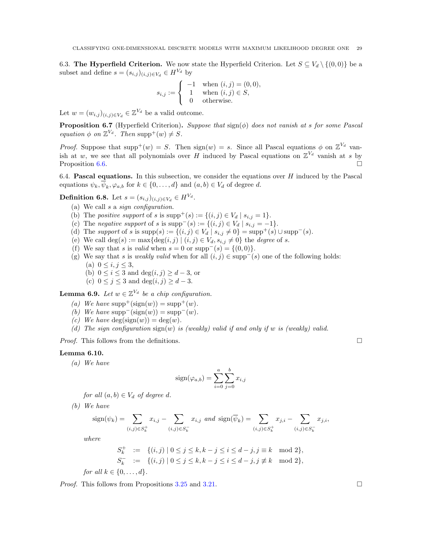6.3. The Hyperfield Criterion. We now state the Hyperfield Criterion. Let  $S \subseteq V_d \setminus \{(0,0)\}\)$ e a subset and define  $s = (s_{i,j})_{(i,j)\in V_d} \in H^{V_d}$  by

$$
s_{i,j} := \begin{cases} -1 & \text{when } (i,j) = (0,0), \\ 1 & \text{when } (i,j) \in S, \\ 0 & \text{otherwise.} \end{cases}
$$

Let  $w = (w_{i,j})_{(i,j)\in V_d} \in \mathbb{Z}^{V_d}$  be a valid outcome.

**Proposition 6.7** (Hyperfield Criterion). Suppose that  $\text{sign}(\phi)$  does not vanish at s for some Pascal equation  $\phi$  on  $\mathbb{Z}^{V_d}$ . Then supp<sup>+</sup>(w)  $\neq$  S.

*Proof.* Suppose that supp<sup>+</sup>(w) = S. Then sign(w) = s. Since all Pascal equations  $\phi$  on  $\mathbb{Z}^{V_d}$  vanish at w, we see that all polynomials over H induced by Pascal equations on  $\mathbb{Z}^{V_d}$  vanish at s by Proposition [6.6.](#page-27-0)  $\Box$ 

6.4. **Pascal equations.** In this subsection, we consider the equations over  $H$  induced by the Pascal equations  $\psi_k, \overline{\psi}_k, \varphi_{a,b}$  for  $k \in \{0, ..., d\}$  and  $(a, b) \in V_d$  of degree d.

**Definition 6.8.** Let  $s = (s_{i,j})_{(i,j) \in V_d} \in H^{V_d}$ .

- (a) We call s a sign configuration.
- (b) The *positive support* of s is  $\text{supp}^+(s) := \{(i, j) \in V_d \mid s_{i,j} = 1\}.$
- (c) The negative support of s is supp<sup>-</sup>(s) := {(i, j) ∈  $V_d | s_{i,j} = -1$ }.
- (d) The support of s is supp(s) :=  $\{(i, j) \in V_d \mid s_{i,j} \neq 0\} = \text{supp}^+(s) \cup \text{supp}^-(s)$ .
- (e) We call  $\deg(s) := \max\{\deg(i,j) \mid (i,j) \in V_d, s_{i,j} \neq 0\}$  the *degree* of s.
- (f) We say that s is valid when  $s = 0$  or  $supp^{-}(s) = \{(0, 0)\}.$
- (g) We say that s is *weakly valid* when for all  $(i, j) \in \text{supp}^{-}(s)$  one of the following holds: (a)  $0 \le i, j \le 3$ ,
	- (b)  $0 \le i \le 3$  and  $\deg(i, j) \ge d 3$ , or
	- (c)  $0 \le j \le 3$  and  $\deg(i, j) \ge d 3$ .

**Lemma 6.9.** Let  $w \in \mathbb{Z}^{V_d}$  be a chip configuration.

- (a) We have  $supp^{+}(sign(w)) = supp^{+}(w)$ .
- (b) We have  $supp^-(sign(w)) = supp^-(w)$ .
- (c) We have  $deg(sign(w)) = deg(w)$ .
- (d) The sign configuration  $sign(w)$  is (weakly) valid if and only if w is (weakly) valid.

*Proof.* This follows from the definitions.  $\square$ 

# <span id="page-28-0"></span>Lemma 6.10.

(a) We have

$$
sign(\varphi_{a,b}) = \sum_{i=0}^{a} \sum_{j=0}^{b} x_{i,j}
$$

for all  $(a, b) \in V_d$  of degree d.

(b) We have

$$
\displaystyle \textrm{sign}(\psi_k) = \sum_{(i,j) \in S_k^+} x_{i,j} - \sum_{(i,j) \in S_k^-} x_{i,j} \ \ and \ \ \textrm{sign}(\overline{\psi}_k) = \sum_{(i,j) \in S_k^+} x_{j,i} - \sum_{(i,j) \in S_k^-} x_{j,i},
$$

where

$$
S_k^+ := \{(i, j) \mid 0 \le j \le k, k - j \le i \le d - j, j \equiv k \mod 2\},\
$$
  

$$
S_k^- := \{(i, j) \mid 0 \le j \le k, k - j \le i \le d - j, j \not\equiv k \mod 2\},\
$$

for all  $k \in \{0, \ldots, d\}$ .

*Proof.* This follows from Propositions [3.25](#page-16-0) and [3.21.](#page-15-0)  $\Box$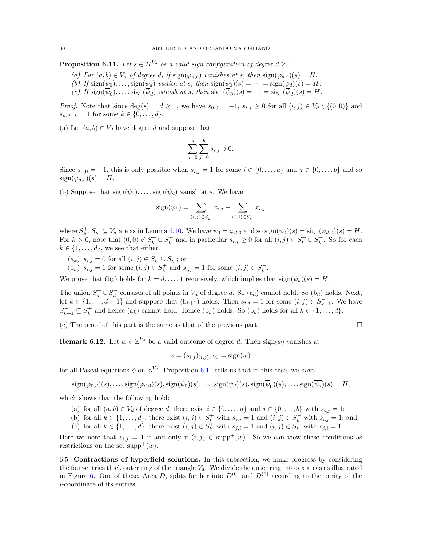<span id="page-29-1"></span>**Proposition 6.11.** Let  $s \in H^{V_d}$  be a valid sign configuration of degree  $d \geq 1$ .

- (a) For  $(a, b) \in V_d$  of degree d, if  $sign(\varphi_{a,b})$  vanishes at s, then  $sign(\varphi_{a,b})(s) = H$ .
- (b) If  $sign(\psi_0), \ldots, sign(\psi_d)$  vanish at s, then  $sign(\psi_0)(s) = \cdots = sign(\psi_d)(s) = H$ .
- (c) If  $\text{sign}(\psi_0), \ldots, \text{sign}(\psi_d)$  vanish at s, then  $\text{sign}(\psi_0)(s) = \cdots = \text{sign}(\psi_d)(s) = H$ .

*Proof.* Note that since  $\deg(s) = d \geq 1$ , we have  $s_{0,0} = -1$ ,  $s_{i,j} \geq 0$  for all  $(i,j) \in V_d \setminus \{(0,0)\}\$  and  $s_{k,d-k} = 1$  for some  $k \in \{0, ..., d\}.$ 

(a) Let  $(a, b) \in V_d$  have degree d and suppose that

$$
\sum_{i=0}^{a} \sum_{j=0}^{b} s_{i,j} \ni 0.
$$

Since  $s_{0,0} = -1$ , this is only possible when  $s_{i,j} = 1$  for some  $i \in \{0, \ldots, a\}$  and  $j \in \{0, \ldots, b\}$  and so  $sign(\varphi_{a,b})(s) = H.$ 

(b) Suppose that  $sign(\psi_0), \ldots, sign(\psi_d)$  vanish at s. We have

$$
sign(\psi_k) = \sum_{(i,j) \in S_k^+} x_{i,j} - \sum_{(i,j) \in S_k^-} x_{i,j}
$$

where  $S_k^+, S_k^- \subseteq V_d$  are as in Lemma [6.10.](#page-28-0) We have  $\psi_0 = \varphi_{d,0}$  and so  $sign(\psi_0)(s) = sign(\varphi_{d,0})(s) = H$ . For  $k > 0$ , note that  $(0,0) \notin S_k^+ \cup S_k^-$  and in particular  $s_{i,j} \geq 0$  for all  $(i,j) \in S_k^+ \cup S_k^-$ . So for each  $k \in \{1, \ldots, d\}$ , we see that either

- $(a_k)$   $s_{i,j} = 0$  for all  $(i, j) \in S_k^+ \cup S_k^-$ ; or
- (b<sub>k</sub>)  $s_{i,j} = 1$  for some  $(i, j) \in S_k^+$  and  $s_{i,j} = 1$  for some  $(i, j) \in S_k^-$ .

We prove that  $(b_k)$  holds for  $k = d, \ldots, 1$  recursively, which implies that  $sign(\psi_k)(s) = H$ .

The union  $S_d^+ \cup S_d^-$  consists of all points in  $V_d$  of degree d. So  $(a_d)$  cannot hold. So  $(b_d)$  holds. Next, let  $k \in \{1, \ldots, d-1\}$  and suppose that  $(b_{k+1})$  holds. Then  $s_{i,j} = 1$  for some  $(i,j) \in S_{k+1}^-$ . We have  $S_{k+1}^{-} \subseteq S_k^{+}$  and hence  $(a_k)$  cannot hold. Hence  $(b_k)$  holds. So  $(b_k)$  holds for all  $k \in \{1, ..., d\}$ .

(c) The proof of this part is the same as that of the previous part.  $\square$ 

<span id="page-29-2"></span>**Remark 6.12.** Let  $w \in \mathbb{Z}^{V_d}$  be a valid outcome of degree d. Then sign( $\phi$ ) vanishes at

$$
s = (s_{i,j})_{(i,j)\in V_d} = \text{sign}(w)
$$

for all Pascal equations  $\phi$  on  $\mathbb{Z}^{V_d}$ . Proposition [6.11](#page-29-1) tells us that in this case, we have

 $sign(\varphi_{0,d})(s), \ldots, sign(\varphi_{d,0})(s), sign(\psi_0)(s), \ldots, sign(\psi_d)(s), sign(\psi_0)(s), \ldots, sign(\psi_d)(s) = H$ 

which shows that the following hold:

- (a) for all  $(a, b) \in V_d$  of degree d, there exist  $i \in \{0, \ldots, a\}$  and  $j \in \{0, \ldots, b\}$  with  $s_{i,j} = 1$ ;
- (b) for all  $k \in \{1, \ldots, d\}$ , there exist  $(i, j) \in S_k^+$  with  $s_{i,j} = 1$  and  $(i, j) \in S_k^-$  with  $s_{i,j} = 1$ ; and
- (c) for all  $k \in \{1, \ldots, d\}$ , there exist  $(i, j) \in S_k^+$  with  $s_{j,i} = 1$  and  $(i, j) \in S_k^-$  with  $s_{j,i} = 1$ .

Here we note that  $s_{i,j} = 1$  if and only if  $(i,j) \in \text{supp}^{+}(w)$ . So we can view these conditions as restrictions on the set supp<sup>+</sup> $(w)$ .

<span id="page-29-0"></span>6.5. Contractions of hyperfield solutions. In this subsection, we make progress by considering the four-entries thick outer ring of the triangle  $V_d$ . We divide the outer ring into six areas as illustrated in Figure [6.](#page-30-0) One of these, Area D, splits further into  $D^{(0)}$  and  $D^{(1)}$  according to the parity of the i-coordinate of its entries.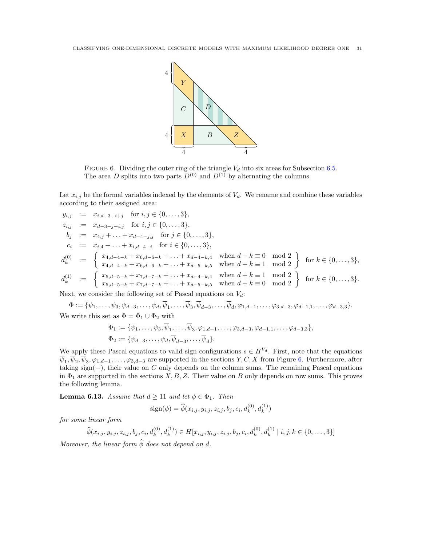

<span id="page-30-0"></span>FIGURE 6. Dividing the outer ring of the triangle  $V_d$  into six areas for Subsection [6.5.](#page-29-0) The area D splits into two parts  $D^{(0)}$  and  $D^{(1)}$  by alternating the columns.

Let  $x_{i,j}$  be the formal variables indexed by the elements of  $V_d$ . We rename and combine these variables according to their assigned area:

 $y_{i,j} := x_{i,d-3-i+j}$  for  $i, j \in \{0, \ldots, 3\},$  $z_{i,j} := x_{d-3-j+i,j}$  for  $i, j \in \{0, \ldots, 3\},$  $b_j := x_{4,j} + \ldots + x_{d-4-j,j}$  for  $j \in \{0,\ldots,3\},$  $c_i := x_{i,4} + \ldots + x_{i,d-4-i}$  for  $i \in \{0,\ldots,3\},$  $d_k^{(0)}$  $\begin{cases}\n\begin{array}{l}\n\text{(0)} \\
\text{(1)} \\
\text{(2)} \\
\text{(3)} \\
\text{(4)}\n\end{array}\n\end{cases}\n\coloneqq\n\begin{cases}\n\begin{array}{l}\n\text{(3)} \\
\text{(4)}\text{-(4)}} \\
\text{(5)}\text{-(4)}\text{-(4)}}\text{-(4)}\text{-(4)}\text{-(4)}\text{-(4)}\text{-(4)}\text{-(4)}\text{-(4)}\text{-(4)}\text{-(4)}\text{-(4)}\text{-(4)}\text{-(4)}\text{-(4)}\text{-(4)}\text{-(4)}\text{-(4)}\text{-(4)}\text{-(4)}\$  $d_k^{(1)}$ (1)  $:= \begin{cases} x_{5,d-5-k} + x_{7,d-7-k} + \ldots + x_{d-4-k,4} & \text{when } d+k \equiv 1 \mod 2 \\ x_{5,d-5-k} + x_{7,d-7-k} + \ldots + x_{d-5-k,5} & \text{when } d+k \equiv 0 \mod 2 \end{cases}$  for  $k \in \{0,\ldots,3\}.$ 

Next, we consider the following set of Pascal equations on  $V_d$ :

$$
\Phi := \{ \psi_1, \dots, \psi_3, \psi_{d-3}, \dots, \psi_d, \overline{\psi}_1, \dots, \overline{\psi}_3, \overline{\psi}_{d-3}, \dots, \overline{\psi}_d, \varphi_{1,d-1}, \dots, \varphi_{3,d-3}, \varphi_{d-1,1}, \dots, \varphi_{d-3,3} \}.
$$
  
We write this set as  $\Phi = \Phi_1 \cup \Phi_2$  with

$$
\Phi_1 := \{ \psi_1, \dots, \psi_3, \overline{\psi}_1, \dots, \overline{\psi}_3, \varphi_{1, d-1}, \dots, \varphi_{3, d-3}, \varphi_{d-1, 1}, \dots, \varphi_{d-3, 3} \}, \n\Phi_2 := \{ \psi_{d-3}, \dots, \psi_d, \overline{\psi}_{d-3}, \dots, \overline{\psi}_d \}.
$$

We apply these Pascal equations to valid sign configurations  $s \in H^{V_d}$ . First, note that the equations  $\psi_1, \psi_2, \psi_3, \varphi_{1,d-1}, \ldots, \varphi_{3,d-3}$  are supported in the sections  $Y, C, X$  from Figure [6.](#page-30-0) Furthermore, after taking sign( $-$ ), their value on C only depends on the column sums. The remaining Pascal equations in  $\Phi_1$  are supported in the sections X, B, Z. Their value on B only depends on row sums. This proves the following lemma.

<span id="page-30-1"></span>**Lemma 6.13.** Assume that  $d \ge 11$  and let  $\phi \in \Phi_1$ . Then

$$
sign(\phi) = \hat{\phi}(x_{i,j}, y_{i,j}, z_{i,j}, b_j, c_i, d_k^{(0)}, d_k^{(1)})
$$

for some linear form

$$
\widehat{\phi}(x_{i,j}, y_{i,j}, z_{i,j}, b_j, c_i, d_k^{(0)}, d_k^{(1)}) \in H[x_{i,j}, y_{i,j}, z_{i,j}, b_j, c_i, d_k^{(0)}, d_k^{(1)} | i, j, k \in \{0, \ldots, 3\}]
$$

Moreover, the linear form  $\widehat{\phi}$  does not depend on d.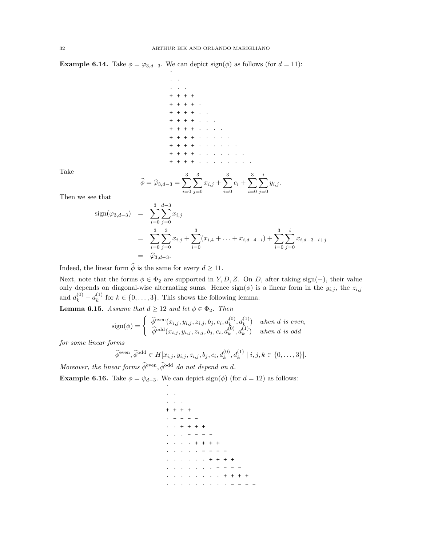**Example 6.14.** Take  $\phi = \varphi_{3,d-3}$ . We can depict sign( $\phi$ ) as follows (for  $d = 11$ ):

·

· ·  $\cdot$   $\cdot$   $\cdot$ + + + + + + + + · + + + + · · + + + + · · · + + + + · · · ·  $+$   $+$   $+$   $+$   $+$ + + + + · · · · · ·  $\pm$  -  $\pm$  -  $\pm$  -  $\pm$  -  $\pm$  -  $\pm$ + + + + · · · · · · · ·

Take

$$
\widehat{\phi} = \widehat{\varphi}_{3,d-3} = \sum_{i=0}^{3} \sum_{j=0}^{3} x_{i,j} + \sum_{i=0}^{3} c_i + \sum_{i=0}^{3} \sum_{j=0}^{i} y_{i,j}.
$$

Then we see that

$$
sign(\varphi_{3,d-3}) = \sum_{i=0}^{3} \sum_{j=0}^{d-3} x_{i,j}
$$
  
= 
$$
\sum_{i=0}^{3} \sum_{j=0}^{3} x_{i,j} + \sum_{i=0}^{3} (x_{i,4} + ... + x_{i,d-4-i}) + \sum_{i=0}^{3} \sum_{j=0}^{i} x_{i,d-3-i+j}
$$
  
= 
$$
\widehat{\varphi}_{3,d-3}.
$$

Indeed, the linear form  $\phi$  is the same for every  $d \geq 11$ .

Next, note that the forms  $\phi \in \Phi_2$  are supported in Y, D, Z. On D, after taking sign(-), their value only depends on diagonal-wise alternating sums. Hence  $sign(\phi)$  is a linear form in the  $y_{i,j}$ , the  $z_{i,j}$ and  $d_k^{(0)} - d_k^{(1)}$  $k<sup>(1)</sup>$  for  $k \in \{0, \ldots, 3\}$ . This shows the following lemma:

<span id="page-31-0"></span>**Lemma 6.15.** Assume that  $d \ge 12$  and let  $\phi \in \Phi_2$ . Then

$$
sign(\phi) = \begin{cases} \n\hat{\phi}^{even}(x_{i,j}, y_{i,j}, z_{i,j}, b_j, c_i, d_k^{(0)}, d_k^{(1)}) & \text{when } d \text{ is even,} \\
\hat{\phi}^{odd}(x_{i,j}, y_{i,j}, z_{i,j}, b_j, c_i, d_k^{(0)}, d_k^{(1)}) & \text{when } d \text{ is odd}\n\end{cases}
$$

for some linear forms

$$
\widehat{\phi}^{\text{even}}, \widehat{\phi}^{\text{odd}} \in H[x_{i,j}, y_{i,j}, z_{i,j}, b_j, c_i, d_k^{(0)}, d_k^{(1)} | i, j, k \in \{0, ..., 3\}].
$$

Moreover, the linear forms  $\widetilde{\phi}^{\text{even}}, \widetilde{\phi}^{\text{odd}}$  do not depend on d.

**Example 6.16.** Take  $\phi = \psi_{d-3}$ . We can depict sign( $\phi$ ) (for  $d = 12$ ) as follows:

·

```
· ·
  \cdot \cdot+ + + +
\cdot - - - -
· · + + + +
\cdot \cdot \cdot - - - -+ + + + +· · · · · - - - -
             \cdot + + + + +· · · · · · · - - - -
       · · · · · · · · + + + +
· · · · · · · · · - - - -
```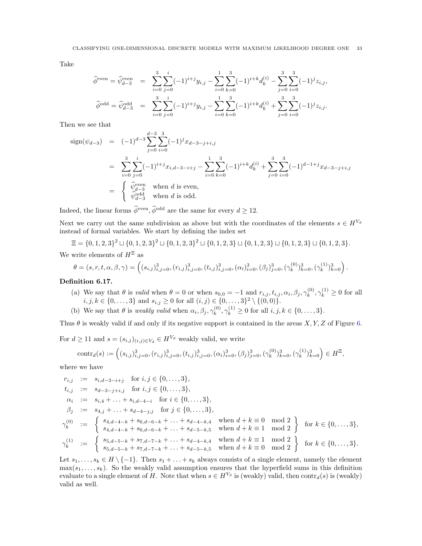Take

$$
\begin{array}{lcl} \widehat{\phi}^{\text{even}} = \widehat{\psi}_{d-3}^{\text{even}} & = & \displaystyle \sum_{i=0}^{3} \sum_{j=0}^{i} (-1)^{i+j} y_{i,j} - \sum_{i=0}^{1} \sum_{k=0}^{3} (-1)^{i+k} d_k^{(i)} - \sum_{j=0}^{3} \sum_{i=0}^{3} (-1)^{j} z_{i,j}, \\ \widehat{\phi}^{\text{odd}} = \widehat{\psi}_{d-3}^{\text{odd}} & = & \displaystyle \sum_{i=0}^{3} \sum_{j=0}^{i} (-1)^{i+j} y_{i,j} - \sum_{i=0}^{1} \sum_{k=0}^{3} (-1)^{i+k} d_k^{(i)} + \sum_{j=0}^{3} \sum_{i=0}^{3} (-1)^{j} z_{i,j}. \end{array}
$$

Then we see that

$$
\begin{array}{rcl}\n\text{sign}(\psi_{d-3}) & = & (-1)^{d-3} \sum_{j=0}^{d-3} \sum_{i=0}^{3} (-1)^j x_{d-3-j+i,j} \\
& = & \sum_{i=0}^{3} \sum_{j=0}^{i} (-1)^{i+j} x_{i,d-3-i+j} - \sum_{i=0}^{1} \sum_{k=0}^{3} (-1)^{i+k} d_k^{(i)} + \sum_{j=0}^{3} \sum_{i=0}^{3} (-1)^{d-1+j} x_{d-3-j+i,j} \\
& = & \begin{cases}\n\widehat{\psi}_{d-3}^{\text{even}} & \text{when } d \text{ is even,} \\
\widehat{\psi}_{d-3}^{\text{odd}} & \text{when } d \text{ is odd.}\n\end{cases}\n\end{array}
$$

Indeed, the linear forms  $\widehat{\phi}^{\text{even}}, \widehat{\phi}^{\text{odd}}$  are the same for every  $d \geq 12$ .

Next we carry out the same subdivision as above but with the coordinates of the elements  $s \in H^{V_d}$ instead of formal variables. We start by defining the index set

$$
\Xi = \{0, 1, 2, 3\}^2 \sqcup \{0, 1, 2, 3\}^2 \sqcup \{0, 1, 2, 3\}^2 \sqcup \{0, 1, 2, 3\} \sqcup \{0, 1, 2, 3\} \sqcup \{0, 1, 2, 3\} \sqcup \{0, 1, 2, 3\}.
$$

We write elements of  $H^\Xi$  as

$$
\theta = (s, r, t, \alpha, \beta, \gamma) = \left( (s_{i,j})_{i,j=0}^3, (r_{i,j})_{i,j=0}^3, (t_{i,j})_{i,j=0}^3, (\alpha_i)_{i=0}^3, (\beta_j)_{j=0}^3, (\gamma_k^{(0)})_{k=0}^3, (\gamma_k^{(1)})_{k=0}^3 \right).
$$

## Definition 6.17.

- (a) We say that  $\theta$  is valid when  $\theta = 0$  or when  $s_{0,0} = -1$  and  $r_{i,j}, t_{i,j}, \alpha_i, \beta_j, \gamma_k^{(0)}$  $k^{(0)}$ ,  $\gamma_k^{(1)} \ge 0$  for all  $i, j, k \in \{0, \ldots, 3\}$  and  $s_{i,j} \geq 0$  for all  $(i, j) \in \{0, \ldots, 3\}^2 \setminus \{(0, 0)\}.$
- (b) We say that  $\theta$  is *weakly valid* when  $\alpha_i, \beta_j, \gamma_k^{(0)}$  $k_k^{(0)}, \gamma_k^{(1)} \ge 0$  for all  $i, j, k \in \{0, \ldots, 3\}.$

Thus  $\theta$  is weakly valid if and only if its negative support is contained in the areas X, Y, Z of Figure [6.](#page-30-0)

For  $d \geq 11$  and  $s = (s_{i,j})_{(i,j) \in V_d} \in H^{V_d}$  weakly valid, we write

$$
\text{contr}_{d}(s) := \left( (s_{i,j})_{i,j=0}^3, (r_{i,j})_{i,j=0}^3, (t_{i,j})_{i,j=0}^3, (\alpha_i)_{i=0}^3, (\beta_j)_{j=0}^3, (\gamma_k^{(0)})_{k=0}^3, (\gamma_k^{(1)})_{k=0}^3 \right) \in H^{\Xi},
$$

where we have

$$
r_{i,j} := s_{i,d-3-i+j} \text{ for } i, j \in \{0, \ldots, 3\},
$$
  
\n
$$
t_{i,j} := s_{d-3-j+i,j} \text{ for } i, j \in \{0, \ldots, 3\},
$$
  
\n
$$
\alpha_i := s_{i,4} + \ldots + s_{i,d-4-i} \text{ for } i \in \{0, \ldots, 3\},
$$
  
\n
$$
\beta_j := s_{4,j} + \ldots + s_{d-4-j,j} \text{ for } j \in \{0, \ldots, 3\},
$$
  
\n
$$
\gamma_k^{(0)} := \begin{cases} s_{4,d-4-k} + s_{6,d-6-k} + \ldots + s_{d-4-k,4} & \text{when } d+k \equiv 0 \mod 2 \\ s_{4,d-4-k} + s_{6,d-6-k} + \ldots + s_{d-5-k,5} & \text{when } d+k \equiv 1 \mod 2 \\ s_{5,d-5-k} + s_{7,d-7-k} + \ldots + s_{d-4-k,4} & \text{when } d+k \equiv 1 \mod 2 \\ s_{5,d-5-k} + s_{7,d-7-k} + \ldots + s_{d-5-k,5} & \text{when } d+k \equiv 0 \mod 2 \end{cases}
$$
 for  $k \in \{0, \ldots, 3\}.$ 

Let  $s_1, \ldots, s_k \in H \setminus \{-1\}$ . Then  $s_1 + \ldots + s_k$  always consists of a single element, namely the element  $\max(s_1, \ldots, s_k)$ . So the weakly valid assumption ensures that the hyperfield sums in this definition evaluate to a single element of H. Note that when  $s \in H^{V_d}$  is (weakly) valid, then contr $_d(s)$  is (weakly) valid as well.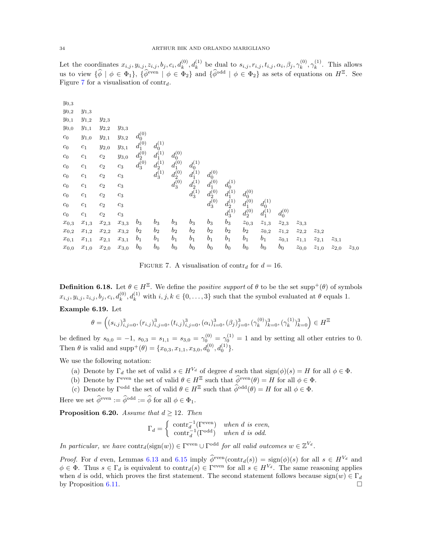Let the coordinates  $x_{i,j}, y_{i,j}, z_{i,j}, b_j, c_i, d_k^{(0)}, d_k^{(1)}$  be dual to  $s_{i,j}, r_{i,j}, t_{i,j}, \alpha_i, \beta_j, \gamma_k^{(0)}$  $\hat{\gamma}_k^{(0)}, \gamma_k^{(1)}$  $k^{(1)}$ . This allows us to view  $\{\hat{\phi} \mid \phi \in \Phi_1\}, \{\hat{\phi}^{\text{even}} \mid \phi \in \Phi_2\}$  and  $\{\hat{\phi}^{\text{odd}} \mid \phi \in \Phi_2\}$  as sets of equations on  $H^{\Xi}$ . See Figure [7](#page-33-0) for a visualisation of  $\text{contr}_{d}$ .

| $y_{0,3}$ |                  |                        |                  |                                           |                                                                    |                                                                                  |                                           |                                                                                  |                                                                                 |                            |                                             |                        |           |           |           |           |
|-----------|------------------|------------------------|------------------|-------------------------------------------|--------------------------------------------------------------------|----------------------------------------------------------------------------------|-------------------------------------------|----------------------------------------------------------------------------------|---------------------------------------------------------------------------------|----------------------------|---------------------------------------------|------------------------|-----------|-----------|-----------|-----------|
| $y_{0,2}$ | $y_{1,3}$        |                        |                  |                                           |                                                                    |                                                                                  |                                           |                                                                                  |                                                                                 |                            |                                             |                        |           |           |           |           |
| $y_{0,1}$ | $y_{1,2}$        | $y_{2,3}$              |                  |                                           |                                                                    |                                                                                  |                                           |                                                                                  |                                                                                 |                            |                                             |                        |           |           |           |           |
| $y_{0,0}$ | $y_{1,1}$        | $y_{2,2}$              | $y_{3,3}$        |                                           |                                                                    |                                                                                  |                                           |                                                                                  |                                                                                 |                            |                                             |                        |           |           |           |           |
| $c_0$     | $y_{1,0}$        | $y_{2,1}$              | $y_{3,2}$        | $d_0^{(0)}$                               |                                                                    |                                                                                  |                                           |                                                                                  |                                                                                 |                            |                                             |                        |           |           |           |           |
| $c_0$     | $c_1$            | $y_{2,0}$              | $y_{3,1}$        | $d_1^{(0)}$<br>$d_2^{(0)}$<br>$d_3^{(0)}$ | $d_0^{(1)}$                                                        |                                                                                  |                                           |                                                                                  |                                                                                 |                            |                                             |                        |           |           |           |           |
| $c_0$     | $c_1$            | $c_2$                  | $y_{3,0}$        |                                           |                                                                    |                                                                                  |                                           |                                                                                  |                                                                                 |                            |                                             |                        |           |           |           |           |
| $c_0$     | $\mathfrak{c}_1$ | $c_2$                  | $\mathfrak{c}_3$ |                                           |                                                                    |                                                                                  | $d_0^{(1)}$                               |                                                                                  |                                                                                 |                            |                                             |                        |           |           |           |           |
| $c_0$     | $c_1$            | $c_2$                  | $\mathfrak{c}_3$ |                                           | $\begin{array}{c} d_1^{(1)} \\ d_2^{(1)} \\ d_3^{(1)} \end{array}$ | $\begin{pmatrix} d_0^{(0)} \\ d_1^{(0)} \\ d_2^{(0)} \\ d_3^{(0)} \end{pmatrix}$ |                                           |                                                                                  |                                                                                 |                            |                                             |                        |           |           |           |           |
| $c_0$     | $\mathfrak{c}_1$ | $c_2$                  | $\mathfrak{c}_3$ |                                           |                                                                    |                                                                                  | $d_1^{(1)}$<br>$d_2^{(1)}$<br>$d_3^{(1)}$ | $\begin{pmatrix} d_0^{(0)} \\ d_1^{(0)} \\ d_2^{(0)} \\ d_3^{(0)} \end{pmatrix}$ |                                                                                 |                            |                                             |                        |           |           |           |           |
| $c_0$     | $\mathfrak{c}_1$ | $c_2$                  | $\mathfrak{c}_3$ |                                           |                                                                    |                                                                                  |                                           |                                                                                  |                                                                                 | $d_0^{(0)}$                |                                             |                        |           |           |           |           |
| $c_0$     | $\mathfrak{c}_1$ | $c_2$                  | $c_3$            |                                           |                                                                    |                                                                                  |                                           |                                                                                  | $\begin{array}{c} d_0^{(1)} \\ d_1^{(1)} \\ d_2^{(1)} \\ d_3^{(1)} \end{array}$ | $d_1^{(0)}$<br>$d_2^{(0)}$ | $\genfrac{}{}{0pt}{}{d_0^{(1)}}{d_1^{(1)}}$ |                        |           |           |           |           |
| $c_0$     | $c_1$            | $c_2$                  | $c_3$            |                                           |                                                                    |                                                                                  |                                           |                                                                                  |                                                                                 |                            |                                             | $d_0^{\left(0\right)}$ |           |           |           |           |
| $x_{0,3}$ | $x_{1,3}$        | $x_{2,3}$              | $x_{3,3}$        | $b_3$                                     | $b_3$                                                              | $b_3$                                                                            | $b_3$                                     | $b_3$                                                                            | $b_3$                                                                           | $z_{0,3}$                  | $z_{1,3}$                                   | $z_{2,3}$              | $z_{3,3}$ |           |           |           |
| $x_{0,2}$ | $x_{1,2}$        | $\boldsymbol{x}_{2,2}$ | $x_{3,2}$        | b <sub>2</sub>                            | b <sub>2</sub>                                                     | $b_2$                                                                            | $b_2$                                     | $b_2$                                                                            | $b_2$                                                                           | $b_2$                      | $z_{0,2}$                                   | $z_{1,2}$              | $z_{2,2}$ | $z_{3,2}$ |           |           |
| $x_{0,1}$ | $x_{1,1}$        | $x_{2,1}$              | $x_{3,1}$        | $b_1$                                     | $b_1$                                                              | $b_1$                                                                            | $b_1$                                     | $b_1$                                                                            | $b_1$                                                                           | $b_1$                      | $b_1$                                       | $z_{0,1}$              | $z_{1,1}$ | $z_{2,1}$ | $z_{3,1}$ |           |
| $x_{0,0}$ | $x_{1,0}$        | $x_{2,0}$              | $x_{3,0}$        | $b_0$                                     | b <sub>0</sub>                                                     | $b_0$                                                                            | $b_0$                                     | $b_0$                                                                            | $b_0$                                                                           | $b_0$                      | $b_0$                                       | $b_0$                  | $z_{0,0}$ | $z_{1,0}$ | $z_{2,0}$ | $z_{3,0}$ |

<span id="page-33-0"></span>FIGURE 7. A visualisation of contr<sub>d</sub> for  $d = 16$ .

**Definition 6.18.** Let  $\theta \in H^{\Xi}$ . We define the *positive support* of  $\theta$  to be the set supp<sup>+</sup>( $\theta$ ) of symbols  $x_{i,j}, y_{i,j}, z_{i,j}, b_j, c_i, d_k^{(0)}, d_k^{(1)}$  with  $i, j, k \in \{0, \ldots, 3\}$  such that the symbol evaluated at  $\theta$  equals 1.

# Example 6.19. Let

$$
\theta = \left( (s_{i,j})_{i,j=0}^3, (r_{i,j})_{i,j=0}^3, (t_{i,j})_{i,j=0}^3, (\alpha_i)_{i=0}^3, (\beta_j)_{j=0}^3, (\gamma_k^{(0)})_{k=0}^3, (\gamma_k^{(1)})_{k=0}^3 \right) \in H^{\Xi}
$$

be defined by  $s_{0,0} = -1$ ,  $s_{0,3} = s_{1,1} = s_{3,0} = \gamma_0^{(0)} = \gamma_0^{(1)} = 1$  and by setting all other entries to 0. Then  $\theta$  is valid and supp<sup>+</sup>( $\theta$ ) = { $x_{0,3}, x_{1,1}, x_{3,0}, d_0^{(0)}, d_0^{(1)}$  }.

We use the following notation:

- (a) Denote by  $\Gamma_d$  the set of valid  $s \in H^{V_d}$  of degree d such that  $sign(\phi)(s) = H$  for all  $\phi \in \Phi$ .
- (b) Denote by  $\Gamma^{\text{even}}$  the set of valid  $\theta \in H^{\Xi}$  such that  $\widehat{\phi}^{\text{even}}(\theta) = H$  for all  $\phi \in \Phi$ .
- (c) Denote by  $\Gamma^{\text{odd}}$  the set of valid  $\theta \in H^{\Xi}$  such that  $\widehat{\phi}^{\text{odd}}(\theta) = H$  for all  $\phi \in \Phi$ .

Here we set  $\widehat{\phi}^{\text{even}} := \widehat{\phi}^{\text{odd}} := \widehat{\phi}$  for all  $\phi \in \Phi_1$ .

**Proposition 6.20.** Assume that  $d \geq 12$ . Then

$$
\Gamma_d = \begin{cases} \text{ contr}_{d}^{-1}(\Gamma^{\text{even}}) & \text{when } d \text{ is even,} \\ \text{ contr}_{d}^{-1}(\Gamma^{\text{odd}}) & \text{when } d \text{ is odd.} \end{cases}
$$

In particular, we have  $\text{contr}_{d}(\text{sign}(w)) \in \Gamma^{\text{even}} \cup \Gamma^{\text{odd}}$  for all valid outcomes  $w \in \mathbb{Z}^{V_d}$ .

*Proof.* For d even, Lemmas [6.13](#page-30-1) and [6.15](#page-31-0) imply  $\hat{\phi}^{even}(\text{contr}_d(s)) = \text{sign}(\phi)(s)$  for all  $s \in H^{V_d}$  and  $\phi \in \Phi$ . Thus  $s \in \Gamma_d$  is equivalent to  $\text{contr}_d(s) \in \Gamma^{\text{even}}$  for all  $s \in H^{V_d}$ . The same reasoning applies when d is odd, which proves the first statement. The second statement follows because  $sign(w) \in \Gamma_d$ by Proposition [6.11.](#page-29-1)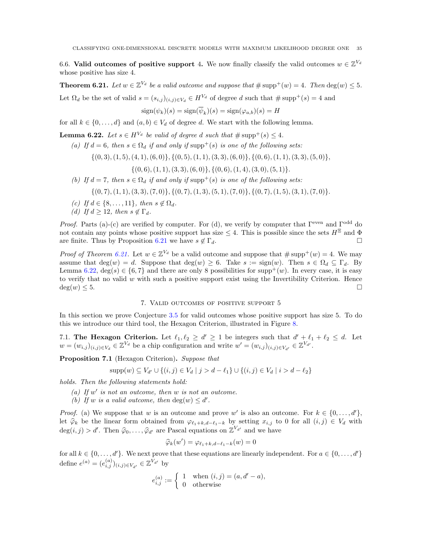6.6. Valid outcomes of positive support 4. We now finally classify the valid outcomes  $w \in \mathbb{Z}^{V_d}$ whose positive has size 4.

<span id="page-34-1"></span>**Theorem 6.21.** Let  $w \in \mathbb{Z}^{V_d}$  be a valid outcome and suppose that  $\#\text{supp}^+(w) = 4$ . Then  $\deg(w) \leq 5$ .

Let  $\Omega_d$  be the set of valid  $s = (s_{i,j})_{(i,j)\in V_d} \in H^{V_d}$  of degree d such that  $\#\text{supp}^+(s) = 4$  and

$$
sign(\psi_k)(s) = sign(\overline{\psi}_k)(s) = sign(\varphi_{a,b})(s) = H
$$

for all  $k \in \{0, \ldots, d\}$  and  $(a, b) \in V_d$  of degree d. We start with the following lemma.

<span id="page-34-2"></span>**Lemma 6.22.** Let  $s \in H^{V_d}$  be valid of degree d such that  $\#\text{supp}^+(s) \leq 4$ .

(a) If  $d = 6$ , then  $s \in \Omega_d$  if and only if supp<sup>+</sup>(s) is one of the following sets:

$$
\{(0,3), (1,5), (4,1), (6,0)\}, \{(0,5), (1,1), (3,3), (6,0)\}, \{(0,6), (1,1), (3,3), (5,0)\},
$$

 $\{(0,6), (1, 1), (3, 3), (6, 0)\}, \{(0, 6), (1, 4), (3, 0), (5, 1)\}.$ 

- (b) If  $d = 7$ , then  $s \in \Omega_d$  if and only if  $\text{supp}^+(s)$  is one of the following sets:
	- $\{(0, 7), (1, 1), (3, 3), (7, 0)\}, \{(0, 7), (1, 3), (5, 1), (7, 0)\}, \{(0, 7), (1, 5), (3, 1), (7, 0)\}.$
- (c) If  $d \in \{8, \ldots, 11\}$ , then  $s \notin \Omega_d$ .
- (d) If  $d \geq 12$ , then  $s \notin \Gamma_d$ .

*Proof.* Parts (a)-(c) are verified by computer. For (d), we verify by computer that  $\Gamma^{\text{even}}$  and  $\Gamma^{\text{odd}}$  do not contain any points whose positive support has size  $\leq 4$ . This is possible since the sets  $H^{\Xi}$  and  $\Phi$ are finite. Thus by Proposition [6.21](#page-34-1) we have  $s \notin \Gamma_d$ .

*Proof of Theorem [6.21.](#page-34-1)* Let  $w \in \mathbb{Z}^{V_d}$  be a valid outcome and suppose that  $\#\text{supp}^+(w) = 4$ . We may assume that deg(w) = d. Suppose that deg(w)  $\geq 6$ . Take  $s := sign(w)$ . Then  $s \in \Omega_d \subseteq \Gamma_d$ . By Lemma [6.22,](#page-34-2)  $deg(s) \in \{6,7\}$  and there are only 8 possibilities for supp<sup>+</sup>(w). In every case, it is easy to verify that no valid  $w$  with such a positive support exist using the Invertibility Criterion. Hence  $deg(w) \leq 5.$ 

# 7. Valid outcomes of positive support 5

<span id="page-34-0"></span>In this section we prove Conjecture [3.5](#page-11-0) for valid outcomes whose positive support has size 5. To do this we introduce our third tool, the Hexagon Criterion, illustrated in Figure [8.](#page-35-1)

7.1. The Hexagon Criterion. Let  $\ell_1, \ell_2 \geq d' \geq 1$  be integers such that  $d' + \ell_1 + \ell_2 \leq d$ . Let  $w = (w_{i,j})_{(i,j)\in V_d} \in \mathbb{Z}^{V_d}$  be a chip configuration and write  $w' = (w_{i,j})_{(i,j)\in V_{d'}} \in \mathbb{Z}^{V_{d'}}$ .

Proposition 7.1 (Hexagon Criterion). Suppose that

$$
supp(w) \subseteq V_{d'} \cup \{(i,j) \in V_d \mid j > d - \ell_1\} \cup \{(i,j) \in V_d \mid i > d - \ell_2\}
$$

holds. Then the following statements hold:

- (a) If  $w'$  is not an outcome, then  $w$  is not an outcome.
- (b) If w is a valid outcome, then  $deg(w) \leq d'$ .

*Proof.* (a) We suppose that w is an outcome and prove w' is also an outcome. For  $k \in \{0, \ldots, d'\},$ let  $\hat{\varphi}_k$  be the linear form obtained from  $\varphi_{\ell_1+k,d-\ell_1-k}$  by setting  $x_{i,j}$  to 0 for all  $(i,j) \in V_d$  with  $deg(i, j) > d'$ . Then  $\hat{\varphi}_0, \ldots, \hat{\varphi}_{d'}$  are Pascal equations on  $\mathbb{Z}^{V_{d'}}$  and we have

$$
\widehat{\varphi}_k(w') = \varphi_{\ell_1+k,d-\ell_1-k}(w) = 0
$$

for all  $k \in \{0, \ldots, d'\}$ . We next prove that these equations are linearly independent. For  $a \in \{0, \ldots, d'\}$ define  $e^{(a)} = (e_{i,j}^{(a)})_{(i,j) \in V_{d'}} \in \mathbb{Z}^{V_{d'}}$  by

$$
e_{i,j}^{(a)} := \begin{cases} 1 & \text{when } (i,j) = (a, d' - a), \\ 0 & \text{otherwise} \end{cases}
$$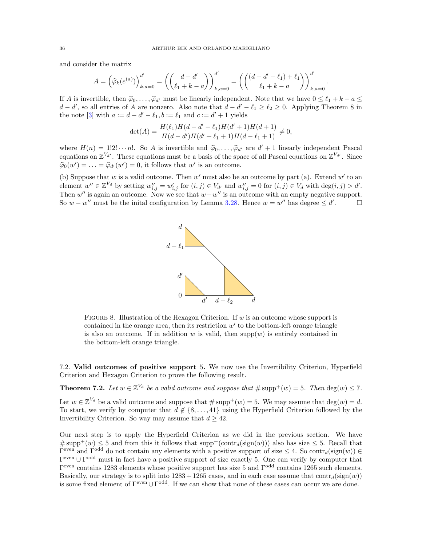and consider the matrix

$$
A = (\hat{\varphi}_k(e^{(a)}))_{k,a=0}^{d'} = \left( \binom{d-d'}{\ell_1 + k - a} \right)_{k,a=0}^{d'} = \left( \binom{(d-d'-\ell_1) + \ell_1}{\ell_1 + k - a} \right)_{k,a=0}^{d'}.
$$

If A is invertible, then  $\hat{\varphi}_0, \ldots, \hat{\varphi}_{d'}$  must be linearly independent. Note that we have  $0 \leq \ell_1 + k - a \leq$  $d - d'$ , so all entries of A are nonzero. Also note that  $d - d' - \ell_1 \geq \ell_2 \geq 0$ . Applying Theorem 8 in the note [\[3\]](#page-41-5) with  $a := d - d' - \ell_1, b := \ell_1$  and  $c := d' + 1$  yields

$$
\det(A) = \frac{H(\ell_1)H(d-d'-\ell_1)H(d'+1)H(d+1)}{H(d-d')H(d'+\ell_1+1)H(d-\ell_1+1)} \neq 0,
$$

where  $H(n) = 1!2! \cdots n!$ . So A is invertible and  $\hat{\varphi}_0, \ldots, \hat{\varphi}_{d'}$  are  $d' + 1$  linearly independent Pascal<br>counting on  $\mathbb{Z}^{V_{d'}}$ . These equations must be a bosis of the gross of all Pascal equations on  $\mathbb{Z}^{V_{d'}}$ equations on  $\mathbb{Z}^{V_{d'}}$ . These equations must be a basis of the space of all Pascal equations on  $\mathbb{Z}^{V_{d'}}$ . Since  $\widehat{\varphi}_0(w') = \ldots = \widehat{\varphi}_{d'}(w') = 0$ , it follows that  $w'$  is an outcome.

(b) Suppose that  $w$  is a valid outcome. Then  $w'$  must also be an outcome by part (a). Extend  $w'$  to an element  $w'' \in \mathbb{Z}^{V_d}$  by setting  $w''_{i,j} = w'_{i,j}$  for  $(i,j) \in V_{d'}$  and  $w''_{i,j} = 0$  for  $(i,j) \in V_d$  with  $\deg(i,j) > d'.$ Then w'' is again an outcome. Now we see that  $w-w''$  is an outcome with an empty negative support. So  $w - w''$  must be the initial configuration by Lemma [3.28.](#page-18-0) Hence  $w = w''$  has degree  $\leq d'$  $\Box$ 



<span id="page-35-1"></span>FIGURE 8. Illustration of the Hexagon Criterion. If  $w$  is an outcome whose support is contained in the orange area, then its restriction  $w'$  to the bottom-left orange triangle is also an outcome. If in addition w is valid, then  $supp(w)$  is entirely contained in the bottom-left orange triangle.

7.2. Valid outcomes of positive support 5. We now use the Invertibility Criterion, Hyperfield Criterion and Hexagon Criterion to prove the following result.

<span id="page-35-0"></span>**Theorem 7.2.** Let  $w \in \mathbb{Z}^{V_d}$  be a valid outcome and suppose that  $\#\text{supp}^+(w) = 5$ . Then  $\deg(w) \le 7$ .

Let  $w \in \mathbb{Z}^{V_d}$  be a valid outcome and suppose that  $\#\text{supp}^+(w) = 5$ . We may assume that  $\deg(w) = d$ . To start, we verify by computer that  $d \notin \{8, \ldots, 41\}$  using the Hyperfield Criterion followed by the Invertibility Criterion. So way may assume that  $d > 42$ .

Our next step is to apply the Hyperfield Criterion as we did in the previous section. We have # supp<sup>+</sup>(w)  $\leq$  5 and from this it follows that supp<sup>+</sup>(contr<sub>d</sub>(sign(w))) also has size  $\leq$  5. Recall that  $\Gamma^{\text{even}}$  and  $\Gamma^{\text{odd}}$  do not contain any elements with a positive support of size  $\leq 4$ . So contr<sub>d</sub>(sign(w))  $\in$ Γ even ∪ Γ odd must in fact have a positive support of size exactly 5. One can verify by computer that Γ even contains 1283 elements whose positive support has size 5 and Γodd contains 1265 such elements. Basically, our strategy is to split into  $1283 + 1265$  cases, and in each case assume that  $contr_d(sign(w))$ is some fixed element of  $\Gamma^{\text{even}} \cup \Gamma^{\text{odd}}$ . If we can show that none of these cases can occur we are done.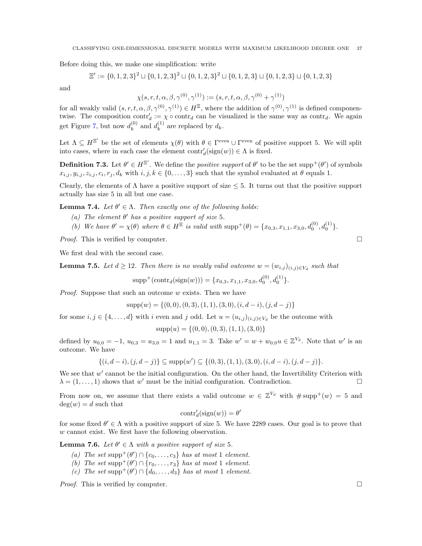Before doing this, we make one simplification: write

$$
\Xi':=\{0,1,2,3\}^2\sqcup\{0,1,2,3\}^2\sqcup\{0,1,2,3\}^2\sqcup\{0,1,2,3\}\sqcup\{0,1,2,3\}\sqcup\{0,1,2,3\}
$$

and

$$
\chi(s, r, t, \alpha, \beta, \gamma^{(0)}, \gamma^{(1)}) := (s, r, t, \alpha, \beta, \gamma^{(0)} + \gamma^{(1)})
$$

for all weakly valid  $(s, r, t, \alpha, \beta, \gamma^{(0)}, \gamma^{(1)}) \in H^{\Xi}$ , where the addition of  $\gamma^{(0)}, \gamma^{(1)}$  is defined componentwise. The composition  $\text{contr}_{d} := \chi \circ \text{contr}_{d}$  can be visualized is the same way as  $\text{contr}_{d}$ . We again get Figure [7,](#page-33-0) but now  $d_k^{(0)}$  $\binom{0}{k}$  and  $d_k^{(1)}$  $k^{(1)}$  are replaced by  $d_k$ .

Let  $\Lambda \subseteq H^{\Xi'}$  be the set of elements  $\chi(\theta)$  with  $\theta \in \Gamma^{\text{even}} \cup \Gamma^{\text{even}}$  of positive support 5. We will split into cases, where in each case the element  $\text{contr}'_d(\text{sign}(w)) \in \Lambda$  is fixed.

**Definition 7.3.** Let  $\theta' \in H^{\Xi'}$ . We define the *positive support* of  $\theta'$  to be the set supp<sup>+</sup>( $\theta'$ ) of symbols  $x_{i,j}, y_{i,j}, z_{i,j}, c_i, r_j, d_k$  with  $i, j, k \in \{0, \ldots, 3\}$  such that the symbol evaluated at  $\theta$  equals 1.

Clearly, the elements of  $\Lambda$  have a positive support of size  $\leq$  5. It turns out that the positive support actually has size 5 in all but one case.

**Lemma 7.4.** Let  $\theta' \in \Lambda$ . Then exactly one of the following holds:

- (a) The element  $\theta'$  has a positive support of size 5.
- (b) We have  $\theta' = \chi(\theta)$  where  $\theta \in H^{\Xi}$  is valid with  $\text{supp}^{+}(\theta) = \{x_{0,3}, x_{1,1}, x_{3,0}, d_0^{(0)}, d_0^{(1)}\}.$

*Proof.* This is verified by computer.  $\square$ 

We first deal with the second case.

**Lemma 7.5.** Let  $d \geq 12$ . Then there is no weakly valid outcome  $w = (w_{i,j})_{(i,j) \in V_d}$  such that

$$
supp^{+}(contr_{d}(sign(w))) = \{x_{0,3}, x_{1,1}, x_{3,0}, d_0^{(0)}, d_0^{(1)}\}.
$$

*Proof.* Suppose that such an outcome  $w$  exists. Then we have

 $supp(w) = \{(0, 0), (0, 3), (1, 1), (3, 0), (i, d - i), (j, d - j)\}\$ 

for some  $i, j \in \{4, ..., d\}$  with i even and j odd. Let  $u = (u_{i,j})_{(i,j) \in V_d}$  be the outcome with

$$
supp(u) = \{(0,0), (0,3), (1,1), (3,0)\}
$$

defined by  $u_{0,0} = -1$ ,  $u_{0,3} = u_{3,0} = 1$  and  $u_{1,1} = 3$ . Take  $w' = w + w_{0,0}u \in \mathbb{Z}^{V_d}$ . Note that w' is an outcome. We have

$$
\{(i, d-i), (j, d-j)\}\subseteq \text{supp}(w')\subseteq \{(0, 3), (1, 1), (3, 0), (i, d-i), (j, d-j)\}.
$$

We see that  $w'$  cannot be the initial configuration. On the other hand, the Invertibility Criterion with  $\lambda = (1, \ldots, 1)$  shows that w' must be the initial configuration. Contradiction.

From now on, we assume that there exists a valid outcome  $w \in \mathbb{Z}^{V_d}$  with  $\#\text{supp}^+(w) = 5$  and  $deg(w) = d$  such that

$$
contr'_d(\text{sign}(w)) = \theta'
$$

for some fixed  $\theta' \in \Lambda$  with a positive support of size 5. We have 2289 cases. Our goal is to prove that w cannot exist. We first have the following observation.

**Lemma 7.6.** Let  $\theta' \in \Lambda$  with a positive support of size 5.

- (a) The set supp<sup>+</sup>( $\theta'$ )  $\cap$  { $c_0, \ldots, c_3$ } has at most 1 element.
- (b) The set supp<sup>+</sup>( $\theta'$ )  $\cap$  { $r_0, \ldots, r_3$ } has at most 1 element.
- (c) The set supp<sup>+</sup>( $\theta'$ )  $\cap$  { $d_0$ , ...,  $d_3$ } has at most 1 element.

*Proof.* This is verified by computer.  $\square$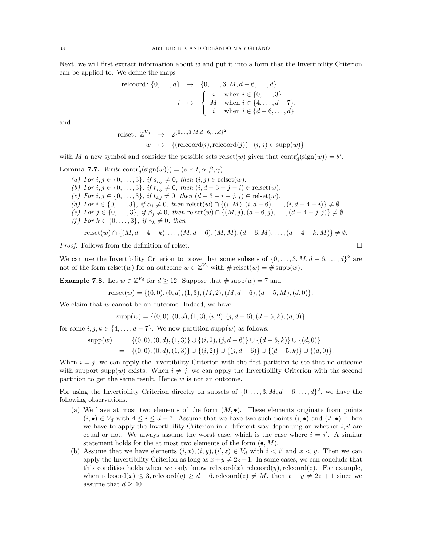Next, we will first extract information about  $w$  and put it into a form that the Invertibility Criterion can be applied to. We define the maps

relcord: 
$$
\{0, \ldots, d\} \rightarrow \{0, \ldots, 3, M, d-6, \ldots, d\}
$$
  
\n $i \mapsto \begin{cases} i & \text{when } i \in \{0, \ldots, 3\}, \\ M & \text{when } i \in \{4, \ldots, d-7\}, \\ i & \text{when } i \in \{d-6, \ldots, d\} \end{cases}$ 

and

$$
\begin{aligned}\n\text{relset: } \mathbb{Z}^{V_d} &\to \quad & 2^{\{0,\dots,3,M,d-6,\dots,d\}^2} \\
& w &\mapsto \quad \{(\text{relcoord}(i), \text{relcoord}(j)) \mid (i,j) \in \text{supp}(w)\}\n\end{aligned}
$$

with M a new symbol and consider the possible sets relset(w) given that  $\text{contr}'_d(\text{sign}(w)) = \theta'.$ 

**Lemma 7.7.** Write  $\text{contr}'_d(\text{sign}(w))) = (s, r, t, \alpha, \beta, \gamma)$ .

(a) For  $i, j \in \{0, ..., 3\}, \text{ if } s_{i,j} \neq 0, \text{ then } (i, j) \in \text{relset}(w)$ . (b) For  $i, j \in \{0, ..., 3\}$ , if  $r_{i,j} \neq 0$ , then  $(i, d - 3 + j - i) \in$  relset $(w)$ . (c) For  $i, j \in \{0, ..., 3\}$ , if  $t_{i,j} \neq 0$ , then  $(d - 3 + i - j, j) \in$  relset $(w)$ . (d) For  $i \in \{0, ..., 3\}$ , if  $\alpha_i \neq 0$ , then relset $(w) \cap \{(i, M), (i, d - 6), ..., (i, d - 4 - i)\} \neq \emptyset$ . (e) For  $j \in \{0, \ldots, 3\}, \text{ if } \beta_j \neq 0, \text{ then } \text{relset}(w) \cap \{(M, j), (d - 6, j), \ldots, (d - 4 - j, j)\} \neq \emptyset.$ (f) For  $k \in \{0, \ldots, 3\}$ , if  $\gamma_k \neq 0$ , then

$$
relset(w) \cap \{(M, d-4-k), \dots, (M, d-6), (M, M), (d-6, M), \dots, (d-4-k, M)\} \neq \emptyset.
$$

Proof. Follows from the definition of relset.

We can use the Invertibility Criterion to prove that some subsets of  $\{0, \ldots, 3, M, d-6, \ldots, d\}^2$  are not of the form relset(w) for an outcome  $w \in \mathbb{Z}^{V_d}$  with  $\# \text{relset}(w) = \# \text{supp}(w)$ .

**Example 7.8.** Let  $w \in \mathbb{Z}^{V_d}$  for  $d \geq 12$ . Suppose that  $\# \text{supp}(w) = 7$  and

$$
relset(w) = \{(0,0), (0,d), (1,3), (M,2), (M,d-6), (d-5,M), (d,0)\}.
$$

We claim that  $w$  cannot be an outcome. Indeed, we have

$$
supp(w) = \{(0,0), (0,d), (1,3), (i,2), (j,d-6), (d-5,k), (d,0)\}
$$

for some  $i, j, k \in \{4, ..., d - 7\}$ . We now partition supp $(w)$  as follows:

$$
supp(w) = \{(0,0), (0,d), (1,3)\} \cup \{(i,2), (j,d-6)\} \cup \{(d-5,k)\} \cup \{(d,0)\}\
$$
  
= 
$$
\{(0,0), (0,d), (1,3)\} \cup \{(i,2)\} \cup \{(j,d-6)\} \cup \{(d-5,k)\} \cup \{(d,0)\}.
$$

When  $i = j$ , we can apply the Invertibility Criterion with the first partition to see that no outcome with support supp(w) exists. When  $i \neq j$ , we can apply the Invertibility Criterion with the second partition to get the same result. Hence  $w$  is not an outcome.

For using the Invertibility Criterion directly on subsets of  $\{0, \ldots, 3, M, d-6, \ldots, d\}^2$ , we have the following observations.

- (a) We have at most two elements of the form  $(M, \bullet)$ . These elements originate from points  $(i, \bullet) \in V_d$  with  $4 \leq i \leq d-7$ . Assume that we have two such points  $(i, \bullet)$  and  $(i', \bullet)$ . Then we have to apply the Invertibility Criterion in a different way depending on whether  $i, i'$  are equal or not. We always assume the worst case, which is the case where  $i = i'$ . A similar statement holds for the at most two elements of the form  $(\bullet, M)$ .
- (b) Assume that we have elements  $(i, x), (i, y), (i', z) \in V_d$  with  $i < i'$  and  $x < y$ . Then we can apply the Invertibility Criterion as long as  $x+y \neq 2z+1$ . In some cases, we can conclude that this conditios holds when we only know relevord $(x)$ , relevord $(y)$ , relevord $(z)$ . For example, when relcoord(x)  $\leq$  3, relcoord(y)  $\geq$  d – 6, relcoord(z)  $\neq$  M, then  $x + y \neq 2z + 1$  since we assume that  $d > 40$ .

$$
\qquad \qquad \Box
$$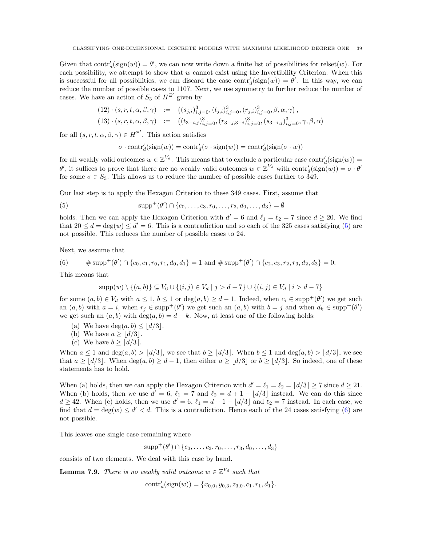Given that  $contr_d'(\text{sign}(w)) = \theta'$ , we can now write down a finite list of possibilities for relset(w). For each possibility, we attempt to show that  $w$  cannot exist using the Invertibility Criterion. When this is successful for all possibilities, we can discard the case  $\text{contr}'_d(\text{sign}(w)) = \theta'$ . In this way, we can reduce the number of possible cases to 1107. Next, we use symmetry to further reduce the number of cases. We have an action of  $S_3$  of  $H^{\Xi'}$  given by

$$
(12) \cdot (s, r, t, \alpha, \beta, \gamma) := ((s_{j,i})_{i,j=0}^3, (t_{j,i})_{i,j=0}^3, (r_{j,i})_{i,j=0}^3, \beta, \alpha, \gamma),(13) \cdot (s, r, t, \alpha, \beta, \gamma) := ((t_{3-i,j})_{i,j=0}^3, (r_{3-j,3-i})_{i,j=0}^3, (s_{3-i,j})_{i,j=0}^3, \gamma, \beta, \alpha)
$$

for all  $(s, r, t, \alpha, \beta, \gamma) \in H^{\Xi'}$ . This action satisfies

<span id="page-38-0"></span>
$$
\sigma \cdot \mathrm{contr}_d'(\mathrm{sign}(w)) = \mathrm{contr}_d'(\sigma \cdot \mathrm{sign}(w)) = \mathrm{contr}_d'(\mathrm{sign}(\sigma \cdot w))
$$

for all weakly valid outcomes  $w \in \mathbb{Z}^{V_d}$ . This means that to exclude a particular case  $\text{contr}'_d(\text{sign}(w)) =$ θ', it suffices to prove that there are no weakly valid outcomes  $w \in \mathbb{Z}^{V_d}$  with  $\text{contr}'_d(\text{sign}(w)) = σ ⋅ θ'$ for some  $\sigma \in S_3$ . This allows us to reduce the number of possible cases further to 349.

Our last step is to apply the Hexagon Criterion to these 349 cases. First, assume that

(5) 
$$
\text{supp}^{+}(\theta') \cap \{c_0, \ldots, c_3, r_0, \ldots, r_3, d_0, \ldots, d_3\} = \emptyset
$$

holds. Then we can apply the Hexagon Criterion with  $d' = 6$  and  $\ell_1 = \ell_2 = 7$  since  $d \geq 20$ . We find that  $20 \le d = \deg(w) \le d' = 6$ . This is a contradiction and so each of the 325 cases satisfying [\(5\)](#page-38-0) are not possible. This reduces the number of possible cases to 24.

Next, we assume that

<span id="page-38-1"></span>(6) 
$$
\# \operatorname{supp}^+(\theta') \cap \{c_0, c_1, r_0, r_1, d_0, d_1\} = 1 \text{ and } \# \operatorname{supp}^+(\theta') \cap \{c_2, c_3, r_2, r_3, d_2, d_3\} = 0.
$$

This means that

$$
supp(w) \setminus \{(a,b)\} \subseteq V_6 \cup \{(i,j) \in V_d \mid j > d-7\} \cup \{(i,j) \in V_d \mid i > d-7\}
$$

for some  $(a, b) \in V_d$  with  $a \leq 1$ ,  $b \leq 1$  or  $deg(a, b) \geq d - 1$ . Indeed, when  $c_i \in supp^+(\theta')$  we get such an  $(a, b)$  with  $a = i$ , when  $r_j \in \text{supp}^+(\theta')$  we get such an  $(a, b)$  with  $b = j$  and when  $d_k \in \text{supp}^+(\theta')$ we get such an  $(a, b)$  with  $deg(a, b) = d - k$ . Now, at least one of the following holds:

- (a) We have  $deg(a, b) \leq |d/3|$ .
- (b) We have  $a \ge |d/3|$ .
- (c) We have  $b > |d/3|$ .

When  $a \leq 1$  and  $\deg(a, b) > |d/3|$ , we see that  $b \geq |d/3|$ . When  $b \leq 1$  and  $\deg(a, b) > |d/3|$ , we see that  $a \geq |d/3|$ . When  $\deg(a, b) \geq d - 1$ , then either  $a \geq |d/3|$  or  $b \geq |d/3|$ . So indeed, one of these statements has to hold.

When (a) holds, then we can apply the Hexagon Criterion with  $d' = \ell_1 = \ell_2 = \lfloor d/3 \rfloor \ge 7$  since  $d \ge 21$ . When (b) holds, then we use  $d' = 6$ ,  $\ell_1 = 7$  and  $\ell_2 = d + 1 - \lfloor d/3 \rfloor$  instead. We can do this since  $d \geq 42$ . When (c) holds, then we use  $d' = 6$ ,  $\ell_1 = d + 1 - \lfloor d/3 \rfloor$  and  $\ell_2 = 7$  instead. In each case, we find that  $d = \deg(w) \leq d' < d$ . This is a contradiction. Hence each of the 24 cases satisfying [\(6\)](#page-38-1) are not possible.

This leaves one single case remaining where

 $supp^{+}(\theta') \cap \{c_0, \ldots, c_3, r_0, \ldots, r_3, d_0, \ldots, d_3\}$ 

consists of two elements. We deal with this case by hand.

**Lemma 7.9.** There is no weakly valid outcome  $w \in \mathbb{Z}^{\mathcal{V}_d}$  such that

 $contr'_d(\text{sign}(w)) = \{x_{0,0}, y_{0,3}, z_{3,0}, c_1, r_1, d_1\}.$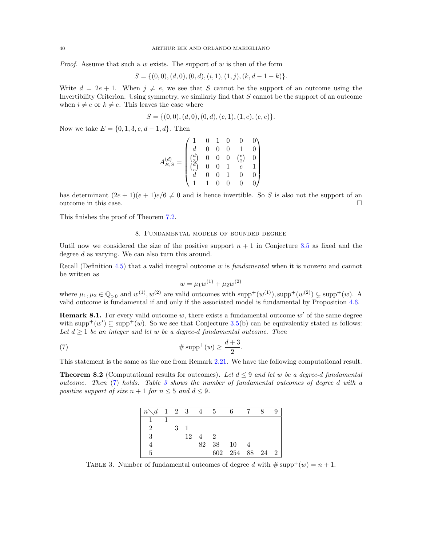*Proof.* Assume that such a w exists. The support of w is then of the form

$$
S = \{(0,0), (d,0), (0,d), (i,1), (1,j), (k,d-1-k)\}.
$$

Write  $d = 2e + 1$ . When  $j \neq e$ , we see that S cannot be the support of an outcome using the Invertibility Criterion. Using symmetry, we similarly find that S cannot be the support of an outcome when  $i \neq e$  or  $k \neq e$ . This leaves the case where

$$
S = \{(0,0), (d,0), (0,d), (e,1), (1,e), (e,e)\}.
$$

Now we take  $E = \{0, 1, 3, e, d - 1, d\}$ . Then

$$
A_{E,S}^{(d)} = \begin{pmatrix} 1 & 0 & 1 & 0 & 0 & 0 \\ d & 0 & 0 & 0 & 1 & 0 \\ \binom{d}{3} & 0 & 0 & 0 & \binom{e}{2} & 0 \\ \binom{d}{e} & 0 & 0 & 1 & e & 1 \\ d & 0 & 0 & 1 & 0 & 0 \\ 1 & 1 & 0 & 0 & 0 & 0 \end{pmatrix}
$$

has determinant  $(2e+1)(e+1)e/6 \neq 0$  and is hence invertible. So S is also not the support of an outcome in this case.  $\Box$ 

This finishes the proof of Theorem [7.2.](#page-35-0)

### 8. Fundamental models of bounded degree

<span id="page-39-0"></span>Until now we considered the size of the positive support  $n + 1$  in Conjecture [3.5](#page-11-0) as fixed and the degree d as varying. We can also turn this around.

Recall (Definition [4.5\)](#page-21-1) that a valid integral outcome w is fundamental when it is nonzero and cannot be written as

<span id="page-39-3"></span>
$$
w = \mu_1 w^{(1)} + \mu_2 w^{(2)}
$$

where  $\mu_1, \mu_2 \in \mathbb{Q}_{>0}$  and  $w^{(1)}, w^{(2)}$  are valid outcomes with  $\text{supp}^+(w^{(1)}), \text{supp}^+(w^{(2)}) \subsetneq \text{supp}^+(w)$ . A valid outcome is fundamental if and only if the associated model is fundamental by Proposition [4.6.](#page-21-2)

<span id="page-39-2"></span>**Remark 8.1.** For every valid outcome  $w$ , there exists a fundamental outcome  $w'$  of the same degree with supp<sup>+</sup>(w')  $\subseteq$  supp<sup>+</sup>(w). So we see that Conjecture [3.5\(](#page-11-0)b) can be equivalently stated as follows: Let  $d \geq 1$  be an integer and let w be a degree-d fundamental outcome. Then

$$
\text{(7)}\qquad \qquad \text{#} \operatorname{supp}^+(w) \ge \frac{d+3}{2}.
$$

This statement is the same as the one from Remark [2.21.](#page-7-4) We have the following computational result.

<span id="page-39-1"></span>**Theorem 8.2** (Computational results for outcomes). Let  $d \leq 9$  and let w be a degree-d fundamental outcome. Then [\(7\)](#page-39-3) holds. Table [3](#page-39-4) shows the number of fundamental outcomes of degree d with a positive support of size  $n + 1$  for  $n \leq 5$  and  $d \leq 9$ .

| $n \setminus d$   1 2 3 4 5 |             |                      |            |                 |  |  |
|-----------------------------|-------------|----------------------|------------|-----------------|--|--|
|                             |             |                      |            |                 |  |  |
| $\overline{2}$              | $3 \quad 1$ |                      |            |                 |  |  |
| 3                           |             | $12 \quad 4 \quad 2$ |            |                 |  |  |
|                             |             |                      | 82 38 10 4 |                 |  |  |
| 5                           |             |                      |            | 602 254 88 24 2 |  |  |

<span id="page-39-4"></span>TABLE 3. Number of fundamental outcomes of degree d with  $\#\text{supp}^+(w) = n + 1$ .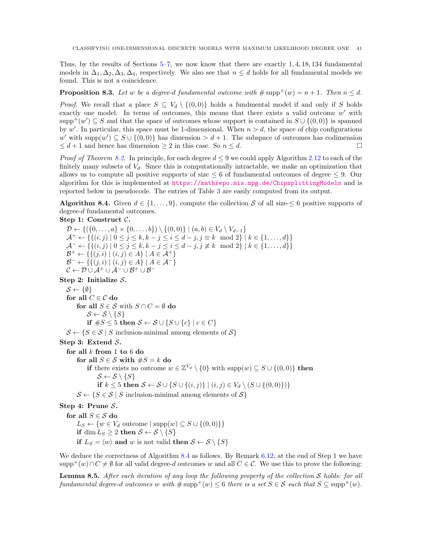Thus, by the results of Sections [5–](#page-21-0)[7,](#page-34-0) we now know that there are exactly 1, 4, 18, 134 fundamental models in  $\Delta_1, \Delta_2, \Delta_3, \Delta_4$ , respectively. We also see that  $n \leq d$  holds for all fundamental models we found. This is not a coincidence.

**Proposition 8.3.** Let w be a degree-d fundamental outcome with  $\#\text{supp}^+(w) = n + 1$ . Then  $n \leq d$ .

*Proof.* We recall that a place  $S \subseteq V_d \setminus \{(0,0)\}\)$  holds a fundmental model if and only if S holds exactly one model. In terms of outcomes, this means that there exists a valid outcome  $w'$  with  $\text{supp}^+(w') \subseteq S$  and that the space of outcomes whose support is contained in  $S \cup \{(0,0)\}\$ is spanned by w'. In particular, this space must be 1-dimensional. When  $n > d$ , the space of chip configurations w' with supp $(w') \subseteq S \cup \{(0,0)\}\)$  has dimension  $> d+1$ . The subspace of outcomes has codimension  $\leq d+1$  and hence has dimension  $\geq 2$  in this case. So  $n \leq d$ .

*Proof of Theorem [8.2.](#page-39-1)* In principle, for each degree  $d \leq 9$  we could apply Algorithm [2.12](#page-5-0) to each of the finitely many subsets of  $V_d$ . Since this is computationally intractable, we make an optimization that allows us to compute all positive supports of size  $\leq 6$  of fundamental outcomes of degree  $\leq 9$ . Our algorithm for this is implemented at <https://mathrepo.mis.mpg.de/ChipsplittingModels> and is reported below in pseudocode. The entries of Table [3](#page-39-4) are easily computed from its output.

<span id="page-40-0"></span>**Algorithm 8.4.** Given  $d \in \{1, \ldots, 9\}$ , compute the collection S of all size- $\leq 6$  positive supports of degree-d fundamental outcomes.

Step 1: Construct  $\mathcal{C}$ .

 $\mathcal{D} \leftarrow \{ (\{0, ..., a\} \times \{0, ..., b\}) \setminus \{(0, 0)\} | (a, b) \in V_d \setminus V_{d-1} \}$  $\mathcal{A}^+ \leftarrow \{ \{ (i,j) \mid 0 \leq j \leq k, k - j \leq i \leq d - j, j \equiv k \mod 2 \} \mid k \in \{1, \ldots, d\} \}$  $\mathcal{A}^- \leftarrow \{ \{ (i, j) \mid 0 \le j \le k, k - j \le i \le d - j, j \not\equiv k \mod 2 \} \mid k \in \{1, ..., d\} \}$  $\mathcal{B}^+ \leftarrow \{ \{ (j,i) \mid (i,j) \in A \} \mid A \in \mathcal{A}^+ \}$  $\mathcal{B}^- \leftarrow \{ \{ (j,i) \mid (i,j) \in A \} \mid A \in \mathcal{A}^- \}$  $\mathcal{C} \leftarrow \mathcal{D} \cup \mathcal{A}^+ \cup \mathcal{A}^- \cup \mathcal{B}^+ \cup \mathcal{B}^-$ 

Step 2: Initialize S.

 $S \leftarrow \{\emptyset\}$ for all  $C \in \mathcal{C}$  do for all  $S \in \mathcal{S}$  with  $S \cap C = \emptyset$  do  $\mathcal{S} \leftarrow \mathcal{S} \setminus \{S\}$ if  $\#S \leq 5$  then  $S \leftarrow S \cup \{S \cup \{c\} \mid c \in C\}$  $\mathcal{S} \leftarrow \{ S \in \mathcal{S} \mid S \text{ inclusion-minimal among elements of } \mathcal{S} \}$ 

Step 3: Extend S.

for all  $k$  from 1 to  $6$  do

for all  $S \in \mathcal{S}$  with  $\#S = k$  do

if there exists no outcome  $w \in \mathbb{Z}^{V_d} \setminus \{0\}$  with  $\text{supp}(w) \subseteq S \cup \{(0,0)\}\)$  then  $\mathcal{S} \leftarrow \mathcal{S} \setminus \{S\}$ 

$$
\leftarrow \circ \setminus \{ \circ \} \quad
$$

if  $k \leq 5$  then  $S \leftarrow S \cup \{S \cup \{(i,j)\} \mid (i,j) \in V_d \setminus (S \cup \{(0,0)\})\}$ 

 $\mathcal{S} \leftarrow \{ S \in \mathcal{S} \mid S \text{ inclusion-minimal among elements of } \mathcal{S} \}$ 

Step 4: Prune S.

for all  $S \in \mathcal{S}$  do  $L_S \leftarrow \{w \in V_d \text{ outcome} \mid \text{supp}(w) \subseteq S \cup \{(0,0)\}\}\$ if dim  $L_S \geq 2$  then  $S \leftarrow S \setminus \{S\}$ if  $L_S = \langle w \rangle$  and w is not valid then  $S \leftarrow S \setminus \{S\}$ 

We deduce the correctness of Algorithm [8.4](#page-40-0) as follows. By Remark [6.12,](#page-29-2) at the end of Step 1 we have supp<sup>+</sup>(w)∩C  $\neq \emptyset$  for all valid degree-d outcomes w and all  $C \in \mathcal{C}$ . We use this to prove the following:

<span id="page-40-1"></span>**Lemma 8.5.** After each iteration of any loop the following property of the collection S holds: for all fundamental degree-d outcomes w with  $\#\text{supp}^+(w) \leq 6$  there is a set  $S \in \mathcal{S}$  such that  $S \subseteq \text{supp}^+(w)$ .